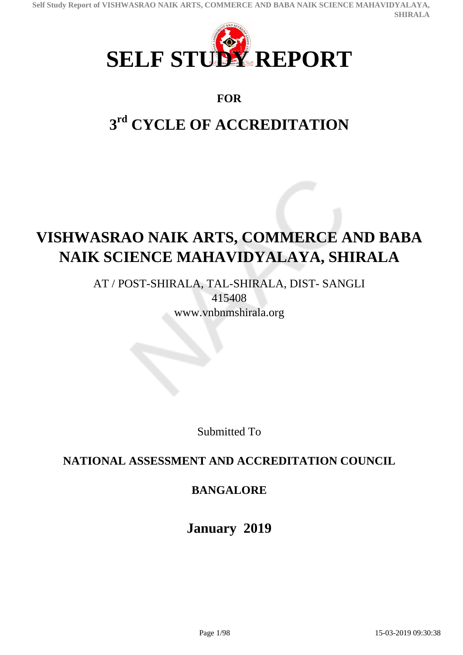

# **FOR**

# **3 rd CYCLE OF ACCREDITATION**

# **VISHWASRAO NAIK ARTS, COMMERCE AND BABA NAIK SCIENCE MAHAVIDYALAYA, SHIRALA**

AT / POST-SHIRALA, TAL-SHIRALA, DIST- SANGLI 415408 www.vnbnmshirala.org

Submitted To

# **NATIONAL ASSESSMENT AND ACCREDITATION COUNCIL**

# **BANGALORE**

**January 2019**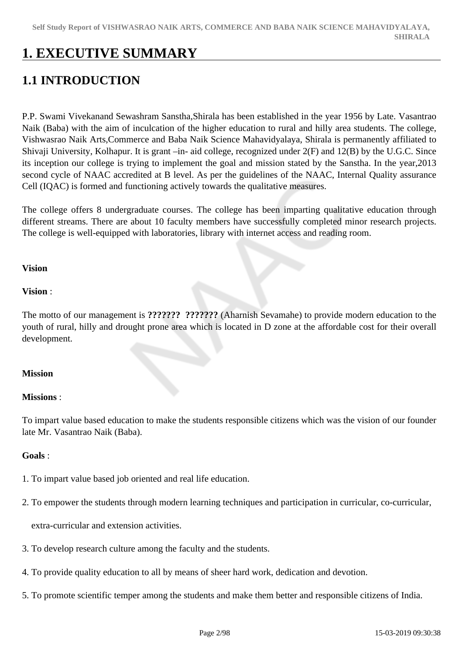# **1. EXECUTIVE SUMMARY**

# **1.1 INTRODUCTION**

P.P. Swami Vivekanand Sewashram Sanstha,Shirala has been established in the year 1956 by Late. Vasantrao Naik (Baba) with the aim of inculcation of the higher education to rural and hilly area students. The college, Vishwasrao Naik Arts,Commerce and Baba Naik Science Mahavidyalaya, Shirala is permanently affiliated to Shivaji University, Kolhapur. It is grant –in- aid college, recognized under 2(F) and 12(B) by the U.G.C. Since its inception our college is trying to implement the goal and mission stated by the Sanstha. In the year,2013 second cycle of NAAC accredited at B level. As per the guidelines of the NAAC, Internal Quality assurance Cell (IQAC) is formed and functioning actively towards the qualitative measures.

The college offers 8 undergraduate courses. The college has been imparting qualitative education through different streams. There are about 10 faculty members have successfully completed minor research projects. The college is well-equipped with laboratories, library with internet access and reading room.

### **Vision**

#### **Vision** :

The motto of our management is **??????? ???????** (Aharnish Sevamahe) to provide modern education to the youth of rural, hilly and drought prone area which is located in D zone at the affordable cost for their overall development.

### **Mission**

### **Missions** :

To impart value based education to make the students responsible citizens which was the vision of our founder late Mr. Vasantrao Naik (Baba).

### **Goals** :

- 1. To impart value based job oriented and real life education.
- 2. To empower the students through modern learning techniques and participation in curricular, co-curricular,

extra-curricular and extension activities.

- 3. To develop research culture among the faculty and the students.
- 4. To provide quality education to all by means of sheer hard work, dedication and devotion.
- 5. To promote scientific temper among the students and make them better and responsible citizens of India.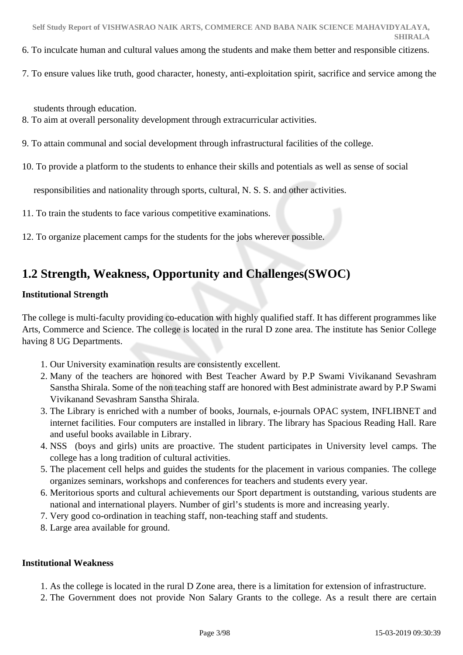- 6. To inculcate human and cultural values among the students and make them better and responsible citizens.
- 7. To ensure values like truth, good character, honesty, anti-exploitation spirit, sacrifice and service among the

students through education.

- 8. To aim at overall personality development through extracurricular activities.
- 9. To attain communal and social development through infrastructural facilities of the college.
- 10. To provide a platform to the students to enhance their skills and potentials as well as sense of social

responsibilities and nationality through sports, cultural, N. S. S. and other activities.

- 11. To train the students to face various competitive examinations.
- 12. To organize placement camps for the students for the jobs wherever possible.

# **1.2 Strength, Weakness, Opportunity and Challenges(SWOC)**

## **Institutional Strength**

The college is multi-faculty providing co-education with highly qualified staff. It has different programmes like Arts, Commerce and Science. The college is located in the rural D zone area. The institute has Senior College having 8 UG Departments.

- 1. Our University examination results are consistently excellent.
- 2. Many of the teachers are honored with Best Teacher Award by P.P Swami Vivikanand Sevashram Sanstha Shirala. Some of the non teaching staff are honored with Best administrate award by P.P Swami Vivikanand Sevashram Sanstha Shirala.
- 3. The Library is enriched with a number of books, Journals, e-journals OPAC system, INFLIBNET and internet facilities. Four computers are installed in library. The library has Spacious Reading Hall. Rare and useful books available in Library.
- 4. NSS (boys and girls) units are proactive. The student participates in University level camps. The college has a long tradition of cultural activities.
- 5. The placement cell helps and guides the students for the placement in various companies. The college organizes seminars, workshops and conferences for teachers and students every year.
- 6. Meritorious sports and cultural achievements our Sport department is outstanding, various students are national and international players. Number of girl's students is more and increasing yearly.
- 7. Very good co-ordination in teaching staff, non-teaching staff and students.
- 8. Large area available for ground.

### **Institutional Weakness**

- 1. As the college is located in the rural D Zone area, there is a limitation for extension of infrastructure.
- 2. The Government does not provide Non Salary Grants to the college. As a result there are certain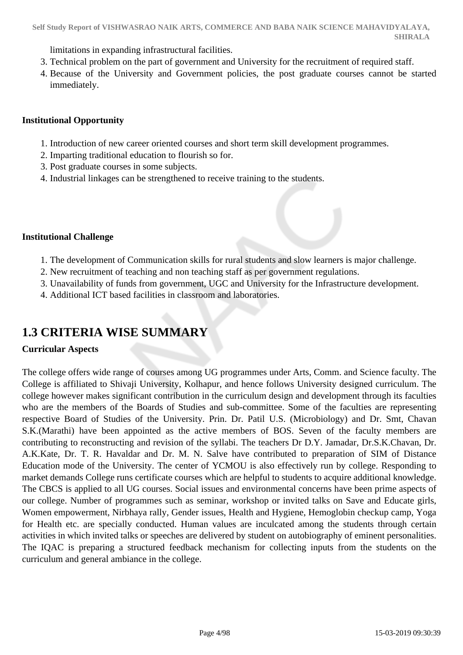limitations in expanding infrastructural facilities.

- 3. Technical problem on the part of government and University for the recruitment of required staff.
- 4. Because of the University and Government policies, the post graduate courses cannot be started immediately.

### **Institutional Opportunity**

- 1. Introduction of new career oriented courses and short term skill development programmes.
- 2. Imparting traditional education to flourish so for.
- 3. Post graduate courses in some subjects.
- 4. Industrial linkages can be strengthened to receive training to the students.

## **Institutional Challenge**

- 1. The development of Communication skills for rural students and slow learners is major challenge.
- 2. New recruitment of teaching and non teaching staff as per government regulations.
- 3. Unavailability of funds from government, UGC and University for the Infrastructure development.
- 4. Additional ICT based facilities in classroom and laboratories.

# **1.3 CRITERIA WISE SUMMARY**

# **Curricular Aspects**

The college offers wide range of courses among UG programmes under Arts, Comm. and Science faculty. The College is affiliated to Shivaji University, Kolhapur, and hence follows University designed curriculum. The college however makes significant contribution in the curriculum design and development through its faculties who are the members of the Boards of Studies and sub-committee. Some of the faculties are representing respective Board of Studies of the University. Prin. Dr. Patil U.S. (Microbiology) and Dr. Smt, Chavan S.K.(Marathi) have been appointed as the active members of BOS. Seven of the faculty members are contributing to reconstructing and revision of the syllabi. The teachers Dr D.Y. Jamadar, Dr.S.K.Chavan, Dr. A.K.Kate, Dr. T. R. Havaldar and Dr. M. N. Salve have contributed to preparation of SIM of Distance Education mode of the University. The center of YCMOU is also effectively run by college. Responding to market demands College runs certificate courses which are helpful to students to acquire additional knowledge. The CBCS is applied to all UG courses. Social issues and environmental concerns have been prime aspects of our college. Number of programmes such as seminar, workshop or invited talks on Save and Educate girls, Women empowerment, Nirbhaya rally, Gender issues, Health and Hygiene, Hemoglobin checkup camp, Yoga for Health etc. are specially conducted. Human values are inculcated among the students through certain activities in which invited talks or speeches are delivered by student on autobiography of eminent personalities. The IQAC is preparing a structured feedback mechanism for collecting inputs from the students on the curriculum and general ambiance in the college.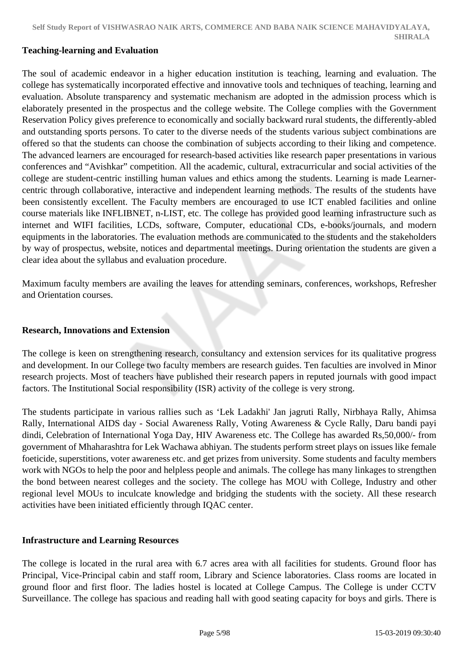#### **Teaching-learning and Evaluation**

The soul of academic endeavor in a higher education institution is teaching, learning and evaluation. The college has systematically incorporated effective and innovative tools and techniques of teaching, learning and evaluation. Absolute transparency and systematic mechanism are adopted in the admission process which is elaborately presented in the prospectus and the college website. The College complies with the Government Reservation Policy gives preference to economically and socially backward rural students, the differently-abled and outstanding sports persons. To cater to the diverse needs of the students various subject combinations are offered so that the students can choose the combination of subjects according to their liking and competence. The advanced learners are encouraged for research-based activities like research paper presentations in various conferences and "Avishkar" competition. All the academic, cultural, extracurricular and social activities of the college are student-centric instilling human values and ethics among the students. Learning is made Learnercentric through collaborative, interactive and independent learning methods. The results of the students have been consistently excellent. The Faculty members are encouraged to use ICT enabled facilities and online course materials like INFLIBNET, n-LIST, etc. The college has provided good learning infrastructure such as internet and WIFI facilities, LCDs, software, Computer, educational CDs, e-books/journals, and modern equipments in the laboratories. The evaluation methods are communicated to the students and the stakeholders by way of prospectus, website, notices and departmental meetings. During orientation the students are given a clear idea about the syllabus and evaluation procedure.

Maximum faculty members are availing the leaves for attending seminars, conferences, workshops, Refresher and Orientation courses.

#### **Research, Innovations and Extension**

The college is keen on strengthening research, consultancy and extension services for its qualitative progress and development. In our College two faculty members are research guides. Ten faculties are involved in Minor research projects. Most of teachers have published their research papers in reputed journals with good impact factors. The Institutional Social responsibility (ISR) activity of the college is very strong.

The students participate in various rallies such as 'Lek Ladakhi' Jan jagruti Rally, Nirbhaya Rally, Ahimsa Rally, International AIDS day - Social Awareness Rally, Voting Awareness & Cycle Rally, Daru bandi payi dindi, Celebration of International Yoga Day, HIV Awareness etc. The College has awarded Rs,50,000/- from government of Mhaharashtra for Lek Wachawa abhiyan. The students perform street plays on issues like female foeticide, superstitions, voter awareness etc. and get prizes from university. Some students and faculty members work with NGOs to help the poor and helpless people and animals. The college has many linkages to strengthen the bond between nearest colleges and the society. The college has MOU with College, Industry and other regional level MOUs to inculcate knowledge and bridging the students with the society. All these research activities have been initiated efficiently through IQAC center.

#### **Infrastructure and Learning Resources**

The college is located in the rural area with 6.7 acres area with all facilities for students. Ground floor has Principal, Vice-Principal cabin and staff room, Library and Science laboratories. Class rooms are located in ground floor and first floor. The ladies hostel is located at College Campus. The College is under CCTV Surveillance. The college has spacious and reading hall with good seating capacity for boys and girls. There is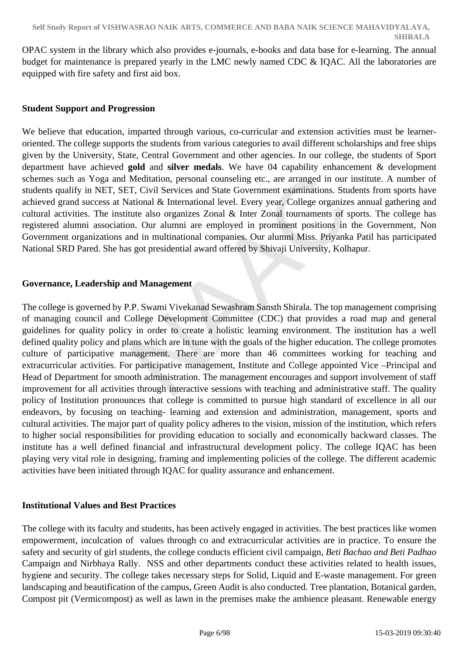OPAC system in the library which also provides e-journals, e-books and data base for e-learning. The annual budget for maintenance is prepared yearly in the LMC newly named CDC & IQAC. All the laboratories are equipped with fire safety and first aid box.

### **Student Support and Progression**

We believe that education, imparted through various, co-curricular and extension activities must be learneroriented. The college supports the students from various categories to avail different scholarships and free ships given by the University, State, Central Government and other agencies. In our college, the students of Sport department have achieved **gold** and **silver medals**. We have 04 capability enhancement & development schemes such as Yoga and Meditation, personal counseling etc., are arranged in our institute. A number of students qualify in NET, SET, Civil Services and State Government examinations. Students from sports have achieved grand success at National & International level. Every year, College organizes annual gathering and cultural activities. The institute also organizes Zonal & Inter Zonal tournaments of sports. The college has registered alumni association. Our alumni are employed in prominent positions in the Government, Non Government organizations and in multinational companies. Our alumni Miss. Priyanka Patil has participated National SRD Pared. She has got presidential award offered by Shivaji University, Kolhapur.

### **Governance, Leadership and Management**

The college is governed by P.P. Swami Vivekanad Sewashram Sansth Shirala. The top management comprising of managing council and College Development Committee (CDC) that provides a road map and general guidelines for quality policy in order to create a holistic learning environment. The institution has a well defined quality policy and plans which are in tune with the goals of the higher education. The college promotes culture of participative management. There are more than 46 committees working for teaching and extracurricular activities. For participative management, Institute and College appointed Vice –Principal and Head of Department for smooth administration. The management encourages and support involvement of staff improvement for all activities through interactive sessions with teaching and administrative staff. The quality policy of Institution pronounces that college is committed to pursue high standard of excellence in all our endeavors, by focusing on teaching- learning and extension and administration, management, sports and cultural activities. The major part of quality policy adheres to the vision, mission of the institution, which refers to higher social responsibilities for providing education to socially and economically backward classes. The institute has a well defined financial and infrastructural development policy. The college IQAC has been playing very vital role in designing, framing and implementing policies of the college. The different academic activities have been initiated through IQAC for quality assurance and enhancement.

### **Institutional Values and Best Practices**

The college with its faculty and students, has been actively engaged in activities. The best practices like women empowerment, inculcation of values through co and extracurricular activities are in practice. To ensure the safety and security of girl students, the college conducts efficient civil campaign, *Beti Bachao and Beti Padhao* Campaign and Nirbhaya Rally. NSS and other departments conduct these activities related to health issues, hygiene and security. The college takes necessary steps for Solid, Liquid and E-waste management. For green landscaping and beautification of the campus, Green Audit is also conducted. Tree plantation, Botanical garden, Compost pit (Vermicompost) as well as lawn in the premises make the ambience pleasant. Renewable energy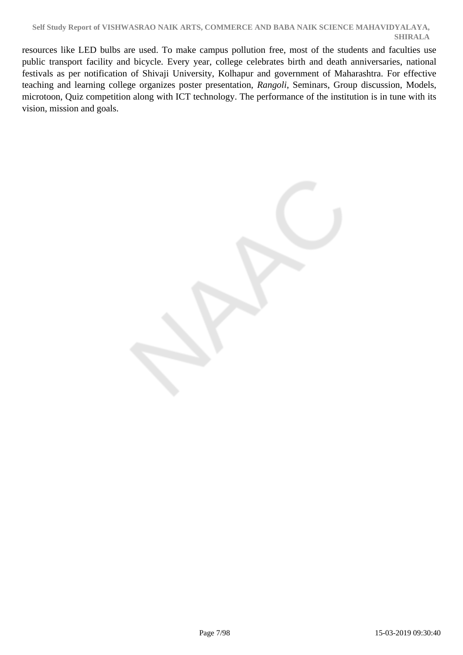resources like LED bulbs are used. To make campus pollution free, most of the students and faculties use public transport facility and bicycle. Every year, college celebrates birth and death anniversaries, national festivals as per notification of Shivaji University, Kolhapur and government of Maharashtra. For effective teaching and learning college organizes poster presentation, *Rangoli*, Seminars, Group discussion, Models, microtoon, Quiz competition along with ICT technology. The performance of the institution is in tune with its vision, mission and goals.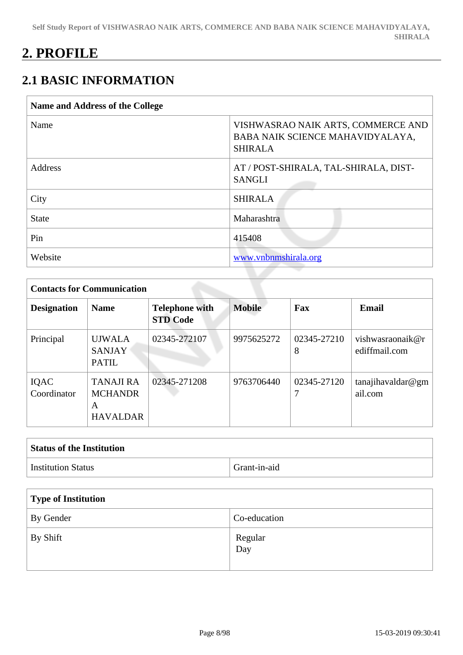# **2. PROFILE**

# **2.1 BASIC INFORMATION**

| Name and Address of the College |                                                                                          |  |  |  |  |  |
|---------------------------------|------------------------------------------------------------------------------------------|--|--|--|--|--|
| Name                            | VISHWASRAO NAIK ARTS, COMMERCE AND<br>BABA NAIK SCIENCE MAHAVIDYALAYA,<br><b>SHIRALA</b> |  |  |  |  |  |
| Address                         | AT / POST-SHIRALA, TAL-SHIRALA, DIST-<br><b>SANGLI</b>                                   |  |  |  |  |  |
| City                            | <b>SHIRALA</b>                                                                           |  |  |  |  |  |
| <b>State</b>                    | Maharashtra                                                                              |  |  |  |  |  |
| Pin                             | 415408                                                                                   |  |  |  |  |  |
| Website                         | www.vnbnmshirala.org                                                                     |  |  |  |  |  |

|                     | <b>Contacts for Communication</b>                          |                                          |               |                  |                                   |  |  |  |  |
|---------------------|------------------------------------------------------------|------------------------------------------|---------------|------------------|-----------------------------------|--|--|--|--|
| <b>Designation</b>  | <b>Name</b>                                                | <b>Telephone with</b><br><b>STD Code</b> | <b>Mobile</b> | Fax              | <b>Email</b>                      |  |  |  |  |
| Principal           | <b>UJWALA</b><br><b>SANJAY</b><br><b>PATIL</b>             | 02345-272107                             | 9975625272    | 02345-27210<br>8 | vishwasraonaik@r<br>ediffmail.com |  |  |  |  |
| IQAC<br>Coordinator | <b>TANAJI RA</b><br><b>MCHANDR</b><br>A<br><b>HAVALDAR</b> | 02345-271208                             | 9763706440    | 02345-27120<br>7 | tanajihavaldar@gm<br>ail.com      |  |  |  |  |

| <b>Status of the Institution</b> |              |
|----------------------------------|--------------|
| <b>Institution Status</b>        | Grant-in-aid |

| <b>Type of Institution</b> |                                         |
|----------------------------|-----------------------------------------|
| By Gender                  | Co-education                            |
| By Shift                   | Regular<br>$\overline{\phantom{a}}$ Day |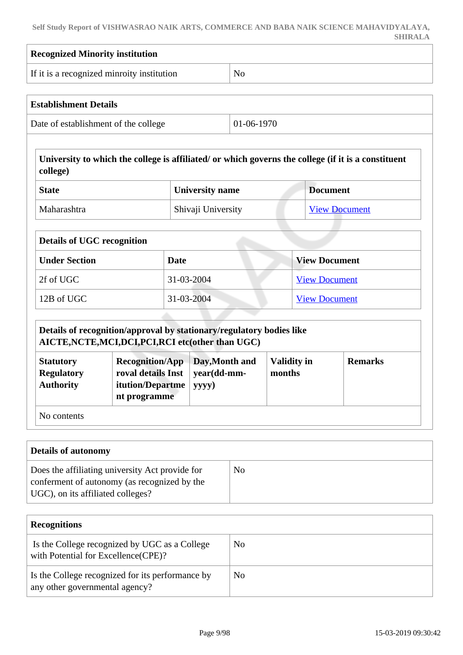**Self Study Report of VISHWASRAO NAIK ARTS, COMMERCE AND BABA NAIK SCIENCE MAHAVIDYALAYA, SHIRALA**

 $\sqrt{ }$ 

| <b>Recognized Minority institution</b>                                                                                                   |                                                                                                 |      |                                        |                |                              |                      |                                                                                                     |
|------------------------------------------------------------------------------------------------------------------------------------------|-------------------------------------------------------------------------------------------------|------|----------------------------------------|----------------|------------------------------|----------------------|-----------------------------------------------------------------------------------------------------|
|                                                                                                                                          | If it is a recognized minroity institution                                                      |      |                                        | No             |                              |                      |                                                                                                     |
| <b>Establishment Details</b>                                                                                                             |                                                                                                 |      |                                        |                |                              |                      |                                                                                                     |
|                                                                                                                                          | Date of establishment of the college                                                            |      |                                        | 01-06-1970     |                              |                      |                                                                                                     |
| college)                                                                                                                                 |                                                                                                 |      |                                        |                |                              |                      | University to which the college is affiliated/ or which governs the college (if it is a constituent |
| <b>State</b>                                                                                                                             |                                                                                                 |      | <b>University name</b>                 |                |                              | <b>Document</b>      |                                                                                                     |
| Maharashtra                                                                                                                              |                                                                                                 |      | Shivaji University                     |                |                              |                      | <b>View Document</b>                                                                                |
| <b>Details of UGC recognition</b>                                                                                                        |                                                                                                 |      |                                        |                |                              |                      |                                                                                                     |
| <b>Under Section</b>                                                                                                                     |                                                                                                 | Date |                                        |                |                              | <b>View Document</b> |                                                                                                     |
| 2f of UGC                                                                                                                                |                                                                                                 |      | 31-03-2004                             |                |                              | <b>View Document</b> |                                                                                                     |
| 12B of UGC<br>31-03-2004                                                                                                                 |                                                                                                 |      |                                        |                |                              | <b>View Document</b> |                                                                                                     |
| <b>Statutory</b><br><b>Regulatory</b><br><b>Authority</b>                                                                                | <b>Recognition/App</b><br>roval details Inst<br>itution/Departme<br>nt programme                |      | Day, Month and<br>year(dd-mm-<br>yyyy) |                | <b>Validity in</b><br>months |                      | <b>Remarks</b>                                                                                      |
| No contents                                                                                                                              |                                                                                                 |      |                                        |                |                              |                      |                                                                                                     |
| <b>Details of autonomy</b>                                                                                                               |                                                                                                 |      |                                        |                |                              |                      |                                                                                                     |
| UGC), on its affiliated colleges?                                                                                                        | Does the affiliating university Act provide for<br>conferment of autonomy (as recognized by the |      |                                        | N <sub>o</sub> |                              |                      |                                                                                                     |
| <b>Recognitions</b>                                                                                                                      |                                                                                                 |      |                                        |                |                              |                      |                                                                                                     |
|                                                                                                                                          |                                                                                                 |      |                                        | N <sub>o</sub> |                              |                      |                                                                                                     |
| Is the College recognized by UGC as a College<br>with Potential for Excellence(CPE)?<br>Is the College recognized for its performance by |                                                                                                 |      |                                        | N <sub>o</sub> |                              |                      |                                                                                                     |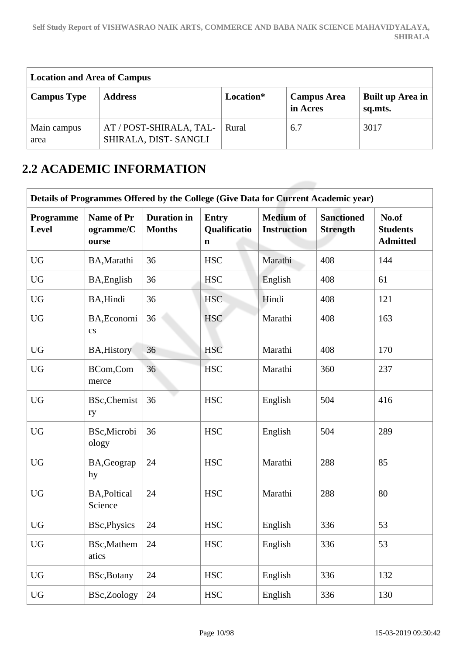| <b>Location and Area of Campus</b> |                                                 |           |                                |                             |  |  |  |  |
|------------------------------------|-------------------------------------------------|-----------|--------------------------------|-----------------------------|--|--|--|--|
| <b>Campus Type</b>                 | <b>Address</b>                                  | Location* | <b>Campus Area</b><br>in Acres | Built up Area in<br>sq.mts. |  |  |  |  |
| Main campus<br>area                | AT / POST-SHIRALA, TAL-<br>SHIRALA, DIST-SANGLI | Rural     | 6.7                            | 3017                        |  |  |  |  |

# **2.2 ACADEMIC INFORMATION**

|                    | Details of Programmes Offered by the College (Give Data for Current Academic year) |                                     |                                             |                                        |                                      |                                             |  |  |  |
|--------------------|------------------------------------------------------------------------------------|-------------------------------------|---------------------------------------------|----------------------------------------|--------------------------------------|---------------------------------------------|--|--|--|
| Programme<br>Level | <b>Name of Pr</b><br>ogramme/C<br>ourse                                            | <b>Duration</b> in<br><b>Months</b> | <b>Entry</b><br>Qualificatio<br>$\mathbf n$ | <b>Medium</b> of<br><b>Instruction</b> | <b>Sanctioned</b><br><b>Strength</b> | No.of<br><b>Students</b><br><b>Admitted</b> |  |  |  |
| <b>UG</b>          | BA, Marathi                                                                        | 36                                  | <b>HSC</b>                                  | Marathi                                | 408                                  | 144                                         |  |  |  |
| <b>UG</b>          | BA, English                                                                        | 36                                  | <b>HSC</b>                                  | English                                | 408                                  | 61                                          |  |  |  |
| <b>UG</b>          | BA, Hindi                                                                          | 36                                  | <b>HSC</b>                                  | Hindi                                  | 408                                  | 121                                         |  |  |  |
| <b>UG</b>          | BA, Economi<br>$\mathbf{c}\mathbf{s}$                                              | 36                                  | <b>HSC</b>                                  | Marathi                                | 408                                  | 163                                         |  |  |  |
| <b>UG</b>          | BA, History                                                                        | 36                                  | <b>HSC</b>                                  | Marathi                                | 408                                  | 170                                         |  |  |  |
| <b>UG</b>          | BCom,Com<br>merce                                                                  | 36                                  | <b>HSC</b>                                  | Marathi                                | 360                                  | 237                                         |  |  |  |
| <b>UG</b>          | BSc, Chemist<br>ry                                                                 | 36                                  | <b>HSC</b>                                  | English                                | 504                                  | 416                                         |  |  |  |
| <b>UG</b>          | BSc, Microbi<br>ology                                                              | 36                                  | <b>HSC</b>                                  | English                                | 504                                  | 289                                         |  |  |  |
| <b>UG</b>          | BA, Geograp<br>hy                                                                  | 24                                  | <b>HSC</b>                                  | Marathi                                | 288                                  | 85                                          |  |  |  |
| <b>UG</b>          | <b>BA, Poltical</b><br>Science                                                     | 24                                  | <b>HSC</b>                                  | Marathi                                | 288                                  | 80                                          |  |  |  |
| <b>UG</b>          | BSc, Physics                                                                       | 24                                  | <b>HSC</b>                                  | English                                | 336                                  | 53                                          |  |  |  |
| <b>UG</b>          | <b>BSc,Mathem</b><br>atics                                                         | 24                                  | <b>HSC</b>                                  | English                                | 336                                  | 53                                          |  |  |  |
| <b>UG</b>          | BSc, Botany                                                                        | 24                                  | <b>HSC</b>                                  | English                                | 336                                  | 132                                         |  |  |  |
| <b>UG</b>          | BSc,Zoology                                                                        | 24                                  | <b>HSC</b>                                  | English                                | 336                                  | 130                                         |  |  |  |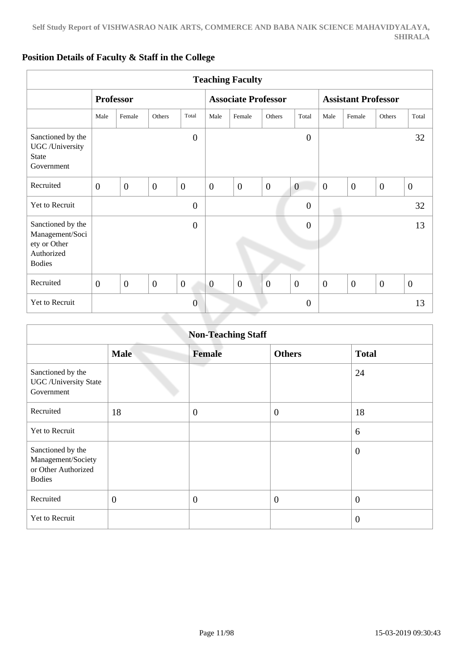|                                                                                     |                  |                |                  |                  |                | <b>Teaching Faculty</b>    |                |                  |                |                            |                  |                |
|-------------------------------------------------------------------------------------|------------------|----------------|------------------|------------------|----------------|----------------------------|----------------|------------------|----------------|----------------------------|------------------|----------------|
|                                                                                     | <b>Professor</b> |                |                  |                  |                | <b>Associate Professor</b> |                |                  |                | <b>Assistant Professor</b> |                  |                |
|                                                                                     | Male             | Female         | Others           | Total            | Male           | Female                     | Others         | Total            | Male           | Female                     | Others           | Total          |
| Sanctioned by the<br>UGC /University<br><b>State</b><br>Government                  |                  |                |                  | $\overline{0}$   |                |                            |                | $\boldsymbol{0}$ |                |                            |                  | 32             |
| Recruited                                                                           | $\overline{0}$   | $\mathbf{0}$   | $\boldsymbol{0}$ | $\mathbf{0}$     | $\overline{0}$ | $\theta$                   | $\mathbf{0}$   | $\boldsymbol{0}$ | $\overline{0}$ | $\overline{0}$             | $\overline{0}$   | $\overline{0}$ |
| Yet to Recruit                                                                      |                  |                |                  | $\boldsymbol{0}$ |                |                            |                | $\boldsymbol{0}$ |                |                            |                  | 32             |
| Sanctioned by the<br>Management/Soci<br>ety or Other<br>Authorized<br><b>Bodies</b> |                  |                |                  | $\boldsymbol{0}$ |                |                            |                | $\overline{0}$   |                |                            |                  | 13             |
| Recruited                                                                           | $\overline{0}$   | $\overline{0}$ | $\overline{0}$   | $\mathbf{0}$     | $\overline{0}$ | $\overline{0}$             | $\overline{0}$ | $\mathbf{0}$     | $\overline{0}$ | $\overline{0}$             | $\boldsymbol{0}$ | $\overline{0}$ |
| Yet to Recruit                                                                      |                  |                |                  | $\overline{0}$   |                |                            |                | $\overline{0}$   |                |                            |                  | 13             |

# **Position Details of Faculty & Staff in the College**

|                                                                                 | <b>Non-Teaching Staff</b> |                |                |                |  |  |  |  |  |
|---------------------------------------------------------------------------------|---------------------------|----------------|----------------|----------------|--|--|--|--|--|
|                                                                                 | <b>Male</b>               | <b>Female</b>  | <b>Others</b>  | <b>Total</b>   |  |  |  |  |  |
| Sanctioned by the<br><b>UGC</b> / University State<br>Government                |                           | mar i          |                | 24             |  |  |  |  |  |
| Recruited                                                                       | 18                        | $\overline{0}$ | $\overline{0}$ | 18             |  |  |  |  |  |
| Yet to Recruit                                                                  |                           |                |                | 6              |  |  |  |  |  |
| Sanctioned by the<br>Management/Society<br>or Other Authorized<br><b>Bodies</b> |                           |                |                | $\overline{0}$ |  |  |  |  |  |
| Recruited                                                                       | $\overline{0}$            | $\overline{0}$ | $\overline{0}$ | $\theta$       |  |  |  |  |  |
| Yet to Recruit                                                                  |                           |                |                | $\overline{0}$ |  |  |  |  |  |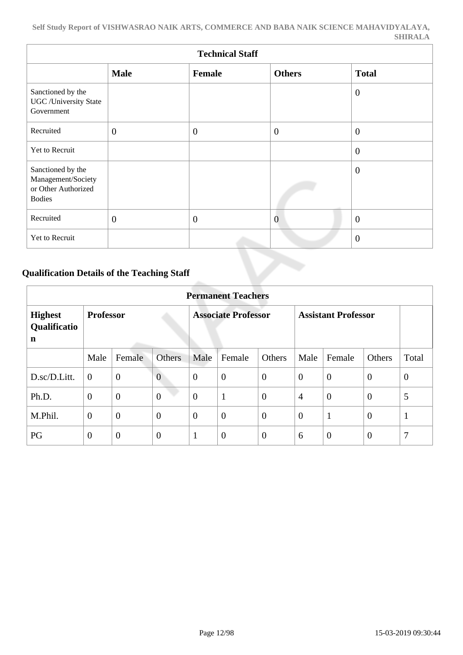|                                                                                 | <b>Technical Staff</b> |              |                |                  |  |  |  |  |
|---------------------------------------------------------------------------------|------------------------|--------------|----------------|------------------|--|--|--|--|
|                                                                                 | <b>Male</b>            | Female       | <b>Others</b>  | <b>Total</b>     |  |  |  |  |
| Sanctioned by the<br><b>UGC</b> /University State<br>Government                 |                        |              |                | $\theta$         |  |  |  |  |
| Recruited                                                                       | $\mathbf{0}$           | $\theta$     | $\overline{0}$ | $\mathbf{0}$     |  |  |  |  |
| Yet to Recruit                                                                  |                        |              |                | $\mathbf{0}$     |  |  |  |  |
| Sanctioned by the<br>Management/Society<br>or Other Authorized<br><b>Bodies</b> |                        |              |                | $\theta$         |  |  |  |  |
| Recruited                                                                       | $\mathbf{0}$           | $\mathbf{0}$ | $\overline{0}$ | $\boldsymbol{0}$ |  |  |  |  |
| Yet to Recruit                                                                  |                        |              |                | $\overline{0}$   |  |  |  |  |

# **Qualification Details of the Teaching Staff**

|                                     | <b>Permanent Teachers</b> |                |                |                            |                |                |                            |                |                |                |
|-------------------------------------|---------------------------|----------------|----------------|----------------------------|----------------|----------------|----------------------------|----------------|----------------|----------------|
| <b>Highest</b><br>Qualificatio<br>n | <b>Professor</b>          |                |                | <b>Associate Professor</b> |                |                | <b>Assistant Professor</b> |                |                |                |
|                                     | Male                      | Female         | <b>Others</b>  | Male                       | Female         | Others         | Male                       | Female         | Others         | Total          |
| D.sc/D.Litt.                        | $\overline{0}$            | $\overline{0}$ | $\overline{0}$ | $\theta$                   | $\overline{0}$ | $\overline{0}$ | $\overline{0}$             | $\theta$       | $\overline{0}$ | $\overline{0}$ |
| Ph.D.                               | $\overline{0}$            | $\mathbf{0}$   | $\overline{0}$ | $\overline{0}$             | $\mathbf{1}$   | $\overline{0}$ | $\overline{4}$             | $\overline{0}$ | $\overline{0}$ | 5              |
| M.Phil.                             | $\overline{0}$            | $\overline{0}$ | $\overline{0}$ | $\theta$                   | $\overline{0}$ | $\overline{0}$ | $\overline{0}$             | $\mathbf{1}$   | $\overline{0}$ | $\mathbf{1}$   |
| PG                                  | $\theta$                  | $\overline{0}$ | $\overline{0}$ | 1                          | $\overline{0}$ | $\overline{0}$ | 6                          | $\theta$       | $\overline{0}$ | 7              |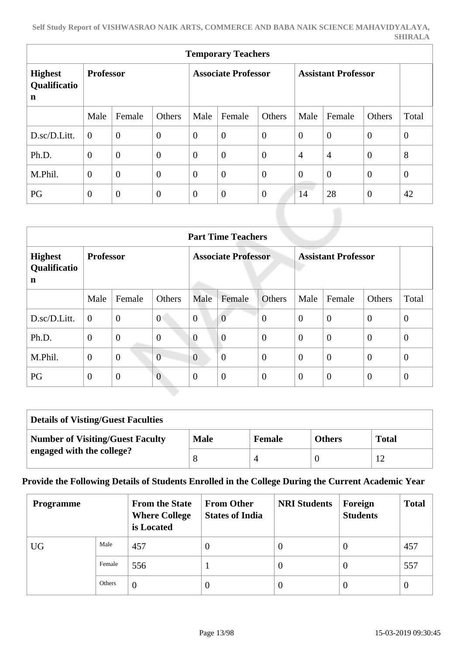| <b>Temporary Teachers</b>                     |                  |                  |                  |                            |                  |                |                            |                |                |                |
|-----------------------------------------------|------------------|------------------|------------------|----------------------------|------------------|----------------|----------------------------|----------------|----------------|----------------|
| <b>Highest</b><br>Qualificatio<br>$\mathbf n$ | <b>Professor</b> |                  |                  | <b>Associate Professor</b> |                  |                | <b>Assistant Professor</b> |                |                |                |
|                                               | Male             | Female           | Others           | Male                       | Female           | Others         | Male                       | Female         | Others         | Total          |
| D.sc/D.Litt.                                  | $\overline{0}$   | $\boldsymbol{0}$ | $\boldsymbol{0}$ | $\boldsymbol{0}$           | $\boldsymbol{0}$ | $\overline{0}$ | $\overline{0}$             | $\overline{0}$ | $\overline{0}$ | $\overline{0}$ |
| Ph.D.                                         | $\overline{0}$   | $\overline{0}$   | $\overline{0}$   | $\overline{0}$             | $\overline{0}$   | $\overline{0}$ | $\overline{4}$             | $\overline{4}$ | $\overline{0}$ | 8              |
| M.Phil.                                       | $\overline{0}$   | $\overline{0}$   | $\overline{0}$   | $\overline{0}$             | $\overline{0}$   | $\overline{0}$ | $\theta$                   | $\overline{0}$ | $\overline{0}$ | $\overline{0}$ |
| PG                                            | $\theta$         | $\overline{0}$   | $\theta$         | $\boldsymbol{0}$           | $\boldsymbol{0}$ | $\overline{0}$ | 14                         | 28             | $\overline{0}$ | 42             |

|                                     | <b>Part Time Teachers</b> |                |                            |                |                            |                |                |          |                |                |
|-------------------------------------|---------------------------|----------------|----------------------------|----------------|----------------------------|----------------|----------------|----------|----------------|----------------|
| <b>Highest</b><br>Qualificatio<br>n | <b>Professor</b>          |                | <b>Associate Professor</b> |                | <b>Assistant Professor</b> |                |                |          |                |                |
|                                     | Male                      | Female         | <b>Others</b>              | Male           | Female                     | <b>Others</b>  | Male           | Female   | Others         | Total          |
| D.sc/D.Litt.                        | $\overline{0}$            | $\overline{0}$ | $\overline{0}$             | $\overline{0}$ | $\overline{0}$             | $\overline{0}$ | $\overline{0}$ | $\theta$ | $\theta$       | $\overline{0}$ |
| Ph.D.                               | $\overline{0}$            | $\overline{0}$ | $\overline{0}$             | $\overline{0}$ | $\overline{0}$             | $\theta$       | $\overline{0}$ | $\theta$ | $\theta$       | $\overline{0}$ |
| M.Phil.                             | $\boldsymbol{0}$          | $\mathbf{0}$   | $\overline{0}$             | $\overline{0}$ | $\overline{0}$             | $\theta$       | $\theta$       | $\theta$ | $\theta$       | $\overline{0}$ |
| PG                                  | $\overline{0}$            | $\theta$       | $\overline{0}$             | $\overline{0}$ | $\overline{0}$             | $\overline{0}$ | $\theta$       | $\theta$ | $\overline{0}$ | $\overline{0}$ |

| <b>Details of Visting/Guest Faculties</b> |             |               |               |              |
|-------------------------------------------|-------------|---------------|---------------|--------------|
| <b>Number of Visiting/Guest Faculty</b>   | <b>Male</b> | <b>Female</b> | <b>Others</b> | <b>Total</b> |
| engaged with the college?                 |             |               |               |              |

## **Provide the Following Details of Students Enrolled in the College During the Current Academic Year**

| <b>Programme</b> |        | <b>From the State</b><br><b>Where College</b><br>is Located | <b>From Other</b><br><b>States of India</b> | <b>NRI Students</b> | Foreign<br><b>Students</b> | <b>Total</b> |
|------------------|--------|-------------------------------------------------------------|---------------------------------------------|---------------------|----------------------------|--------------|
| <b>UG</b>        | Male   | 457                                                         | $\theta$                                    | U                   | 0                          | 457          |
|                  | Female | 556                                                         |                                             | O                   | $\Omega$                   | 557          |
|                  | Others | $\theta$                                                    | $\overline{0}$                              |                     | $\left($                   | $\theta$     |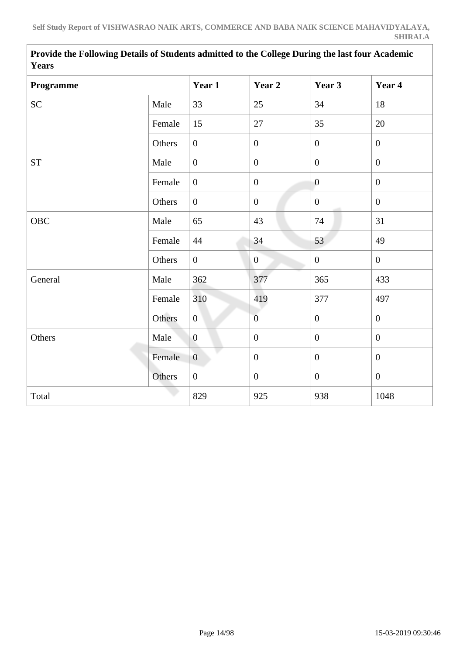| <b>rears</b> |        |                  |                  |                  |                  |
|--------------|--------|------------------|------------------|------------------|------------------|
| Programme    |        | Year 1           | Year 2           | Year 3           | Year 4           |
| <b>SC</b>    | Male   | 33               | 25               | 34               | 18               |
|              | Female | 15               | 27               | 35               | 20               |
|              | Others | $\overline{0}$   | $\boldsymbol{0}$ | $\mathbf{0}$     | $\overline{0}$   |
| <b>ST</b>    | Male   | $\boldsymbol{0}$ | $\boldsymbol{0}$ | $\boldsymbol{0}$ | $\boldsymbol{0}$ |
|              | Female | $\overline{0}$   | $\boldsymbol{0}$ | $\overline{0}$   | $\mathbf{0}$     |
|              | Others | $\overline{0}$   | $\overline{0}$   | $\overline{0}$   | $\mathbf{0}$     |
| <b>OBC</b>   | Male   | 65               | 43               | 74               | 31               |
|              | Female | 44               | 34               | 53               | 49               |
|              | Others | $\overline{0}$   | $\overline{0}$   | $\boldsymbol{0}$ | $\overline{0}$   |
| General      | Male   | 362              | 377              | 365              | 433              |
|              | Female | 310              | 419              | 377              | 497              |
|              | Others | $\mathbf{0}$     | $\overline{0}$   | $\boldsymbol{0}$ | $\overline{0}$   |
| Others       | Male   | $\overline{0}$   | $\boldsymbol{0}$ | $\mathbf{0}$     | $\overline{0}$   |
|              | Female | $\overline{0}$   | $\mathbf{0}$     | $\overline{0}$   | $\overline{0}$   |
|              | Others | $\overline{0}$   | $\boldsymbol{0}$ | $\boldsymbol{0}$ | $\overline{0}$   |
| Total        |        | 829              | 925              | 938              | 1048             |

 **Provide the Following Details of Students admitted to the College During the last four Academic Years**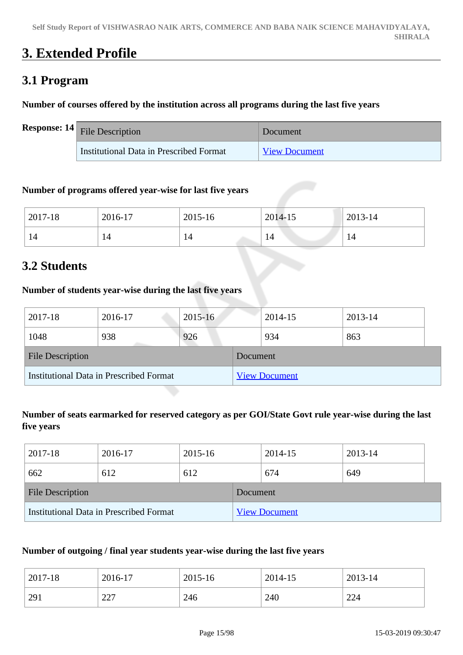# **3. Extended Profile**

# **3.1 Program**

# **Number of courses offered by the institution across all programs during the last five years**

| <b>Response:</b> $14$ File Description  | Document             |
|-----------------------------------------|----------------------|
| Institutional Data in Prescribed Format | <b>View Document</b> |

# **Number of programs offered year-wise for last five years**

| 2017-18 | 2016-17 | 2015-16 | 2014-15 | 2013-14 |
|---------|---------|---------|---------|---------|
| 14      |         | 14      | 14      |         |

# **3.2 Students**

# **Number of students year-wise during the last five years**

| 2017-18                                 | 2016-17 | $2015 - 16$ |                 | 2014-15              | 2013-14 |  |
|-----------------------------------------|---------|-------------|-----------------|----------------------|---------|--|
| 1048                                    | 938     | 926         |                 | 934                  | 863     |  |
| <b>File Description</b>                 |         |             | <b>Document</b> |                      |         |  |
| Institutional Data in Prescribed Format |         |             |                 | <b>View Document</b> |         |  |

# **Number of seats earmarked for reserved category as per GOI/State Govt rule year-wise during the last five years**

| 2017-18                 | 2016-17                                 | 2015-16 |           | 2014-15              | 2013-14 |  |
|-------------------------|-----------------------------------------|---------|-----------|----------------------|---------|--|
| 662                     | 612                                     | 612     |           | 674                  | 649     |  |
| <b>File Description</b> |                                         |         | Document. |                      |         |  |
|                         | Institutional Data in Prescribed Format |         |           | <b>View Document</b> |         |  |

## **Number of outgoing / final year students year-wise during the last five years**

| 2017-18 | 2016-17        | 2015-16 | 2014-15 | 2013-14 |
|---------|----------------|---------|---------|---------|
| 291     | $\cap$<br>ا ڪڪ | 246     | 240     | 224     |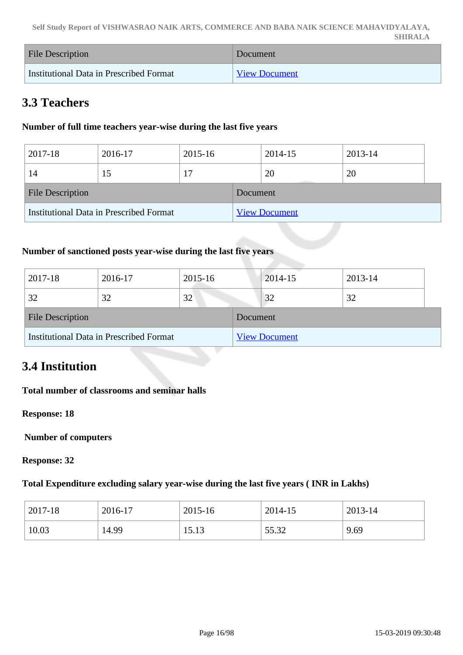**Self Study Report of VISHWASRAO NAIK ARTS, COMMERCE AND BABA NAIK SCIENCE MAHAVIDYALAYA, SHIRALA**

| File Description                        | Document             |
|-----------------------------------------|----------------------|
| Institutional Data in Prescribed Format | <b>View Document</b> |

# **3.3 Teachers**

### **Number of full time teachers year-wise during the last five years**

| 2017-18                 | 2016-17                                 | 2015-16 |          | 2014-15              | 2013-14 |  |
|-------------------------|-----------------------------------------|---------|----------|----------------------|---------|--|
| 14                      | 15                                      |         |          | 20                   | 20      |  |
| <b>File Description</b> |                                         |         | Document |                      |         |  |
|                         | Institutional Data in Prescribed Format |         |          | <b>View Document</b> |         |  |

### **Number of sanctioned posts year-wise during the last five years**

| 2017-18                                 | 2016-17 | 2015-16 |          | 2014-15              | 2013-14 |
|-----------------------------------------|---------|---------|----------|----------------------|---------|
| 32                                      | 32      | 32      |          | 32                   | 32      |
| <b>File Description</b>                 |         |         | Document |                      |         |
| Institutional Data in Prescribed Format |         |         |          | <b>View Document</b> |         |

# **3.4 Institution**

### **Total number of classrooms and seminar halls**

**Response: 18**

 **Number of computers**

**Response: 32**

### **Total Expenditure excluding salary year-wise during the last five years ( INR in Lakhs)**

| 2017-18 | 2016-17 | 2015-16 | 2014-15 | 2013-14 |
|---------|---------|---------|---------|---------|
| 10.03   | 14.99   | 15.13   | 55.32   | 9.69    |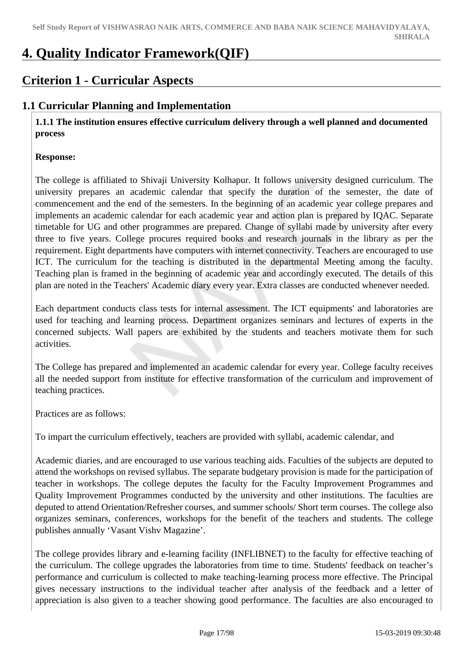# **4. Quality Indicator Framework(QIF)**

# **Criterion 1 - Curricular Aspects**

# **1.1 Curricular Planning and Implementation**

 **1.1.1 The institution ensures effective curriculum delivery through a well planned and documented process** 

### **Response:**

The college is affiliated to Shivaji University Kolhapur. It follows university designed curriculum. The university prepares an academic calendar that specify the duration of the semester, the date of commencement and the end of the semesters. In the beginning of an academic year college prepares and implements an academic calendar for each academic year and action plan is prepared by IQAC. Separate timetable for UG and other programmes are prepared. Change of syllabi made by university after every three to five years. College procures required books and research journals in the library as per the requirement. Eight departments have computers with internet connectivity. Teachers are encouraged to use ICT. The curriculum for the teaching is distributed in the departmental Meeting among the faculty. Teaching plan is framed in the beginning of academic year and accordingly executed. The details of this plan are noted in the Teachers' Academic diary every year. Extra classes are conducted whenever needed.

Each department conducts class tests for internal assessment. The ICT equipments' and laboratories are used for teaching and learning process. Department organizes seminars and lectures of experts in the concerned subjects. Wall papers are exhibited by the students and teachers motivate them for such activities.

The College has prepared and implemented an academic calendar for every year. College faculty receives all the needed support from institute for effective transformation of the curriculum and improvement of teaching practices.

Practices are as follows:

To impart the curriculum effectively, teachers are provided with syllabi, academic calendar, and

Academic diaries, and are encouraged to use various teaching aids. Faculties of the subjects are deputed to attend the workshops on revised syllabus. The separate budgetary provision is made for the participation of teacher in workshops. The college deputes the faculty for the Faculty Improvement Programmes and Quality Improvement Programmes conducted by the university and other institutions. The faculties are deputed to attend Orientation/Refresher courses, and summer schools/ Short term courses. The college also organizes seminars, conferences, workshops for the benefit of the teachers and students. The college publishes annually 'Vasant Vishv Magazine'.

The college provides library and e-learning facility (INFLIBNET) to the faculty for effective teaching of the curriculum. The college upgrades the laboratories from time to time. Students' feedback on teacher's performance and curriculum is collected to make teaching-learning process more effective. The Principal gives necessary instructions to the individual teacher after analysis of the feedback and a letter of appreciation is also given to a teacher showing good performance. The faculties are also encouraged to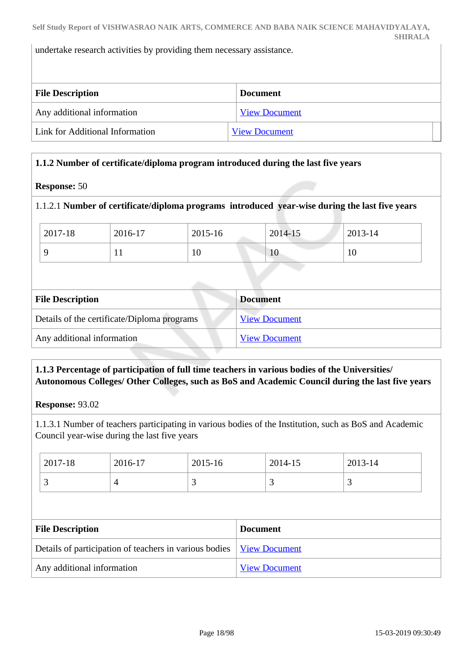undertake research activities by providing them necessary assistance.

| <b>File Description</b>         | <b>Document</b>      |  |
|---------------------------------|----------------------|--|
| Any additional information      | <b>View Document</b> |  |
| Link for Additional Information | <b>View Document</b> |  |

### **1.1.2 Number of certificate/diploma program introduced during the last five years**

#### **Response:** 50

## 1.1.2.1 **Number of certificate/diploma programs introduced year-wise during the last five years**

| $12017 - 18$ | 2016-17   | 2015-16 | 2014-15 | 2013-14 |
|--------------|-----------|---------|---------|---------|
|              | <b>TT</b> | 10      | 10      | 10      |

| <b>File Description</b>                     | <b>Document</b>      |
|---------------------------------------------|----------------------|
| Details of the certificate/Diploma programs | <b>View Document</b> |
| Any additional information                  | <b>View Document</b> |

## **1.1.3 Percentage of participation of full time teachers in various bodies of the Universities/ Autonomous Colleges/ Other Colleges, such as BoS and Academic Council during the last five years**

**Response:** 93.02

1.1.3.1 Number of teachers participating in various bodies of the Institution, such as BoS and Academic Council year-wise during the last five years

| 2017-18  | 2016-17 | 2015-16 | 2014-15 | 2013-14  |
|----------|---------|---------|---------|----------|
| <u>ب</u> |         | ັ       | ັ       | <u>ب</u> |

| <b>File Description</b>                                                | <b>Document</b>      |
|------------------------------------------------------------------------|----------------------|
| Details of participation of teachers in various bodies   View Document |                      |
| Any additional information                                             | <b>View Document</b> |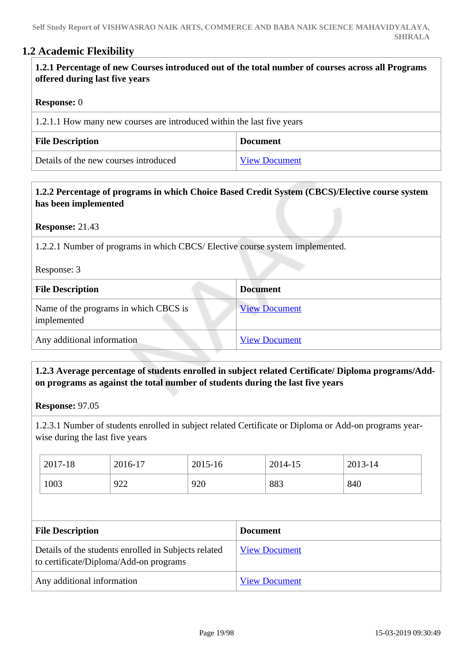# **1.2 Academic Flexibility**

| 1.2.1 Percentage of new Courses introduced out of the total number of courses across all Programs |
|---------------------------------------------------------------------------------------------------|
| offered during last five years                                                                    |
|                                                                                                   |

### **Response:** 0

| 1.2.1.1 How many new courses are introduced within the last five years |                      |  |
|------------------------------------------------------------------------|----------------------|--|
| <b>File Description</b>                                                | <b>Document</b>      |  |
| Details of the new courses introduced                                  | <b>View Document</b> |  |

# **1.2.2 Percentage of programs in which Choice Based Credit System (CBCS)/Elective course system has been implemented**

**Response:** 21.43

1.2.2.1 Number of programs in which CBCS/ Elective course system implemented.

Response: 3

| <b>File Description</b>                              | <b>Document</b>      |
|------------------------------------------------------|----------------------|
| Name of the programs in which CBCS is<br>implemented | <b>View Document</b> |
| Any additional information                           | <b>View Document</b> |

# **1.2.3 Average percentage of students enrolled in subject related Certificate/ Diploma programs/Addon programs as against the total number of students during the last five years**

**Response:** 97.05

1.2.3.1 Number of students enrolled in subject related Certificate or Diploma or Add-on programs yearwise during the last five years

| 2017-18 | 2016-17 | 2015-16 | 2014-15 | 2013-14 |
|---------|---------|---------|---------|---------|
| 1003    | 922     | 920     | 883     | 840     |

| <b>File Description</b>                                                                        | <b>Document</b>      |
|------------------------------------------------------------------------------------------------|----------------------|
| Details of the students enrolled in Subjects related<br>to certificate/Diploma/Add-on programs | <b>View Document</b> |
| Any additional information                                                                     | <b>View Document</b> |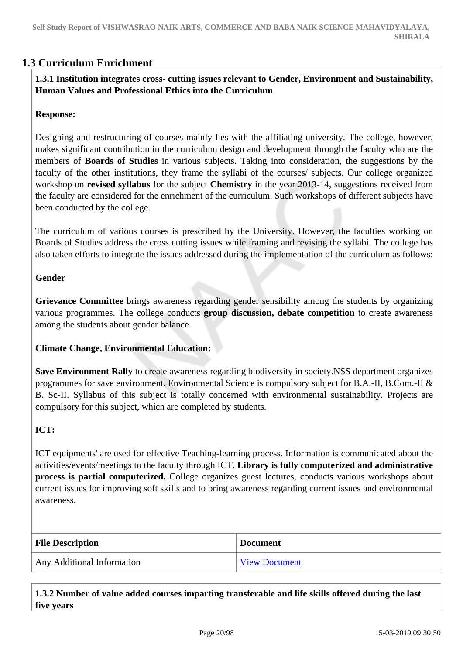# **1.3 Curriculum Enrichment**

# **1.3.1 Institution integrates cross- cutting issues relevant to Gender, Environment and Sustainability, Human Values and Professional Ethics into the Curriculum**

### **Response:**

Designing and restructuring of courses mainly lies with the affiliating university. The college, however, makes significant contribution in the curriculum design and development through the faculty who are the members of **Boards of Studies** in various subjects. Taking into consideration, the suggestions by the faculty of the other institutions, they frame the syllabi of the courses/ subjects. Our college organized workshop on **revised syllabus** for the subject **Chemistry** in the year 2013-14, suggestions received from the faculty are considered for the enrichment of the curriculum. Such workshops of different subjects have been conducted by the college.

The curriculum of various courses is prescribed by the University. However, the faculties working on Boards of Studies address the cross cutting issues while framing and revising the syllabi. The college has also taken efforts to integrate the issues addressed during the implementation of the curriculum as follows:

## **Gender**

**Grievance Committee** brings awareness regarding gender sensibility among the students by organizing various programmes. The college conducts **group discussion, debate competition** to create awareness among the students about gender balance.

### **Climate Change, Environmental Education:**

**Save Environment Rally** to create awareness regarding biodiversity in society.NSS department organizes programmes for save environment. Environmental Science is compulsory subject for B.A.-II, B.Com.-II & B. Sc-II. Syllabus of this subject is totally concerned with environmental sustainability. Projects are compulsory for this subject, which are completed by students.

# **ICT:**

ICT equipments' are used for effective Teaching-learning process. Information is communicated about the activities/events/meetings to the faculty through ICT. **Library is fully computerized and administrative process is partial computerized.** College organizes guest lectures, conducts various workshops about current issues for improving soft skills and to bring awareness regarding current issues and environmental awareness.

| <b>File Description</b>    | <b>Document</b>      |
|----------------------------|----------------------|
| Any Additional Information | <b>View Document</b> |

 **1.3.2 Number of value added courses imparting transferable and life skills offered during the last five years**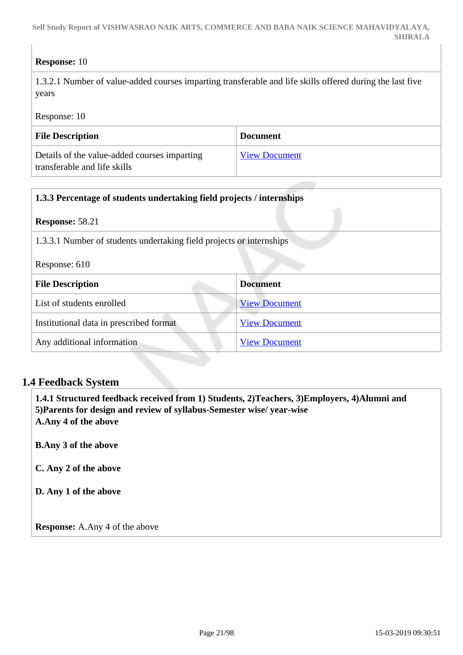# **Response:** 10

1.3.2.1 Number of value-added courses imparting transferable and life skills offered during the last five years

Response: 10

| <b>File Description</b>                                                      | <b>Document</b>      |
|------------------------------------------------------------------------------|----------------------|
| Details of the value-added courses imparting<br>transferable and life skills | <b>View Document</b> |

| 1.3.3 Percentage of students undertaking field projects / internships |                      |
|-----------------------------------------------------------------------|----------------------|
| <b>Response: 58.21</b>                                                |                      |
| 1.3.3.1 Number of students undertaking field projects or internships  |                      |
| Response: 610                                                         |                      |
| <b>File Description</b>                                               | <b>Document</b>      |
| List of students enrolled                                             | <b>View Document</b> |
| Institutional data in prescribed format                               | <b>View Document</b> |
| Any additional information                                            | <b>View Document</b> |

# **1.4 Feedback System**

 **1.4.1 Structured feedback received from 1) Students, 2)Teachers, 3)Employers, 4)Alumni and 5)Parents for design and review of syllabus-Semester wise/ year-wise A.Any 4 of the above**

**B.Any 3 of the above**

**C. Any 2 of the above**

**D. Any 1 of the above**

**Response:** A.Any 4 of the above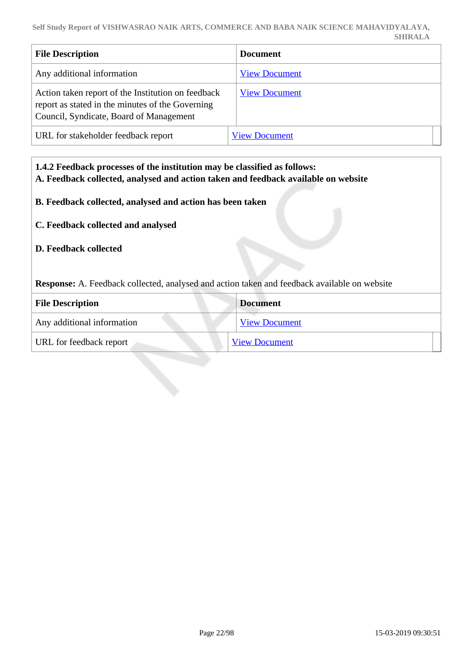**Self Study Report of VISHWASRAO NAIK ARTS, COMMERCE AND BABA NAIK SCIENCE MAHAVIDYALAYA, SHIRALA**

| <b>File Description</b>                                                                                                                           | <b>Document</b>      |
|---------------------------------------------------------------------------------------------------------------------------------------------------|----------------------|
| Any additional information                                                                                                                        | <b>View Document</b> |
| Action taken report of the Institution on feedback<br>report as stated in the minutes of the Governing<br>Council, Syndicate, Board of Management | <b>View Document</b> |
| URL for stakeholder feedback report                                                                                                               | <b>View Document</b> |

 **1.4.2 Feedback processes of the institution may be classified as follows: A. Feedback collected, analysed and action taken and feedback available on website B. Feedback collected, analysed and action has been taken C. Feedback collected and analysed D. Feedback collected Response:** A. Feedback collected, analysed and action taken and feedback available on website **File Description Document** Any additional information [View Document](https://assessmentonline.naac.gov.in/storage/app/hei/SSR/102349/1.4.2_1547278569_2485.pdf) URL for feedback report [View Document](http://vnbnmshirala.org/)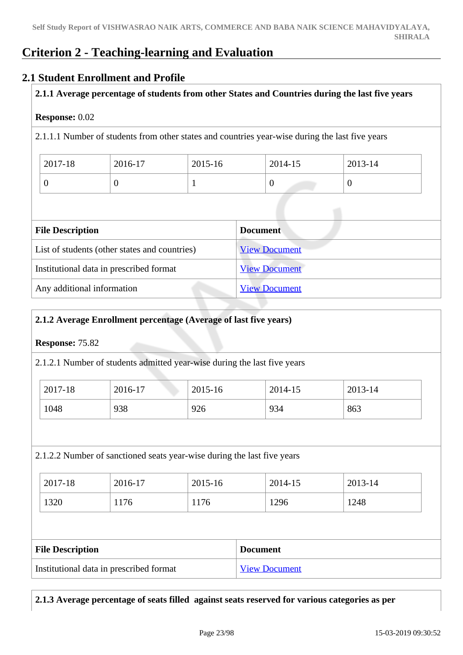# **Criterion 2 - Teaching-learning and Evaluation**

# **2.1 Student Enrollment and Profile**

## **2.1.1 Average percentage of students from other States and Countries during the last five years**

### **Response:** 0.02

2.1.1.1 Number of students from other states and countries year-wise during the last five years

| 2017-18 | 2016-17 | $2015 - 16$ | 2014-15 | 2013-14 |
|---------|---------|-------------|---------|---------|
|         |         |             |         | ν       |

| <b>File Description</b>                       | <b>Document</b>      |
|-----------------------------------------------|----------------------|
| List of students (other states and countries) | <b>View Document</b> |
| Institutional data in prescribed format       | <b>View Document</b> |
| Any additional information                    | <b>View Document</b> |

## **2.1.2 Average Enrollment percentage (Average of last five years)**

### **Response:** 75.82

2.1.2.1 Number of students admitted year-wise during the last five years

| 2017-18 | 2016-17 | 2015-16 | 2014-15 | 2013-14 |
|---------|---------|---------|---------|---------|
| 1048    | 938     | 926     | 934     | 863     |

### 2.1.2.2 Number of sanctioned seats year-wise during the last five years

| 2017-18 | 2016-17 | 2015-16 | 2014-15 | 2013-14 |
|---------|---------|---------|---------|---------|
| 1320    | 1176    | 176     | 1296    | 1248    |

| <b>File Description</b>                 | <b>Document</b>      |
|-----------------------------------------|----------------------|
| Institutional data in prescribed format | <b>View Document</b> |

**2.1.3 Average percentage of seats filled against seats reserved for various categories as per**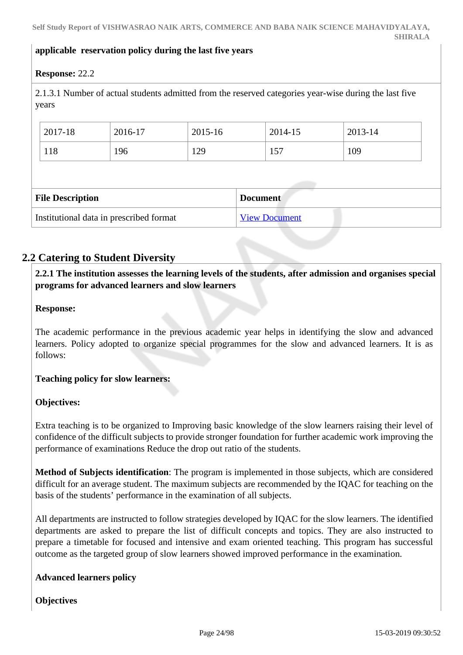### **applicable reservation policy during the last five years**

# **Response:** 22.2

2.1.3.1 Number of actual students admitted from the reserved categories year-wise during the last five years

| 2017-18                 | 2016-17 | 2015-16 | 2014-15         | 2013-14 |
|-------------------------|---------|---------|-----------------|---------|
| 118                     | 196     | 129     | 157             | 109     |
|                         |         |         |                 |         |
|                         |         |         |                 |         |
| <b>File Description</b> |         |         | <b>Document</b> |         |

# **2.2 Catering to Student Diversity**

 **2.2.1 The institution assesses the learning levels of the students, after admission and organises special programs for advanced learners and slow learners**

#### **Response:**

The academic performance in the previous academic year helps in identifying the slow and advanced learners. Policy adopted to organize special programmes for the slow and advanced learners. It is as follows:

### **Teaching policy for slow learners:**

### **Objectives:**

Extra teaching is to be organized to Improving basic knowledge of the slow learners raising their level of confidence of the difficult subjects to provide stronger foundation for further academic work improving the performance of examinations Reduce the drop out ratio of the students.

**Method of Subjects identification**: The program is implemented in those subjects, which are considered difficult for an average student. The maximum subjects are recommended by the IQAC for teaching on the basis of the students' performance in the examination of all subjects.

All departments are instructed to follow strategies developed by IQAC for the slow learners. The identified departments are asked to prepare the list of difficult concepts and topics. They are also instructed to prepare a timetable for focused and intensive and exam oriented teaching. This program has successful outcome as the targeted group of slow learners showed improved performance in the examination.

### **Advanced learners policy**

### **Objectives**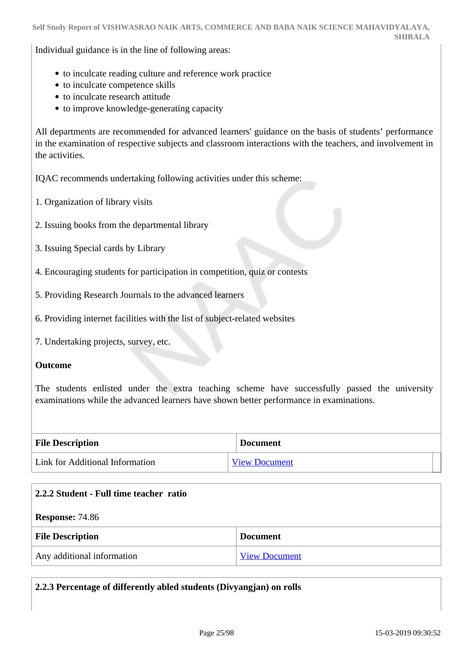Individual guidance is in the line of following areas:

- to inculcate reading culture and reference work practice
- to inculcate competence skills
- to inculcate research attitude
- to improve knowledge-generating capacity

All departments are recommended for advanced learners' guidance on the basis of students' performance in the examination of respective subjects and classroom interactions with the teachers, and involvement in the activities.

IQAC recommends undertaking following activities under this scheme:

- 1. Organization of library visits
- 2. Issuing books from the departmental library
- 3. Issuing Special cards by Library

4. Encouraging students for participation in competition, quiz or contests

- 5. Providing Research Journals to the advanced learners
- 6. Providing internet facilities with the list of subject-related websites
- 7. Undertaking projects, survey, etc.

#### **Outcome**

The students enlisted under the extra teaching scheme have successfully passed the university examinations while the advanced learners have shown better performance in examinations.

| <b>File Description</b>         | <b>Document</b>      |  |
|---------------------------------|----------------------|--|
| Link for Additional Information | <b>View Document</b> |  |

| 2.2.2 Student - Full time teacher ratio |                      |  |
|-----------------------------------------|----------------------|--|
| <b>Response: 74.86</b>                  |                      |  |
| <b>File Description</b>                 | <b>Document</b>      |  |
| Any additional information              | <b>View Document</b> |  |

| 2.2.3 Percentage of differently abled students (Divyangjan) on rolls |  |  |
|----------------------------------------------------------------------|--|--|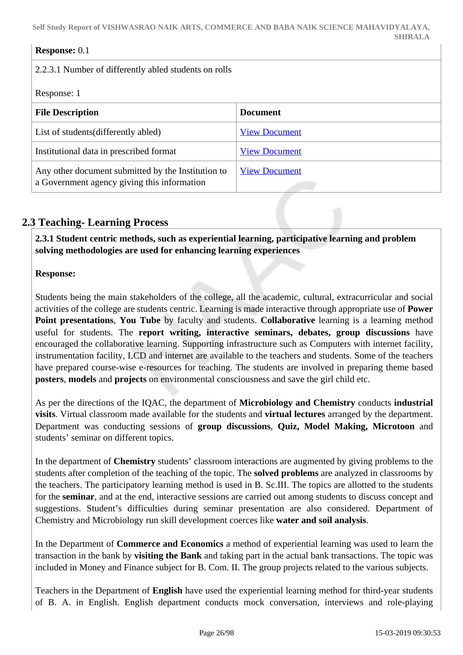### **Response:** 0.1

2.2.3.1 Number of differently abled students on rolls

### Response: 1

| <b>File Description</b>                                                                           | <b>Document</b>      |
|---------------------------------------------------------------------------------------------------|----------------------|
| List of students (differently abled)                                                              | <b>View Document</b> |
| Institutional data in prescribed format                                                           | <b>View Document</b> |
| Any other document submitted by the Institution to<br>a Government agency giving this information | <b>View Document</b> |

# **2.3 Teaching- Learning Process**

 **2.3.1 Student centric methods, such as experiential learning, participative learning and problem solving methodologies are used for enhancing learning experiences**

### **Response:**

Students being the main stakeholders of the college, all the academic, cultural, extracurricular and social activities of the college are students centric. Learning is made interactive through appropriate use of **Power Point presentations**, **You Tube** by faculty and students. **Collaborative** learning is a learning method useful for students. The **report writing, interactive seminars, debates, group discussions** have encouraged the collaborative learning. Supporting infrastructure such as Computers with internet facility, instrumentation facility, LCD and internet are available to the teachers and students. Some of the teachers have prepared course-wise e-resources for teaching. The students are involved in preparing theme based **posters**, **models** and **projects** on environmental consciousness and save the girl child etc.

As per the directions of the IQAC, the department of **Microbiology and Chemistry** conducts **industrial visits**. Virtual classroom made available for the students and **virtual lectures** arranged by the department. Department was conducting sessions of **group discussions**, **Quiz, Model Making, Microtoon** and students' seminar on different topics.

In the department of **Chemistry** students' classroom interactions are augmented by giving problems to the students after completion of the teaching of the topic. The **solved problems** are analyzed in classrooms by the teachers. The participatory learning method is used in B. Sc.III. The topics are allotted to the students for the **seminar**, and at the end, interactive sessions are carried out among students to discuss concept and suggestions. Student's difficulties during seminar presentation are also considered. Department of Chemistry and Microbiology run skill development coerces like **water and soil analysis**.

In the Department of **Commerce and Economics** a method of experiential learning was used to learn the transaction in the bank by **visiting the Bank** and taking part in the actual bank transactions. The topic was included in Money and Finance subject for B. Com. II. The group projects related to the various subjects.

Teachers in the Department of **English** have used the experiential learning method for third-year students of B. A. in English. English department conducts mock conversation, interviews and role-playing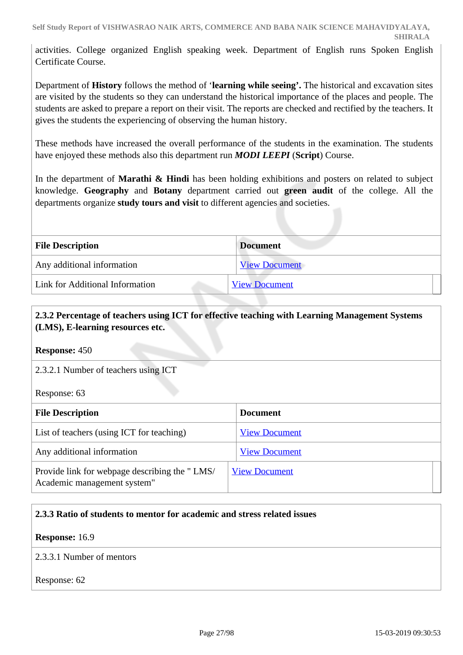activities. College organized English speaking week. Department of English runs Spoken English Certificate Course.

Department of **History** follows the method of '**learning while seeing'.** The historical and excavation sites are visited by the students so they can understand the historical importance of the places and people. The students are asked to prepare a report on their visit. The reports are checked and rectified by the teachers. It gives the students the experiencing of observing the human history.

These methods have increased the overall performance of the students in the examination. The students have enjoyed these methods also this department run *MODI LEEPI* (**Script**) Course.

In the department of **Marathi & Hindi** has been holding exhibitions and posters on related to subject knowledge. **Geography** and **Botany** department carried out **green audit** of the college. All the departments organize **study tours and visit** to different agencies and societies.

| <b>File Description</b>         | <b>Document</b>      |
|---------------------------------|----------------------|
| Any additional information      | <b>View Document</b> |
| Link for Additional Information | <b>View Document</b> |

# **2.3.2 Percentage of teachers using ICT for effective teaching with Learning Management Systems (LMS), E-learning resources etc.**

**Response:** 450

2.3.2.1 Number of teachers using ICT

Response: 63

| <b>File Description</b>                                                      | <b>Document</b>      |
|------------------------------------------------------------------------------|----------------------|
| List of teachers (using ICT for teaching)                                    | <b>View Document</b> |
| Any additional information                                                   | <b>View Document</b> |
| Provide link for webpage describing the "LMS/<br>Academic management system" | <b>View Document</b> |

# **2.3.3 Ratio of students to mentor for academic and stress related issues**

**Response:** 16.9

2.3.3.1 Number of mentors

Response: 62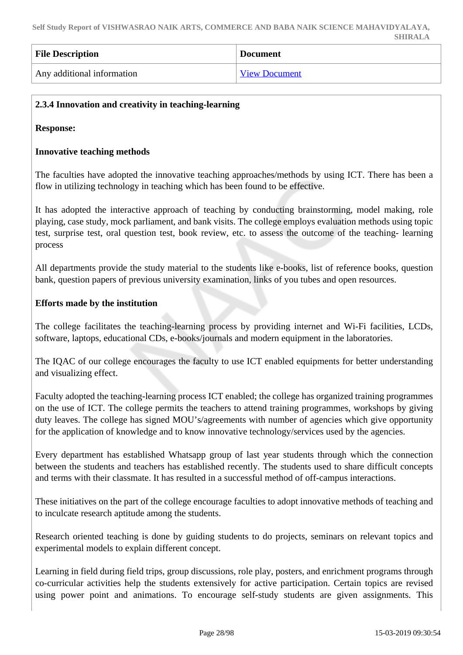| <b>File Description</b>    | <b>Document</b>      |
|----------------------------|----------------------|
| Any additional information | <b>View Document</b> |

## **2.3.4 Innovation and creativity in teaching-learning**

**Response:** 

#### **Innovative teaching methods**

The faculties have adopted the innovative teaching approaches/methods by using ICT. There has been a flow in utilizing technology in teaching which has been found to be effective.

It has adopted the interactive approach of teaching by conducting brainstorming, model making, role playing, case study, mock parliament, and bank visits. The college employs evaluation methods using topic test, surprise test, oral question test, book review, etc. to assess the outcome of the teaching- learning process

All departments provide the study material to the students like e-books, list of reference books, question bank, question papers of previous university examination, links of you tubes and open resources.

#### **Efforts made by the institution**

The college facilitates the teaching-learning process by providing internet and Wi-Fi facilities, LCDs, software, laptops, educational CDs, e-books/journals and modern equipment in the laboratories.

The IQAC of our college encourages the faculty to use ICT enabled equipments for better understanding and visualizing effect.

Faculty adopted the teaching-learning process ICT enabled; the college has organized training programmes on the use of ICT. The college permits the teachers to attend training programmes, workshops by giving duty leaves. The college has signed MOU's/agreements with number of agencies which give opportunity for the application of knowledge and to know innovative technology/services used by the agencies.

Every department has established Whatsapp group of last year students through which the connection between the students and teachers has established recently. The students used to share difficult concepts and terms with their classmate. It has resulted in a successful method of off-campus interactions.

These initiatives on the part of the college encourage faculties to adopt innovative methods of teaching and to inculcate research aptitude among the students.

Research oriented teaching is done by guiding students to do projects, seminars on relevant topics and experimental models to explain different concept.

Learning in field during field trips, group discussions, role play, posters, and enrichment programs through co-curricular activities help the students extensively for active participation. Certain topics are revised using power point and animations. To encourage self-study students are given assignments. This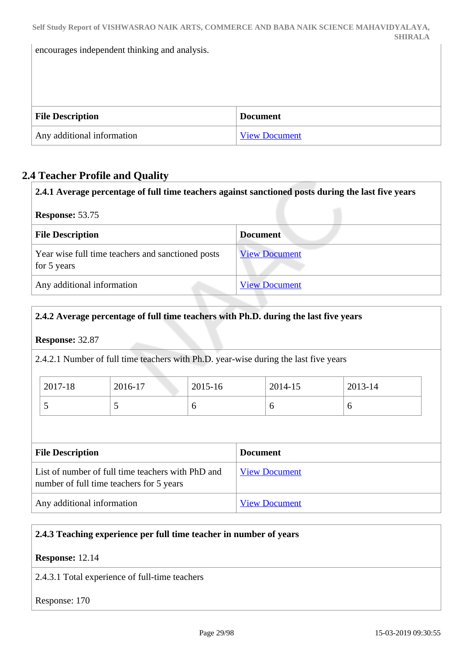encourages independent thinking and analysis.

| <b>File Description</b>    | <b>Document</b> |
|----------------------------|-----------------|
| Any additional information | View Document   |

# **2.4 Teacher Profile and Quality**

| 2.4.1 Average percentage of full time teachers against sanctioned posts during the last five years |                      |
|----------------------------------------------------------------------------------------------------|----------------------|
| <b>Response: 53.75</b>                                                                             |                      |
| <b>File Description</b>                                                                            | Document             |
| Year wise full time teachers and sanctioned posts<br>for 5 years                                   | <b>View Document</b> |
| Any additional information                                                                         | <b>View Document</b> |

# **2.4.2 Average percentage of full time teachers with Ph.D. during the last five years**

# **Response:** 32.87

2.4.2.1 Number of full time teachers with Ph.D. year-wise during the last five years

| 2017-18 | 2016-17 | 2015-16 | 2014-15 | 2013-14 |
|---------|---------|---------|---------|---------|
| ັ       |         |         | O       |         |

| <b>File Description</b>                                                                       | <b>Document</b>      |
|-----------------------------------------------------------------------------------------------|----------------------|
| List of number of full time teachers with PhD and<br>number of full time teachers for 5 years | <b>View Document</b> |
| Any additional information                                                                    | <b>View Document</b> |

# **2.4.3 Teaching experience per full time teacher in number of years**

**Response:** 12.14

2.4.3.1 Total experience of full-time teachers

Response: 170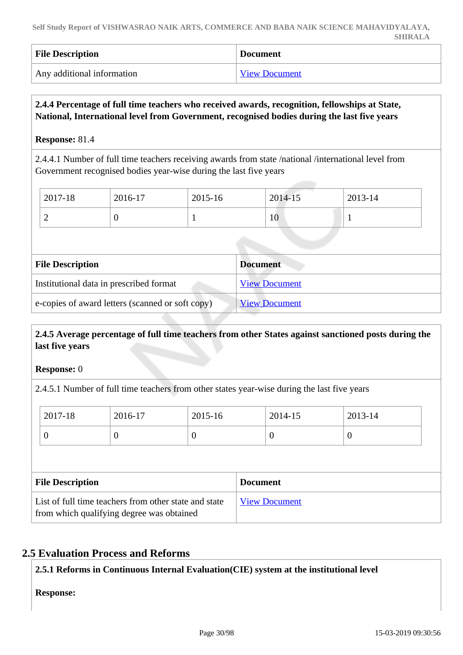| <b>File Description</b>    | Document             |
|----------------------------|----------------------|
| Any additional information | <b>View Document</b> |

## **2.4.4 Percentage of full time teachers who received awards, recognition, fellowships at State, National, International level from Government, recognised bodies during the last five years**

### **Response:** 81.4

2.4.4.1 Number of full time teachers receiving awards from state /national /international level from Government recognised bodies year-wise during the last five years

| 2017-18 | 2016-17 | 2015-16 | 2014-15 | 2013-14 |
|---------|---------|---------|---------|---------|
| ∽       | ν       |         | 10      |         |

| <b>File Description</b>                          | <b>Document</b>      |
|--------------------------------------------------|----------------------|
| Institutional data in prescribed format          | <b>View Document</b> |
| e-copies of award letters (scanned or soft copy) | <b>View Document</b> |

# **2.4.5 Average percentage of full time teachers from other States against sanctioned posts during the last five years**

### **Response:** 0

2.4.5.1 Number of full time teachers from other states year-wise during the last five years

| 2017-18 | 2016-17 | 2015-16 | 2014-15 | 2013-14 |
|---------|---------|---------|---------|---------|
| ິ       | ν       | ν       | v       |         |

| <b>File Description</b>                                                                            | <b>Document</b>      |
|----------------------------------------------------------------------------------------------------|----------------------|
| List of full time teachers from other state and state<br>from which qualifying degree was obtained | <b>View Document</b> |

# **2.5 Evaluation Process and Reforms**

# **2.5.1 Reforms in Continuous Internal Evaluation(CIE) system at the institutional level**

**Response:**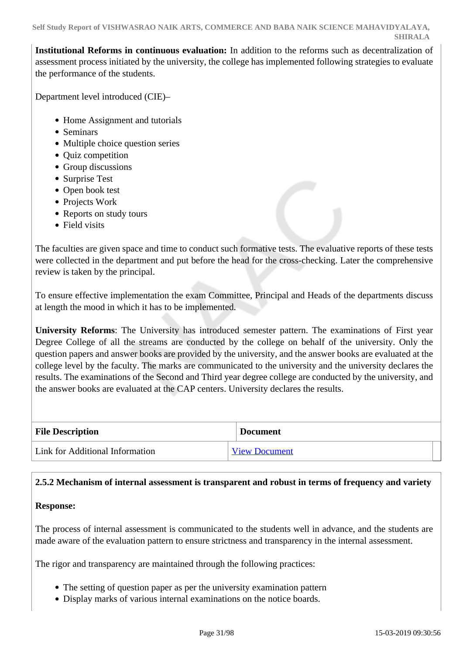**Institutional Reforms in continuous evaluation:** In addition to the reforms such as decentralization of assessment process initiated by the university, the college has implemented following strategies to evaluate the performance of the students.

Department level introduced (CIE)–

- Home Assignment and tutorials
- Seminars
- Multiple choice question series
- Quiz competition
- Group discussions
- Surprise Test
- Open book test
- Projects Work
- Reports on study tours
- Field visits

The faculties are given space and time to conduct such formative tests. The evaluative reports of these tests were collected in the department and put before the head for the cross-checking. Later the comprehensive review is taken by the principal.

To ensure effective implementation the exam Committee, Principal and Heads of the departments discuss at length the mood in which it has to be implemented.

**University Reforms**: The University has introduced semester pattern. The examinations of First year Degree College of all the streams are conducted by the college on behalf of the university. Only the question papers and answer books are provided by the university, and the answer books are evaluated at the college level by the faculty. The marks are communicated to the university and the university declares the results. The examinations of the Second and Third year degree college are conducted by the university, and the answer books are evaluated at the CAP centers. University declares the results.

| <b>File Description</b>         | <b>Document</b>      |
|---------------------------------|----------------------|
| Link for Additional Information | <b>View Document</b> |

# **2.5.2 Mechanism of internal assessment is transparent and robust in terms of frequency and variety**

### **Response:**

The process of internal assessment is communicated to the students well in advance, and the students are made aware of the evaluation pattern to ensure strictness and transparency in the internal assessment.

The rigor and transparency are maintained through the following practices:

- The setting of question paper as per the university examination pattern
- Display marks of various internal examinations on the notice boards.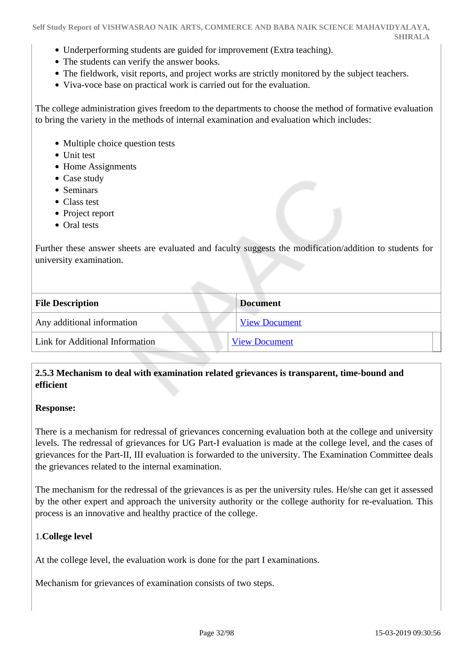- Underperforming students are guided for improvement (Extra teaching).
- The students can verify the answer books.
- The fieldwork, visit reports, and project works are strictly monitored by the subject teachers.
- Viva-voce base on practical work is carried out for the evaluation.

The college administration gives freedom to the departments to choose the method of formative evaluation to bring the variety in the methods of internal examination and evaluation which includes:

- Multiple choice question tests
- Unit test
- Home Assignments
- Case study
- Seminars
- Class test
- Project report
- Oral tests

Further these answer sheets are evaluated and faculty suggests the modification/addition to students for university examination.

| <b>File Description</b>         | <b>Document</b>      |
|---------------------------------|----------------------|
| Any additional information      | <b>View Document</b> |
| Link for Additional Information | <b>View Document</b> |

## **2.5.3 Mechanism to deal with examination related grievances is transparent, time-bound and efficient**

#### **Response:**

There is a mechanism for redressal of grievances concerning evaluation both at the college and university levels. The redressal of grievances for UG Part-I evaluation is made at the college level, and the cases of grievances for the Part-II, III evaluation is forwarded to the university. The Examination Committee deals the grievances related to the internal examination.

The mechanism for the redressal of the grievances is as per the university rules. He/she can get it assessed by the other expert and approach the university authority or the college authority for re-evaluation. This process is an innovative and healthy practice of the college.

### 1.**College level**

At the college level, the evaluation work is done for the part I examinations.

Mechanism for grievances of examination consists of two steps.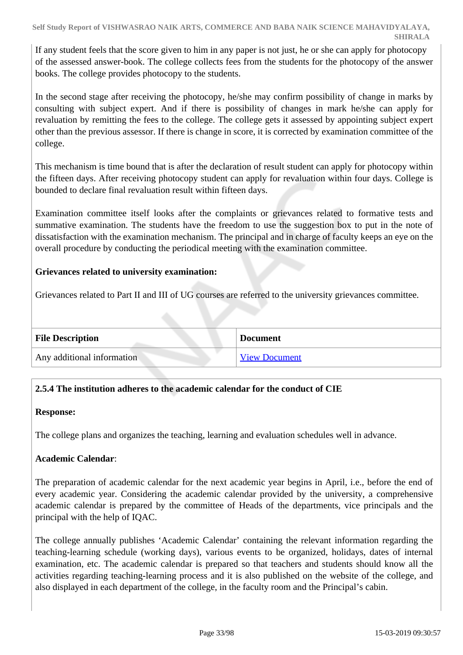If any student feels that the score given to him in any paper is not just, he or she can apply for photocopy of the assessed answer-book. The college collects fees from the students for the photocopy of the answer books. The college provides photocopy to the students.

In the second stage after receiving the photocopy, he/she may confirm possibility of change in marks by consulting with subject expert. And if there is possibility of changes in mark he/she can apply for revaluation by remitting the fees to the college. The college gets it assessed by appointing subject expert other than the previous assessor. If there is change in score, it is corrected by examination committee of the college.

This mechanism is time bound that is after the declaration of result student can apply for photocopy within the fifteen days. After receiving photocopy student can apply for revaluation within four days. College is bounded to declare final revaluation result within fifteen days.

Examination committee itself looks after the complaints or grievances related to formative tests and summative examination. The students have the freedom to use the suggestion box to put in the note of dissatisfaction with the examination mechanism. The principal and in charge of faculty keeps an eye on the overall procedure by conducting the periodical meeting with the examination committee.

# **Grievances related to university examination:**

Grievances related to Part II and III of UG courses are referred to the university grievances committee.

| <b>File Description</b>    | <b>Document</b>      |
|----------------------------|----------------------|
| Any additional information | <b>View Document</b> |

# **2.5.4 The institution adheres to the academic calendar for the conduct of CIE**

# **Response:**

The college plans and organizes the teaching, learning and evaluation schedules well in advance.

# **Academic Calendar**:

The preparation of academic calendar for the next academic year begins in April, i.e., before the end of every academic year. Considering the academic calendar provided by the university, a comprehensive academic calendar is prepared by the committee of Heads of the departments, vice principals and the principal with the help of IQAC.

The college annually publishes 'Academic Calendar' containing the relevant information regarding the teaching-learning schedule (working days), various events to be organized, holidays, dates of internal examination, etc. The academic calendar is prepared so that teachers and students should know all the activities regarding teaching-learning process and it is also published on the website of the college, and also displayed in each department of the college, in the faculty room and the Principal's cabin.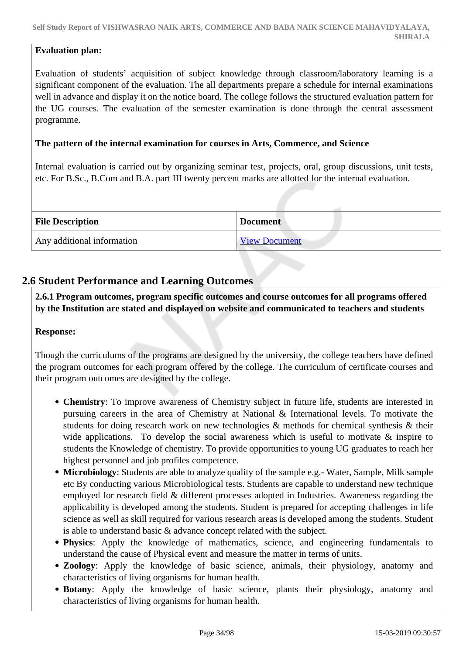**Self Study Report of VISHWASRAO NAIK ARTS, COMMERCE AND BABA NAIK SCIENCE MAHAVIDYALAYA, SHIRALA**

## **Evaluation plan:**

Evaluation of students' acquisition of subject knowledge through classroom/laboratory learning is a significant component of the evaluation. The all departments prepare a schedule for internal examinations well in advance and display it on the notice board. The college follows the structured evaluation pattern for the UG courses. The evaluation of the semester examination is done through the central assessment programme.

### **The pattern of the internal examination for courses in Arts, Commerce, and Science**

Internal evaluation is carried out by organizing seminar test, projects, oral, group discussions, unit tests, etc. For B.Sc., B.Com and B.A. part III twenty percent marks are allotted for the internal evaluation.

| <b>File Description</b>    | <b>Document</b>      |
|----------------------------|----------------------|
| Any additional information | <b>View Document</b> |

# **2.6 Student Performance and Learning Outcomes**

 **2.6.1 Program outcomes, program specific outcomes and course outcomes for all programs offered by the Institution are stated and displayed on website and communicated to teachers and students**

### **Response:**

Though the curriculums of the programs are designed by the university, the college teachers have defined the program outcomes for each program offered by the college. The curriculum of certificate courses and their program outcomes are designed by the college.

- **Chemistry**: To improve awareness of Chemistry subject in future life, students are interested in pursuing careers in the area of Chemistry at National & International levels. To motivate the students for doing research work on new technologies & methods for chemical synthesis & their wide applications. To develop the social awareness which is useful to motivate  $\&$  inspire to students the Knowledge of chemistry. To provide opportunities to young UG graduates to reach her highest personnel and job profiles competence.
- **Microbiology**: Students are able to analyze quality of the sample e.g.- Water, Sample, Milk sample etc By conducting various Microbiological tests. Students are capable to understand new technique employed for research field & different processes adopted in Industries. Awareness regarding the applicability is developed among the students. Student is prepared for accepting challenges in life science as well as skill required for various research areas is developed among the students. Student is able to understand basic & advance concept related with the subject.
- **Physics**: Apply the knowledge of mathematics, science, and engineering fundamentals to understand the cause of Physical event and measure the matter in terms of units.
- **Zoology**: Apply the knowledge of basic science, animals, their physiology, anatomy and characteristics of living organisms for human health.
- **Botany**: Apply the knowledge of basic science, plants their physiology, anatomy and characteristics of living organisms for human health.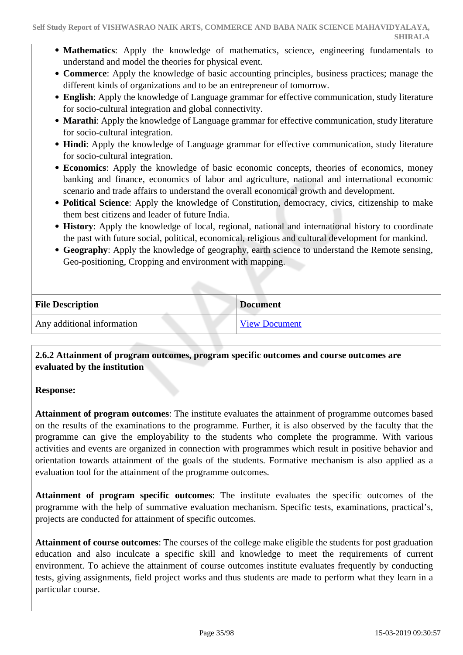- **Mathematics**: Apply the knowledge of mathematics, science, engineering fundamentals to understand and model the theories for physical event.
- **Commerce**: Apply the knowledge of basic accounting principles, business practices; manage the different kinds of organizations and to be an entrepreneur of tomorrow.
- **English**: Apply the knowledge of Language grammar for effective communication, study literature for socio-cultural integration and global connectivity.
- **Marathi**: Apply the knowledge of Language grammar for effective communication, study literature for socio-cultural integration.
- **Hindi**: Apply the knowledge of Language grammar for effective communication, study literature for socio-cultural integration.
- **Economics**: Apply the knowledge of basic economic concepts, theories of economics, money banking and finance, economics of labor and agriculture, national and international economic scenario and trade affairs to understand the overall economical growth and development.
- **Political Science**: Apply the knowledge of Constitution, democracy, civics, citizenship to make them best citizens and leader of future India.
- **History**: Apply the knowledge of local, regional, national and international history to coordinate the past with future social, political, economical, religious and cultural development for mankind.
- **Geography**: Apply the knowledge of geography, earth science to understand the Remote sensing, Geo-positioning, Cropping and environment with mapping.

| <b>File Description</b>    | <b>Document</b>      |
|----------------------------|----------------------|
| Any additional information | <b>View Document</b> |

## **2.6.2 Attainment of program outcomes, program specific outcomes and course outcomes are evaluated by the institution**

### **Response:**

**Attainment of program outcomes**: The institute evaluates the attainment of programme outcomes based on the results of the examinations to the programme. Further, it is also observed by the faculty that the programme can give the employability to the students who complete the programme. With various activities and events are organized in connection with programmes which result in positive behavior and orientation towards attainment of the goals of the students. Formative mechanism is also applied as a evaluation tool for the attainment of the programme outcomes.

**Attainment of program specific outcomes**: The institute evaluates the specific outcomes of the programme with the help of summative evaluation mechanism. Specific tests, examinations, practical's, projects are conducted for attainment of specific outcomes.

**Attainment of course outcomes**: The courses of the college make eligible the students for post graduation education and also inculcate a specific skill and knowledge to meet the requirements of current environment. To achieve the attainment of course outcomes institute evaluates frequently by conducting tests, giving assignments, field project works and thus students are made to perform what they learn in a particular course.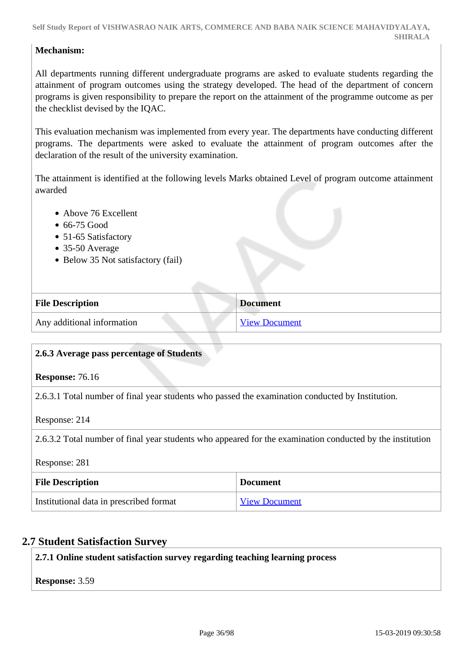### **Mechanism:**

All departments running different undergraduate programs are asked to evaluate students regarding the attainment of program outcomes using the strategy developed. The head of the department of concern programs is given responsibility to prepare the report on the attainment of the programme outcome as per the checklist devised by the IQAC.

This evaluation mechanism was implemented from every year. The departments have conducting different programs. The departments were asked to evaluate the attainment of program outcomes after the declaration of the result of the university examination.

The attainment is identified at the following levels Marks obtained Level of program outcome attainment awarded

- Above 76 Excellent
- 66-75 Good
- 51-65 Satisfactory
- 35-50 Average
- Below 35 Not satisfactory (fail)

| <b>File Description</b>    | <b>Document</b>      |
|----------------------------|----------------------|
| Any additional information | <b>View Document</b> |

### **2.6.3 Average pass percentage of Students**

#### **Response:** 76.16

2.6.3.1 Total number of final year students who passed the examination conducted by Institution.

Response: 214

2.6.3.2 Total number of final year students who appeared for the examination conducted by the institution

Response: 281

| <b>File Description</b>                 | <b>Document</b>      |
|-----------------------------------------|----------------------|
| Institutional data in prescribed format | <b>View Document</b> |

# **2.7 Student Satisfaction Survey**

**2.7.1 Online student satisfaction survey regarding teaching learning process**

**Response:** 3.59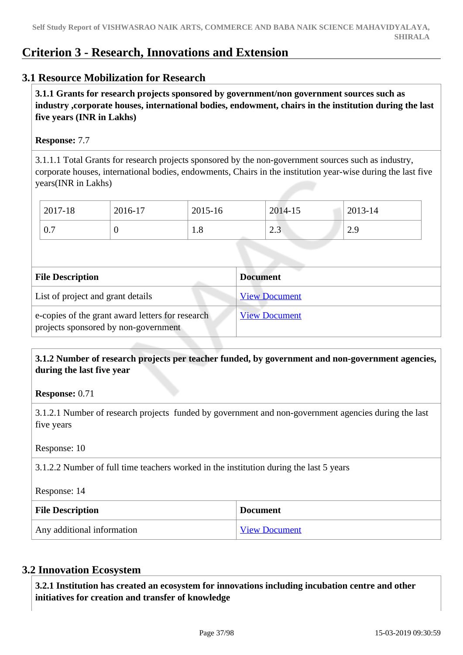# **Criterion 3 - Research, Innovations and Extension**

# **3.1 Resource Mobilization for Research**

 **3.1.1 Grants for research projects sponsored by government/non government sources such as industry ,corporate houses, international bodies, endowment, chairs in the institution during the last five years (INR in Lakhs)** 

#### **Response:** 7.7

3.1.1.1 Total Grants for research projects sponsored by the non-government sources such as industry, corporate houses, international bodies, endowments, Chairs in the institution year-wise during the last five years(INR in Lakhs)

| 2017-18     | 2016-17 | 2015-16  | 2014-15        | 2013-14           |
|-------------|---------|----------|----------------|-------------------|
| $\Omega$    | ິ       | $\Omega$ | $\sim$ $\sim$  | $\Omega$ $\Omega$ |
| $U_{\rm t}$ |         | 1.0      | $\overline{L}$ | رب                |

| <b>File Description</b>                                                                  | <b>Document</b>      |
|------------------------------------------------------------------------------------------|----------------------|
| List of project and grant details                                                        | <b>View Document</b> |
| e-copies of the grant award letters for research<br>projects sponsored by non-government | <b>View Document</b> |

 **3.1.2 Number of research projects per teacher funded, by government and non-government agencies, during the last five year**

**Response:** 0.71

3.1.2.1 Number of research projects funded by government and non-government agencies during the last five years

Response: 10

3.1.2.2 Number of full time teachers worked in the institution during the last 5 years

Response: 14

| <b>File Description</b>    | <b>Document</b>      |
|----------------------------|----------------------|
| Any additional information | <b>View Document</b> |

# **3.2 Innovation Ecosystem**

 **3.2.1 Institution has created an ecosystem for innovations including incubation centre and other initiatives for creation and transfer of knowledge**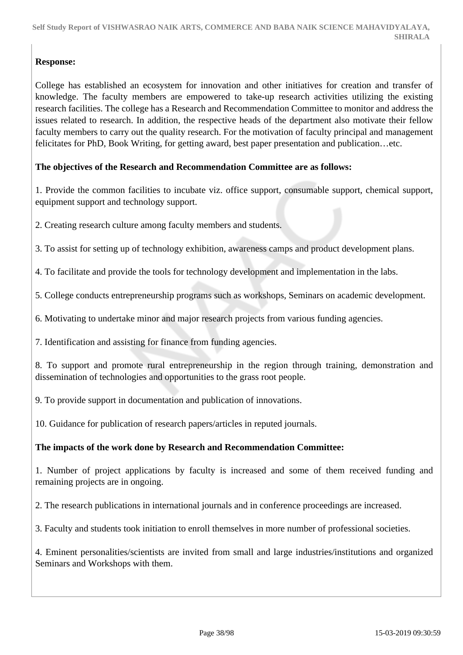# **Response:**

College has established an ecosystem for innovation and other initiatives for creation and transfer of knowledge. The faculty members are empowered to take-up research activities utilizing the existing research facilities. The college has a Research and Recommendation Committee to monitor and address the issues related to research. In addition, the respective heads of the department also motivate their fellow faculty members to carry out the quality research. For the motivation of faculty principal and management felicitates for PhD, Book Writing, for getting award, best paper presentation and publication…etc.

# **The objectives of the Research and Recommendation Committee are as follows:**

1. Provide the common facilities to incubate viz. office support, consumable support, chemical support, equipment support and technology support.

2. Creating research culture among faculty members and students.

3. To assist for setting up of technology exhibition, awareness camps and product development plans.

4. To facilitate and provide the tools for technology development and implementation in the labs.

5. College conducts entrepreneurship programs such as workshops, Seminars on academic development.

6. Motivating to undertake minor and major research projects from various funding agencies.

7. Identification and assisting for finance from funding agencies.

8. To support and promote rural entrepreneurship in the region through training, demonstration and dissemination of technologies and opportunities to the grass root people.

9. To provide support in documentation and publication of innovations.

10. Guidance for publication of research papers/articles in reputed journals.

#### **The impacts of the work done by Research and Recommendation Committee:**

1. Number of project applications by faculty is increased and some of them received funding and remaining projects are in ongoing.

2. The research publications in international journals and in conference proceedings are increased.

3. Faculty and students took initiation to enroll themselves in more number of professional societies.

4. Eminent personalities/scientists are invited from small and large industries/institutions and organized Seminars and Workshops with them.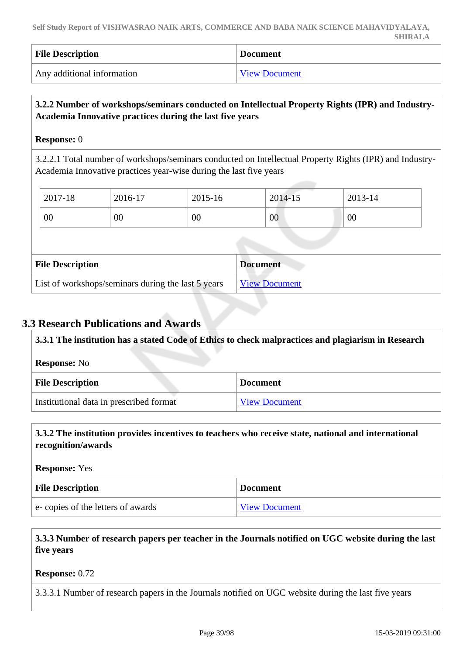| <b>File Description</b>    | <b>Document</b> |
|----------------------------|-----------------|
| Any additional information | View Document   |

# **3.2.2 Number of workshops/seminars conducted on Intellectual Property Rights (IPR) and Industry-Academia Innovative practices during the last five years**

#### **Response:** 0

3.2.2.1 Total number of workshops/seminars conducted on Intellectual Property Rights (IPR) and Industry-Academia Innovative practices year-wise during the last five years

| 2017-18                 | 2016-17 | 2015-16 | 2014-15         | 2013-14 |  |
|-------------------------|---------|---------|-----------------|---------|--|
| 00                      | $00\,$  | 00      | 00              | 00      |  |
|                         |         |         |                 |         |  |
|                         |         |         |                 |         |  |
| <b>File Description</b> |         |         | <b>Document</b> |         |  |

# **3.3 Research Publications and Awards**

| 3.3.1 The institution has a stated Code of Ethics to check malpractices and plagiarism in Research |                 |  |
|----------------------------------------------------------------------------------------------------|-----------------|--|
| <b>Response:</b> No                                                                                |                 |  |
| <b>File Description</b>                                                                            | <b>Document</b> |  |
| Institutional data in prescribed format<br><b>View Document</b>                                    |                 |  |

#### **3.3.2 The institution provides incentives to teachers who receive state, national and international recognition/awards**

**Response:** Yes

| <b>File Description</b>           | <b>Document</b>      |
|-----------------------------------|----------------------|
| e-copies of the letters of awards | <b>View Document</b> |

# **3.3.3 Number of research papers per teacher in the Journals notified on UGC website during the last five years**

#### **Response:** 0.72

3.3.3.1 Number of research papers in the Journals notified on UGC website during the last five years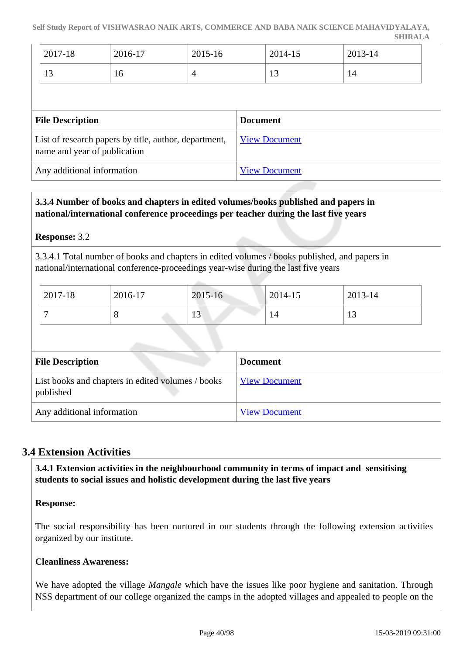| $^{\circ}$ 2017-18   | 2016-17 | 2015-16 | 2014-15 | 2013-14 |
|----------------------|---------|---------|---------|---------|
| 1 <sub>2</sub><br>13 | 16      |         | $\sim$  | 14      |

| <b>File Description</b>                                                               | <b>Document</b>      |
|---------------------------------------------------------------------------------------|----------------------|
| List of research papers by title, author, department,<br>name and year of publication | <b>View Document</b> |
| Any additional information                                                            | <b>View Document</b> |

# **3.3.4 Number of books and chapters in edited volumes/books published and papers in national/international conference proceedings per teacher during the last five years**

**Response:** 3.2

3.3.4.1 Total number of books and chapters in edited volumes / books published, and papers in national/international conference-proceedings year-wise during the last five years

| 2017-18 | 2016-17 | 2015-16              | 2014-15 | $2013 - 14$ |
|---------|---------|----------------------|---------|-------------|
|         | ◡       | 1 <sub>2</sub><br>13 | 14      | . L.J       |

| <b>File Description</b>                                        | <b>Document</b>      |
|----------------------------------------------------------------|----------------------|
| List books and chapters in edited volumes / books<br>published | <b>View Document</b> |
| Any additional information                                     | <b>View Document</b> |

# **3.4 Extension Activities**

 **3.4.1 Extension activities in the neighbourhood community in terms of impact and sensitising students to social issues and holistic development during the last five years**

# **Response:**

The social responsibility has been nurtured in our students through the following extension activities organized by our institute.

# **Cleanliness Awareness:**

We have adopted the village *Mangale* which have the issues like poor hygiene and sanitation. Through NSS department of our college organized the camps in the adopted villages and appealed to people on the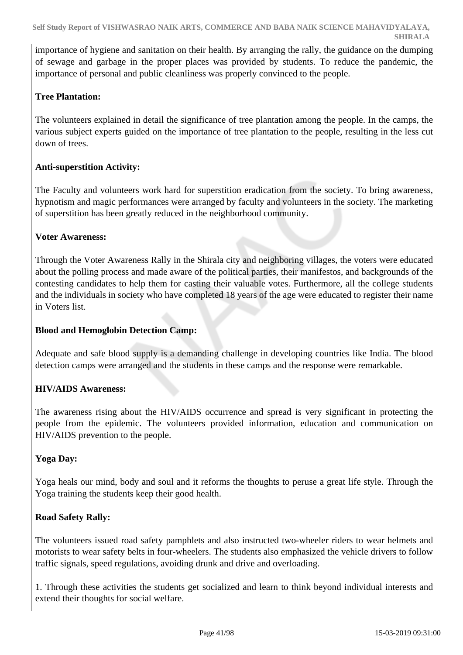importance of hygiene and sanitation on their health. By arranging the rally, the guidance on the dumping of sewage and garbage in the proper places was provided by students. To reduce the pandemic, the importance of personal and public cleanliness was properly convinced to the people.

# **Tree Plantation:**

The volunteers explained in detail the significance of tree plantation among the people. In the camps, the various subject experts guided on the importance of tree plantation to the people, resulting in the less cut down of trees.

# **Anti-superstition Activity:**

The Faculty and volunteers work hard for superstition eradication from the society. To bring awareness, hypnotism and magic performances were arranged by faculty and volunteers in the society. The marketing of superstition has been greatly reduced in the neighborhood community.

# **Voter Awareness:**

Through the Voter Awareness Rally in the Shirala city and neighboring villages, the voters were educated about the polling process and made aware of the political parties, their manifestos, and backgrounds of the contesting candidates to help them for casting their valuable votes. Furthermore, all the college students and the individuals in society who have completed 18 years of the age were educated to register their name in Voters list.

# **Blood and Hemoglobin Detection Camp:**

Adequate and safe blood supply is a demanding challenge in developing countries like India. The blood detection camps were arranged and the students in these camps and the response were remarkable.

# **HIV/AIDS Awareness:**

The awareness rising about the HIV/AIDS occurrence and spread is very significant in protecting the people from the epidemic. The volunteers provided information, education and communication on HIV/AIDS prevention to the people.

# **Yoga Day:**

Yoga heals our mind, body and soul and it reforms the thoughts to peruse a great life style. Through the Yoga training the students keep their good health.

# **Road Safety Rally:**

The volunteers issued road safety pamphlets and also instructed two-wheeler riders to wear helmets and motorists to wear safety belts in four-wheelers. The students also emphasized the vehicle drivers to follow traffic signals, speed regulations, avoiding drunk and drive and overloading.

1. Through these activities the students get socialized and learn to think beyond individual interests and extend their thoughts for social welfare.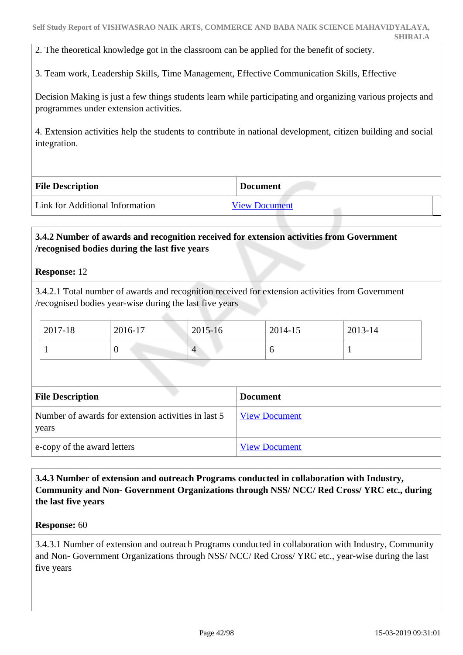2. The theoretical knowledge got in the classroom can be applied for the benefit of society.

3. Team work, Leadership Skills, Time Management, Effective Communication Skills, Effective

Decision Making is just a few things students learn while participating and organizing various projects and programmes under extension activities.

4. Extension activities help the students to contribute in national development, citizen building and social integration.

| <b>File Description</b>         | <b>Document</b>      |
|---------------------------------|----------------------|
| Link for Additional Information | <b>View Document</b> |

#### **3.4.2 Number of awards and recognition received for extension activities from Government /recognised bodies during the last five years**

#### **Response:** 12

3.4.2.1 Total number of awards and recognition received for extension activities from Government /recognised bodies year-wise during the last five years

| $\frac{1}{2017-18}$ | 2016-17 | 2015-16 | 2014-15 | 2013-14 |
|---------------------|---------|---------|---------|---------|
|                     |         |         |         |         |

| <b>File Description</b>                                      | <b>Document</b>      |
|--------------------------------------------------------------|----------------------|
| Number of awards for extension activities in last 5<br>years | <b>View Document</b> |
| e-copy of the award letters                                  | <b>View Document</b> |

# **3.4.3 Number of extension and outreach Programs conducted in collaboration with Industry, Community and Non- Government Organizations through NSS/ NCC/ Red Cross/ YRC etc., during the last five years**

#### **Response:** 60

3.4.3.1 Number of extension and outreach Programs conducted in collaboration with Industry, Community and Non- Government Organizations through NSS/ NCC/ Red Cross/ YRC etc., year-wise during the last five years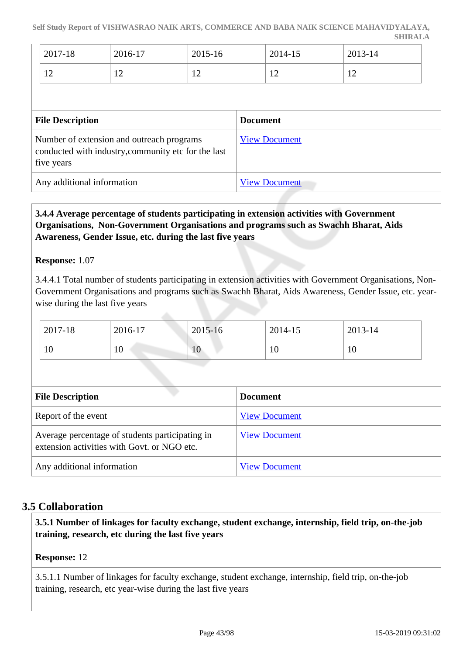| 2017-18        | 2016-17        | 2015-16        | 2014-15        | 2013-14        |
|----------------|----------------|----------------|----------------|----------------|
| $1^{\wedge}$   | $\overline{1}$ | $\sim$         | 1 <sub>0</sub> | 1 <sub>0</sub> |
| $\overline{ }$ |                | $\overline{1}$ | $\frac{1}{2}$  | $\overline{1}$ |

| <b>File Description</b>                                                                                        | <b>Document</b>      |
|----------------------------------------------------------------------------------------------------------------|----------------------|
| Number of extension and outreach programs<br>conducted with industry, community etc for the last<br>five years | <b>View Document</b> |
| Any additional information                                                                                     | <b>View Document</b> |

 **3.4.4 Average percentage of students participating in extension activities with Government Organisations, Non-Government Organisations and programs such as Swachh Bharat, Aids Awareness, Gender Issue, etc. during the last five years**

#### **Response:** 1.07

3.4.4.1 Total number of students participating in extension activities with Government Organisations, Non-Government Organisations and programs such as Swachh Bharat, Aids Awareness, Gender Issue, etc. yearwise during the last five years

| 2017-18        | 2016-17 | 2015-16 | 2014-15 | 2013-14 |
|----------------|---------|---------|---------|---------|
| $1 \cap$<br>ΙV | 10      | 10      | 1 V     | 10      |

| <b>File Description</b>                                                                        | <b>Document</b>      |
|------------------------------------------------------------------------------------------------|----------------------|
| Report of the event                                                                            | <b>View Document</b> |
| Average percentage of students participating in<br>extension activities with Govt. or NGO etc. | <b>View Document</b> |
| Any additional information                                                                     | <b>View Document</b> |

# **3.5 Collaboration**

 **3.5.1 Number of linkages for faculty exchange, student exchange, internship, field trip, on-the-job training, research, etc during the last five years**

#### **Response:** 12

3.5.1.1 Number of linkages for faculty exchange, student exchange, internship, field trip, on-the-job training, research, etc year-wise during the last five years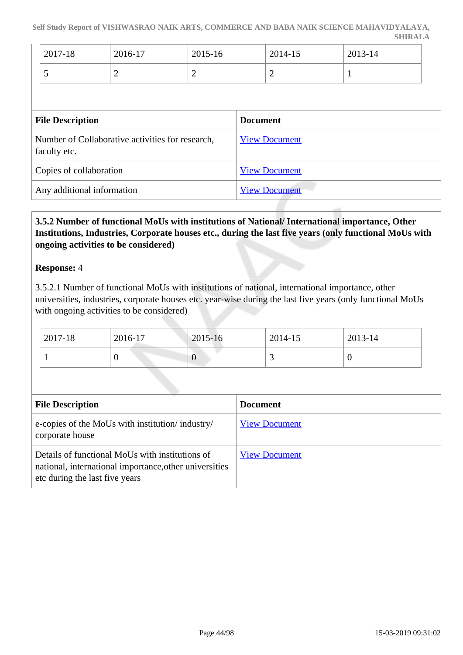| 2017-18 | 2016-17 | 2015-16 | 2014-15 | 2013-14 |
|---------|---------|---------|---------|---------|
|         | -       | -       | -       |         |

| <b>File Description</b>                                          | <b>Document</b>      |
|------------------------------------------------------------------|----------------------|
| Number of Collaborative activities for research,<br>faculty etc. | <b>View Document</b> |
| Copies of collaboration                                          | <b>View Document</b> |
| Any additional information                                       | <b>View Document</b> |

# **3.5.2 Number of functional MoUs with institutions of National/ International importance, Other Institutions, Industries, Corporate houses etc., during the last five years (only functional MoUs with ongoing activities to be considered)**

#### **Response:** 4

3.5.2.1 Number of functional MoUs with institutions of national, international importance, other universities, industries, corporate houses etc. year-wise during the last five years (only functional MoUs with ongoing activities to be considered)

| 2017-18 | 2016-17 | 2015-16 | 2014-15                  | 2013-14 |
|---------|---------|---------|--------------------------|---------|
|         | ν       | ິ       | $\overline{\phantom{0}}$ |         |

| <b>File Description</b>                                                                                                                     | <b>Document</b>      |
|---------------------------------------------------------------------------------------------------------------------------------------------|----------------------|
| e-copies of the MoUs with institution/industry/<br>corporate house                                                                          | <b>View Document</b> |
| Details of functional MoUs with institutions of<br>national, international importance, other universities<br>etc during the last five years | <b>View Document</b> |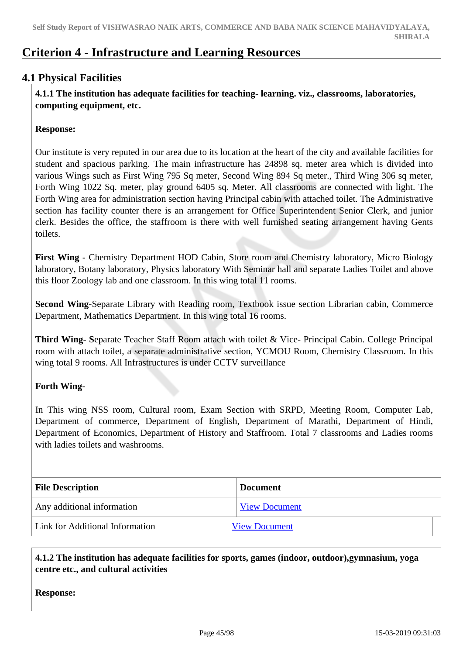# **Criterion 4 - Infrastructure and Learning Resources**

# **4.1 Physical Facilities**

 **4.1.1 The institution has adequate facilities for teaching- learning. viz., classrooms, laboratories, computing equipment, etc.**

#### **Response:**

Our institute is very reputed in our area due to its location at the heart of the city and available facilities for student and spacious parking. The main infrastructure has 24898 sq. meter area which is divided into various Wings such as First Wing 795 Sq meter, Second Wing 894 Sq meter., Third Wing 306 sq meter, Forth Wing 1022 Sq. meter, play ground 6405 sq. Meter. All classrooms are connected with light. The Forth Wing area for administration section having Principal cabin with attached toilet. The Administrative section has facility counter there is an arrangement for Office Superintendent Senior Clerk, and junior clerk. Besides the office, the staffroom is there with well furnished seating arrangement having Gents toilets.

**First Wing -** Chemistry Department HOD Cabin, Store room and Chemistry laboratory, Micro Biology laboratory, Botany laboratory, Physics laboratory With Seminar hall and separate Ladies Toilet and above this floor Zoology lab and one classroom. In this wing total 11 rooms.

**Second Wing**-Separate Library with Reading room, Textbook issue section Librarian cabin, Commerce Department, Mathematics Department. In this wing total 16 rooms.

**Third Wing- S**eparate Teacher Staff Room attach with toilet & Vice- Principal Cabin. College Principal room with attach toilet, a separate administrative section, YCMOU Room, Chemistry Classroom. In this wing total 9 rooms. All Infrastructures is under CCTV surveillance

# **Forth Wing**-

In This wing NSS room, Cultural room, Exam Section with SRPD, Meeting Room, Computer Lab, Department of commerce, Department of English, Department of Marathi, Department of Hindi, Department of Economics, Department of History and Staffroom. Total 7 classrooms and Ladies rooms with ladies toilets and washrooms.

| <b>File Description</b>         | <b>Document</b>      |
|---------------------------------|----------------------|
| Any additional information      | <b>View Document</b> |
| Link for Additional Information | <b>View Document</b> |

# **4.1.2 The institution has adequate facilities for sports, games (indoor, outdoor),gymnasium, yoga centre etc., and cultural activities**

**Response:**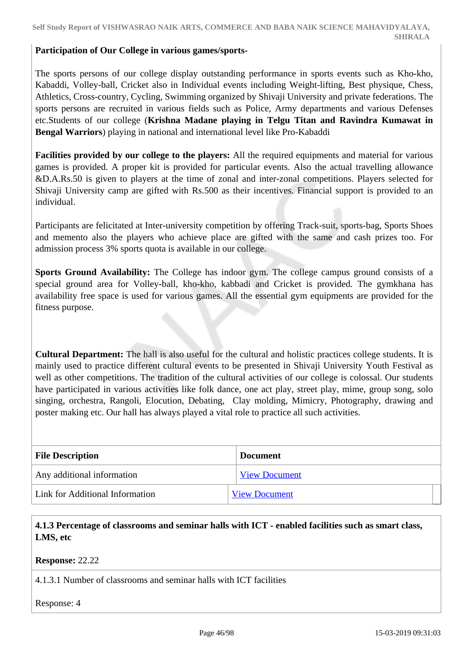#### **Participation of Our College in various games/sports-**

The sports persons of our college display outstanding performance in sports events such as Kho-kho, Kabaddi, Volley-ball, Cricket also in Individual events including Weight-lifting, Best physique, Chess, Athletics, Cross-country, Cycling, Swimming organized by Shivaji University and private federations. The sports persons are recruited in various fields such as Police, Army departments and various Defenses etc.Students of our college (**Krishna Madane playing in Telgu Titan and Ravindra Kumawat in Bengal Warriors**) playing in national and international level like Pro-Kabaddi

**Facilities provided by our college to the players:** All the required equipments and material for various games is provided. A proper kit is provided for particular events. Also the actual travelling allowance &D.A.Rs.50 is given to players at the time of zonal and inter-zonal competitions. Players selected for Shivaji University camp are gifted with Rs.500 as their incentives. Financial support is provided to an individual.

Participants are felicitated at Inter-university competition by offering Track-suit, sports-bag, Sports Shoes and memento also the players who achieve place are gifted with the same and cash prizes too. For admission process 3% sports quota is available in our college.

**Sports Ground Availability:** The College has indoor gym. The college campus ground consists of a special ground area for Volley-ball, kho-kho, kabbadi and Cricket is provided. The gymkhana has availability free space is used for various games. All the essential gym equipments are provided for the fitness purpose.

**Cultural Department:** The hall is also useful for the cultural and holistic practices college students. It is mainly used to practice different cultural events to be presented in Shivaji University Youth Festival as well as other competitions. The tradition of the cultural activities of our college is colossal. Our students have participated in various activities like folk dance, one act play, street play, mime, group song, solo singing, orchestra, Rangoli, Elocution, Debating, Clay molding, Mimicry, Photography, drawing and poster making etc. Our hall has always played a vital role to practice all such activities.

| <b>File Description</b>         | <b>Document</b>      |
|---------------------------------|----------------------|
| Any additional information      | <b>View Document</b> |
| Link for Additional Information | <b>View Document</b> |

 **4.1.3 Percentage of classrooms and seminar halls with ICT - enabled facilities such as smart class, LMS, etc**

**Response:** 22.22

4.1.3.1 Number of classrooms and seminar halls with ICT facilities

Response: 4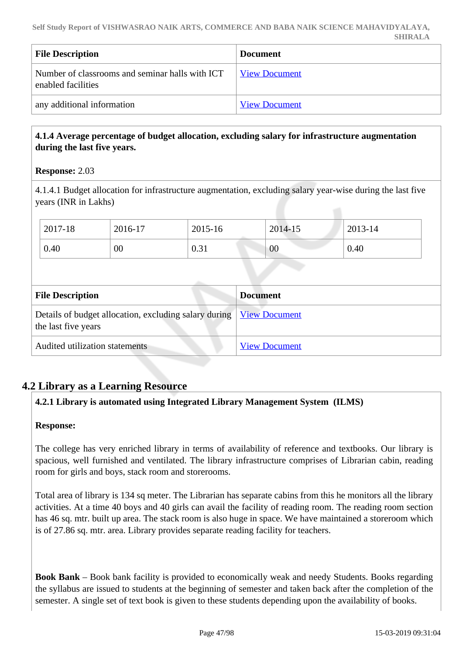| <b>File Description</b>                                               | <b>Document</b>      |
|-----------------------------------------------------------------------|----------------------|
| Number of classrooms and seminar halls with ICT<br>enabled facilities | <b>View Document</b> |
| any additional information                                            | <b>View Document</b> |

# **4.1.4 Average percentage of budget allocation, excluding salary for infrastructure augmentation during the last five years.**

# **Response:** 2.03

4.1.4.1 Budget allocation for infrastructure augmentation, excluding salary year-wise during the last five years (INR in Lakhs)

| 2017-18                 | 2016-17                                               | 2015-16 | 2014-15              | 2013-14 |
|-------------------------|-------------------------------------------------------|---------|----------------------|---------|
| 0.40                    | $00\,$                                                | 0.31    | 00                   | 0.40    |
|                         |                                                       |         |                      |         |
| <b>File Description</b> |                                                       |         | <b>Document</b>      |         |
| the last five years     | Details of budget allocation, excluding salary during |         | <b>View Document</b> |         |
|                         | Audited utilization statements                        |         | <b>View Document</b> |         |

# **4.2 Library as a Learning Resource**

# **4.2.1 Library is automated using Integrated Library Management System (ILMS)**

#### **Response:**

The college has very enriched library in terms of availability of reference and textbooks. Our library is spacious, well furnished and ventilated. The library infrastructure comprises of Librarian cabin, reading room for girls and boys, stack room and storerooms.

Total area of library is 134 sq meter. The Librarian has separate cabins from this he monitors all the library activities. At a time 40 boys and 40 girls can avail the facility of reading room. The reading room section has 46 sq. mtr. built up area. The stack room is also huge in space. We have maintained a storeroom which is of 27.86 sq. mtr. area. Library provides separate reading facility for teachers.

**Book Bank** – Book bank facility is provided to economically weak and needy Students. Books regarding the syllabus are issued to students at the beginning of semester and taken back after the completion of the semester. A single set of text book is given to these students depending upon the availability of books.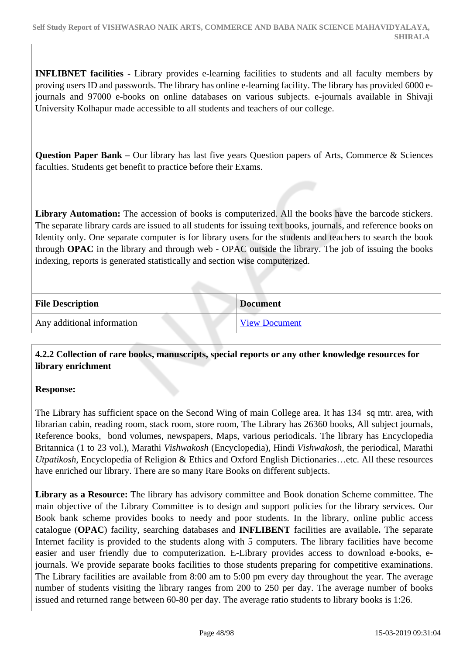**INFLIBNET facilities -** Library provides e-learning facilities to students and all faculty members by proving users ID and passwords. The library has online e-learning facility. The library has provided 6000 ejournals and 97000 e-books on online databases on various subjects. e-journals available in Shivaji University Kolhapur made accessible to all students and teachers of our college.

**Question Paper Bank –** Our library has last five years Question papers of Arts, Commerce & Sciences faculties. Students get benefit to practice before their Exams.

**Library Automation:** The accession of books is computerized. All the books have the barcode stickers. The separate library cards are issued to all students for issuing text books, journals, and reference books on Identity only. One separate computer is for library users for the students and teachers to search the book through **OPAC** in the library and through web - OPAC outside the library. The job of issuing the books indexing, reports is generated statistically and section wise computerized.

| <b>File Description</b>    | <b>Document</b>      |
|----------------------------|----------------------|
| Any additional information | <b>View Document</b> |

# **4.2.2 Collection of rare books, manuscripts, special reports or any other knowledge resources for library enrichment**

#### **Response:**

The Library has sufficient space on the Second Wing of main College area. It has 134 sq mtr. area, with librarian cabin, reading room, stack room, store room, The Library has 26360 books, All subject journals, Reference books, bond volumes, newspapers, Maps, various periodicals. The library has Encyclopedia Britannica (1 to 23 vol.), Marathi *Vishwakosh* (Encyclopedia), Hindi *Vishwakosh*, the periodical, Marathi *Utpatikosh*, Encyclopedia of Religion & Ethics and Oxford English Dictionaries…etc. All these resources have enriched our library. There are so many Rare Books on different subjects.

**Library as a Resource:** The library has advisory committee and Book donation Scheme committee. The main objective of the Library Committee is to design and support policies for the library services. Our Book bank scheme provides books to needy and poor students. In the library, online public access catalogue (**OPAC**) facility, searching databases and **INFLIBENT** facilities are available**.** The separate Internet facility is provided to the students along with 5 computers. The library facilities have become easier and user friendly due to computerization. E-Library provides access to download e-books, ejournals. We provide separate books facilities to those students preparing for competitive examinations. The Library facilities are available from 8:00 am to 5:00 pm every day throughout the year. The average number of students visiting the library ranges from 200 to 250 per day. The average number of books issued and returned range between 60-80 per day. The average ratio students to library books is 1:26.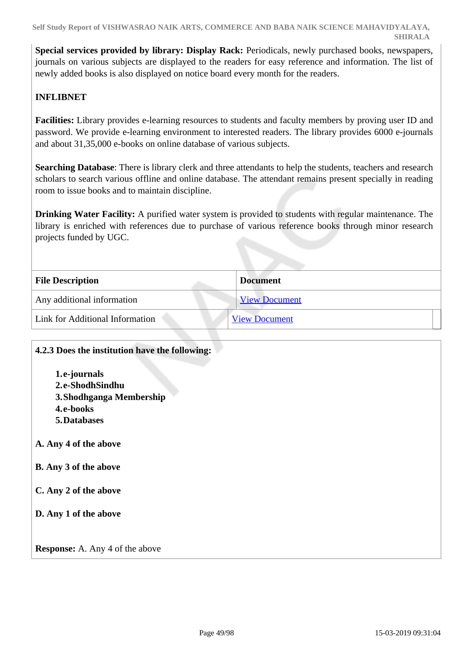**Special services provided by library: Display Rack:** Periodicals, newly purchased books, newspapers, journals on various subjects are displayed to the readers for easy reference and information. The list of newly added books is also displayed on notice board every month for the readers.

# **INFLIBNET**

**Facilities:** Library provides e-learning resources to students and faculty members by proving user ID and password. We provide e-learning environment to interested readers. The library provides 6000 e-journals and about 31,35,000 e-books on online database of various subjects.

**Searching Database**: There is library clerk and three attendants to help the students, teachers and research scholars to search various offline and online database. The attendant remains present specially in reading room to issue books and to maintain discipline.

**Drinking Water Facility:** A purified water system is provided to students with regular maintenance. The library is enriched with references due to purchase of various reference books through minor research projects funded by UGC.

| <b>File Description</b>                | <b>Document</b>      |
|----------------------------------------|----------------------|
| Any additional information             | <b>View Document</b> |
| <b>Link for Additional Information</b> | <b>View Document</b> |

| 4.2.3 Does the institution have the following: |
|------------------------------------------------|
| 1.e-journals                                   |
| 2.e-ShodhSindhu                                |
| 3. Shodhganga Membership                       |
| 4.e-books                                      |
| 5. Databases                                   |
| A. Any 4 of the above                          |
| B. Any 3 of the above                          |
| C. Any 2 of the above                          |
| D. Any 1 of the above                          |
| <b>Response:</b> A. Any 4 of the above         |
|                                                |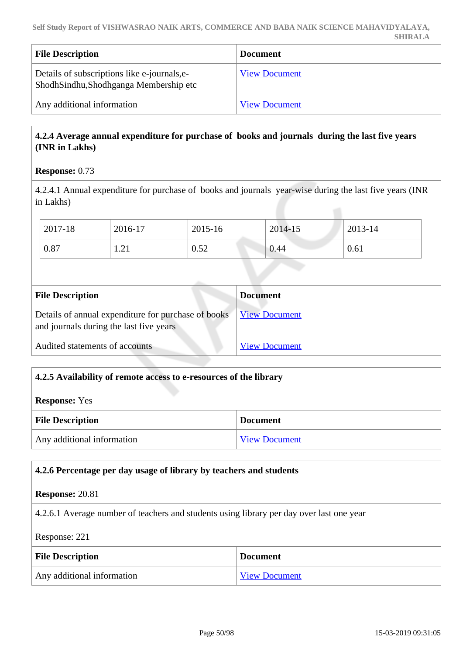| <b>File Description</b>                                                               | <b>Document</b>      |
|---------------------------------------------------------------------------------------|----------------------|
| Details of subscriptions like e-journals, e-<br>ShodhSindhu,Shodhganga Membership etc | <b>View Document</b> |
| Any additional information                                                            | <b>View Document</b> |

# **4.2.4 Average annual expenditure for purchase of books and journals during the last five years (INR in Lakhs)**

# **Response:** 0.73

4.2.4.1 Annual expenditure for purchase of books and journals year-wise during the last five years (INR in Lakhs)

| 2017-18 | 2016-17             | 2015-16 | 2014-15 | 2013-14 |
|---------|---------------------|---------|---------|---------|
| 0.87    | $\bigcap$ 1<br>1.41 | 0.52    | 0.44    | 0.61    |

| <b>File Description</b>                                                                        | <b>Document</b>      |
|------------------------------------------------------------------------------------------------|----------------------|
| Details of annual expenditure for purchase of books<br>and journals during the last five years | <b>View Document</b> |
| Audited statements of accounts                                                                 | <b>View Document</b> |

# **4.2.5 Availability of remote access to e-resources of the library**

**Response:** Yes

| <b>File Description</b>    | <b>Document</b>      |
|----------------------------|----------------------|
| Any additional information | <b>View Document</b> |

# **4.2.6 Percentage per day usage of library by teachers and students Response:** 20.81 4.2.6.1 Average number of teachers and students using library per day over last one year Response: 221 **File Description Document** Any additional information [View Document](https://assessmentonline.naac.gov.in/storage/app/hei/SSR/102349/4.2.6_1548145758_2485.pdf)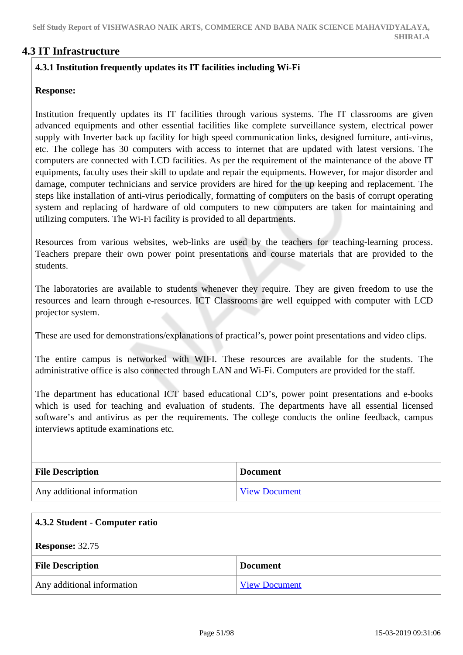# **4.3 IT Infrastructure**

# **4.3.1 Institution frequently updates its IT facilities including Wi-Fi**

#### **Response:**

Institution frequently updates its IT facilities through various systems. The IT classrooms are given advanced equipments and other essential facilities like complete surveillance system, electrical power supply with Inverter back up facility for high speed communication links, designed furniture, anti-virus, etc. The college has 30 computers with access to internet that are updated with latest versions. The computers are connected with LCD facilities. As per the requirement of the maintenance of the above IT equipments, faculty uses their skill to update and repair the equipments. However, for major disorder and damage, computer technicians and service providers are hired for the up keeping and replacement. The steps like installation of anti-virus periodically, formatting of computers on the basis of corrupt operating system and replacing of hardware of old computers to new computers are taken for maintaining and utilizing computers. The Wi-Fi facility is provided to all departments.

Resources from various websites, web-links are used by the teachers for teaching-learning process. Teachers prepare their own power point presentations and course materials that are provided to the students.

The laboratories are available to students whenever they require. They are given freedom to use the resources and learn through e-resources. ICT Classrooms are well equipped with computer with LCD projector system.

These are used for demonstrations/explanations of practical's, power point presentations and video clips.

The entire campus is networked with WIFI. These resources are available for the students. The administrative office is also connected through LAN and Wi-Fi. Computers are provided for the staff.

The department has educational ICT based educational CD's, power point presentations and e-books which is used for teaching and evaluation of students. The departments have all essential licensed software's and antivirus as per the requirements. The college conducts the online feedback, campus interviews aptitude examinations etc.

| <b>File Description</b>    | <b>Document</b>      |
|----------------------------|----------------------|
| Any additional information | <b>View Document</b> |

| 4.3.2 Student - Computer ratio |                      |
|--------------------------------|----------------------|
| <b>Response: 32.75</b>         |                      |
| <b>File Description</b>        | <b>Document</b>      |
| Any additional information     | <b>View Document</b> |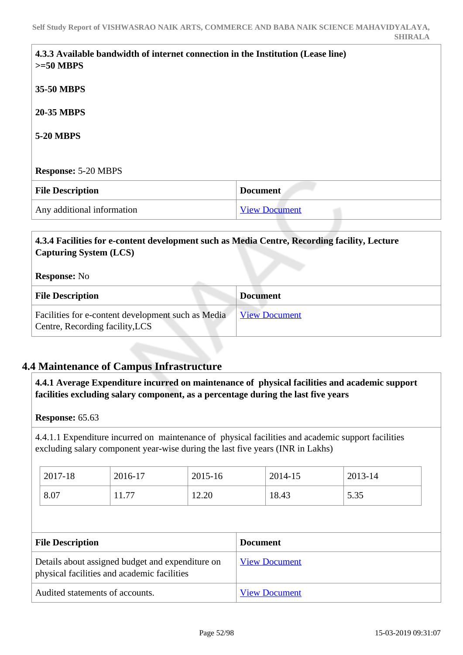| $>=50$ MBPS                | 4.3.3 Available bandwidth of internet connection in the Institution (Lease line) |
|----------------------------|----------------------------------------------------------------------------------|
| 35-50 MBPS                 |                                                                                  |
| <b>20-35 MBPS</b>          |                                                                                  |
| <b>5-20 MBPS</b>           |                                                                                  |
|                            |                                                                                  |
| <b>Response: 5-20 MBPS</b> |                                                                                  |
| <b>File Description</b>    | <b>Document</b>                                                                  |
|                            |                                                                                  |

# **4.3.4 Facilities for e-content development such as Media Centre, Recording facility, Lecture Capturing System (LCS)**

| <b>Response:</b> No |
|---------------------|
|---------------------|

| <b>File Description</b>                                                               | <b>Document</b>      |
|---------------------------------------------------------------------------------------|----------------------|
| Facilities for e-content development such as Media<br>Centre, Recording facility, LCS | <b>View Document</b> |

# **4.4 Maintenance of Campus Infrastructure**

 **4.4.1 Average Expenditure incurred on maintenance of physical facilities and academic support facilities excluding salary component, as a percentage during the last five years**

#### **Response:** 65.63

4.4.1.1 Expenditure incurred on maintenance of physical facilities and academic support facilities excluding salary component year-wise during the last five years (INR in Lakhs)

| 2017-18 | 2016-17       | 2015-16 | 2014-15 | 2013-14 |
|---------|---------------|---------|---------|---------|
| 8.07    | - 77<br>11.77 | 12.20   | 18.43   | 5.35    |

| <b>File Description</b>                                                                         | <b>Document</b>      |
|-------------------------------------------------------------------------------------------------|----------------------|
| Details about assigned budget and expenditure on<br>physical facilities and academic facilities | <b>View Document</b> |
| Audited statements of accounts.                                                                 | <b>View Document</b> |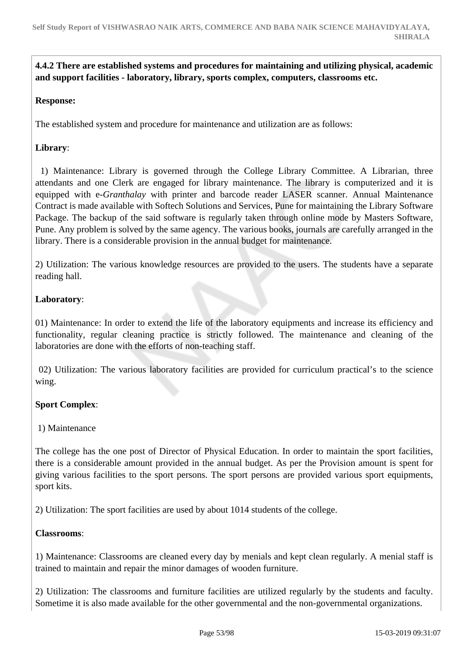# **4.4.2 There are established systems and procedures for maintaining and utilizing physical, academic and support facilities - laboratory, library, sports complex, computers, classrooms etc.**

#### **Response:**

The established system and procedure for maintenance and utilization are as follows:

# **Library**:

 1) Maintenance: Library is governed through the College Library Committee. A Librarian, three attendants and one Clerk are engaged for library maintenance. The library is computerized and it is equipped with e*-Granthalay* with printer and barcode reader LASER scanner. Annual Maintenance Contract is made available with Softech Solutions and Services, Pune for maintaining the Library Software Package. The backup of the said software is regularly taken through online mode by Masters Software, Pune. Any problem is solved by the same agency. The various books, journals are carefully arranged in the library. There is a considerable provision in the annual budget for maintenance.

2) Utilization: The various knowledge resources are provided to the users. The students have a separate reading hall.

#### **Laboratory**:

01) Maintenance: In order to extend the life of the laboratory equipments and increase its efficiency and functionality, regular cleaning practice is strictly followed. The maintenance and cleaning of the laboratories are done with the efforts of non-teaching staff.

 02) Utilization: The various laboratory facilities are provided for curriculum practical's to the science wing.

#### **Sport Complex**:

#### 1) Maintenance

The college has the one post of Director of Physical Education. In order to maintain the sport facilities, there is a considerable amount provided in the annual budget. As per the Provision amount is spent for giving various facilities to the sport persons. The sport persons are provided various sport equipments, sport kits.

2) Utilization: The sport facilities are used by about 1014 students of the college.

#### **Classrooms**:

1) Maintenance: Classrooms are cleaned every day by menials and kept clean regularly. A menial staff is trained to maintain and repair the minor damages of wooden furniture.

2) Utilization: The classrooms and furniture facilities are utilized regularly by the students and faculty. Sometime it is also made available for the other governmental and the non-governmental organizations.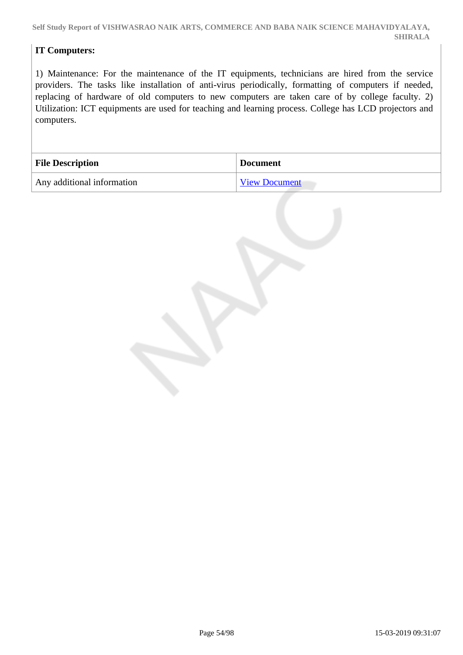# **IT Computers:**

1) Maintenance: For the maintenance of the IT equipments, technicians are hired from the service providers. The tasks like installation of anti-virus periodically, formatting of computers if needed, replacing of hardware of old computers to new computers are taken care of by college faculty. 2) Utilization: ICT equipments are used for teaching and learning process. College has LCD projectors and computers.

| <b>File Description</b>    | <b>Document</b>      |
|----------------------------|----------------------|
| Any additional information | <b>View Document</b> |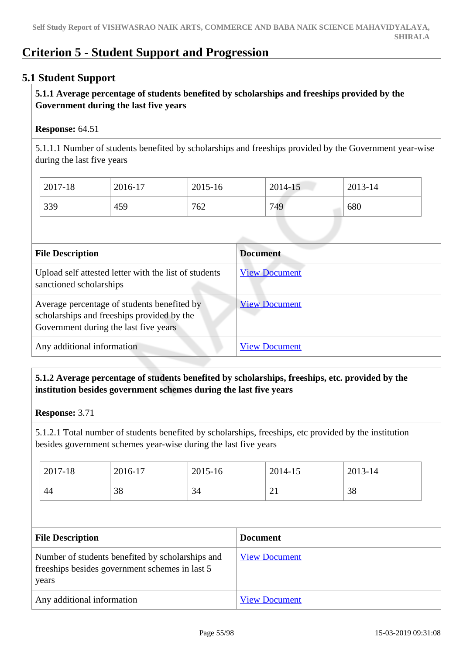# **Criterion 5 - Student Support and Progression**

# **5.1 Student Support**

# **5.1.1 Average percentage of students benefited by scholarships and freeships provided by the Government during the last five years**

#### **Response:** 64.51

5.1.1.1 Number of students benefited by scholarships and freeships provided by the Government year-wise during the last five years

| 2017-18 | 2016-17 | 2015-16 | 2014-15 | 2013-14 |
|---------|---------|---------|---------|---------|
| 339     | 459     | 762     | 749     | 680     |

| <b>File Description</b>                                                                                                            | <b>Document</b>      |
|------------------------------------------------------------------------------------------------------------------------------------|----------------------|
| Upload self attested letter with the list of students<br>sanctioned scholarships                                                   | <b>View Document</b> |
| Average percentage of students benefited by<br>scholarships and freeships provided by the<br>Government during the last five years | <b>View Document</b> |
| Any additional information                                                                                                         | <b>View Document</b> |

# **5.1.2 Average percentage of students benefited by scholarships, freeships, etc. provided by the institution besides government schemes during the last five years**

#### **Response:** 3.71

5.1.2.1 Total number of students benefited by scholarships, freeships, etc provided by the institution besides government schemes year-wise during the last five years

| 2017-18 | 2016-17 | 2015-16      | 2014-15  | 2013-14 |
|---------|---------|--------------|----------|---------|
| 44      | 38      | $\sim$<br>34 | $\sim$ 1 | 38      |

| <b>File Description</b>                                                                                      | <b>Document</b>      |
|--------------------------------------------------------------------------------------------------------------|----------------------|
| Number of students benefited by scholarships and<br>free ships besides government schemes in last 5<br>years | <b>View Document</b> |
| Any additional information                                                                                   | <b>View Document</b> |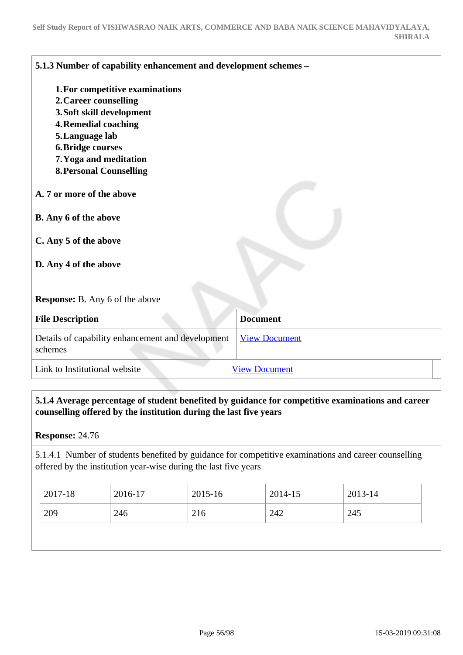| 5.1.3 Number of capability enhancement and development schemes -                                                                                      |                      |
|-------------------------------------------------------------------------------------------------------------------------------------------------------|----------------------|
| 1. For competitive examinations                                                                                                                       |                      |
| 2. Career counselling                                                                                                                                 |                      |
| 3. Soft skill development                                                                                                                             |                      |
| <b>4. Remedial coaching</b>                                                                                                                           |                      |
| 5. Language lab                                                                                                                                       |                      |
| <b>6. Bridge courses</b>                                                                                                                              |                      |
| 7. Yoga and meditation                                                                                                                                |                      |
| <b>8. Personal Counselling</b>                                                                                                                        |                      |
| A. 7 or more of the above<br><b>B.</b> Any 6 of the above<br>C. Any 5 of the above<br>D. Any 4 of the above<br><b>Response:</b> B. Any 6 of the above |                      |
|                                                                                                                                                       |                      |
| <b>File Description</b>                                                                                                                               | <b>Document</b>      |
| Details of capability enhancement and development<br>schemes                                                                                          | <b>View Document</b> |
| Link to Institutional website                                                                                                                         | <b>View Document</b> |

# **5.1.4 Average percentage of student benefited by guidance for competitive examinations and career counselling offered by the institution during the last five years**

**Response:** 24.76

5.1.4.1 Number of students benefited by guidance for competitive examinations and career counselling offered by the institution year-wise during the last five years

| 2017-18    | 2016-17 | 2015-16 | 2014-15 | 2013-14 |
|------------|---------|---------|---------|---------|
| 209<br>246 |         | 216     | 242     | 245     |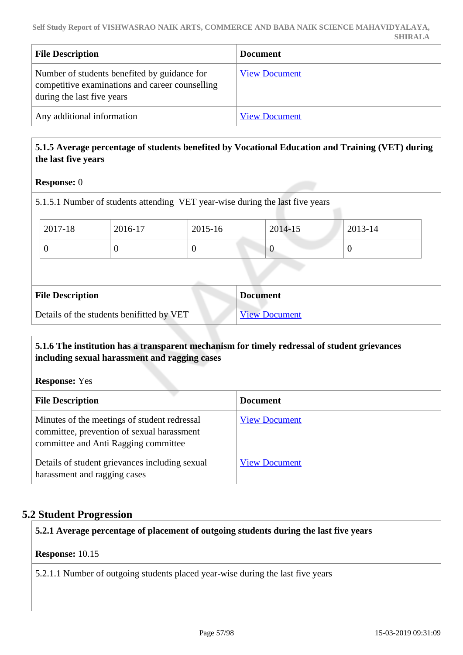| <b>File Description</b>                                                                                                       | <b>Document</b>      |
|-------------------------------------------------------------------------------------------------------------------------------|----------------------|
| Number of students benefited by guidance for<br>competitive examinations and career counselling<br>during the last five years | <b>View Document</b> |
| Any additional information                                                                                                    | <b>View Document</b> |

# **5.1.5 Average percentage of students benefited by Vocational Education and Training (VET) during the last five years**

#### **Response:** 0

5.1.5.1 Number of students attending VET year-wise during the last five years

| 2017-18                                   | 2016-17 | 2015-16  | 2014-15              | 2013-14 |  |
|-------------------------------------------|---------|----------|----------------------|---------|--|
| 0                                         |         | $\theta$ | v                    | O       |  |
|                                           |         |          |                      |         |  |
| <b>File Description</b>                   |         |          | <b>Document</b>      |         |  |
| Details of the students benifitted by VET |         |          | <b>View Document</b> |         |  |

# **5.1.6 The institution has a transparent mechanism for timely redressal of student grievances including sexual harassment and ragging cases**

**Response:** Yes

| <b>File Description</b>                                                                                                            | <b>Document</b>      |
|------------------------------------------------------------------------------------------------------------------------------------|----------------------|
| Minutes of the meetings of student redressal<br>committee, prevention of sexual harassment<br>committee and Anti Ragging committee | <b>View Document</b> |
| Details of student grievances including sexual<br>harassment and ragging cases                                                     | <b>View Document</b> |

# **5.2 Student Progression**

**5.2.1 Average percentage of placement of outgoing students during the last five years**

#### **Response:** 10.15

5.2.1.1 Number of outgoing students placed year-wise during the last five years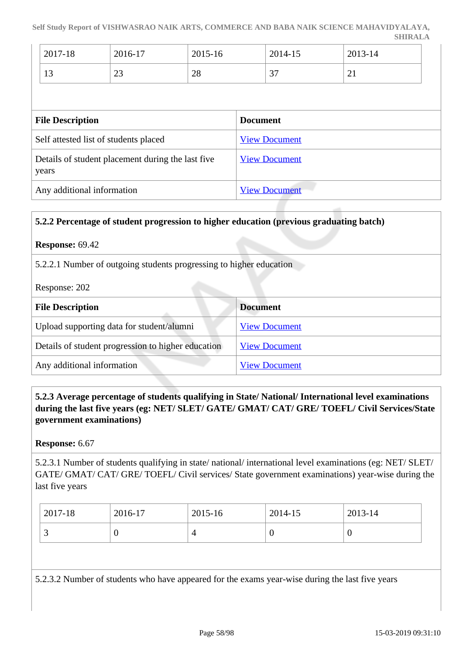| 2017-18 | 2016-17       | 2015-16 | 2014-15                  | 2013-14  |
|---------|---------------|---------|--------------------------|----------|
| 1 J     | $\cap$<br>ر∠∠ | 28      | $\sim$<br>$\overline{v}$ | $\sim$ 1 |

| <b>File Description</b>                                    | <b>Document</b>      |
|------------------------------------------------------------|----------------------|
| Self attested list of students placed                      | <b>View Document</b> |
| Details of student placement during the last five<br>years | <b>View Document</b> |
| Any additional information                                 | <b>View Document</b> |

#### **5.2.2 Percentage of student progression to higher education (previous graduating batch)**

#### **Response:** 69.42

5.2.2.1 Number of outgoing students progressing to higher education

Response: 202

| <b>File Description</b>                            | <b>Document</b>      |
|----------------------------------------------------|----------------------|
| Upload supporting data for student/alumni          | <b>View Document</b> |
| Details of student progression to higher education | <b>View Document</b> |
| Any additional information                         | <b>View Document</b> |

# **5.2.3 Average percentage of students qualifying in State/ National/ International level examinations during the last five years (eg: NET/ SLET/ GATE/ GMAT/ CAT/ GRE/ TOEFL/ Civil Services/State government examinations)**

#### **Response:** 6.67

5.2.3.1 Number of students qualifying in state/ national/ international level examinations (eg: NET/ SLET/ GATE/ GMAT/ CAT/ GRE/ TOEFL/ Civil services/ State government examinations) year-wise during the last five years

| 2017-18  | 2016-17 | 2015-16 | 2014-15 | 2013-14 |
|----------|---------|---------|---------|---------|
| <u>ب</u> |         | 4       |         |         |

5.2.3.2 Number of students who have appeared for the exams year-wise during the last five years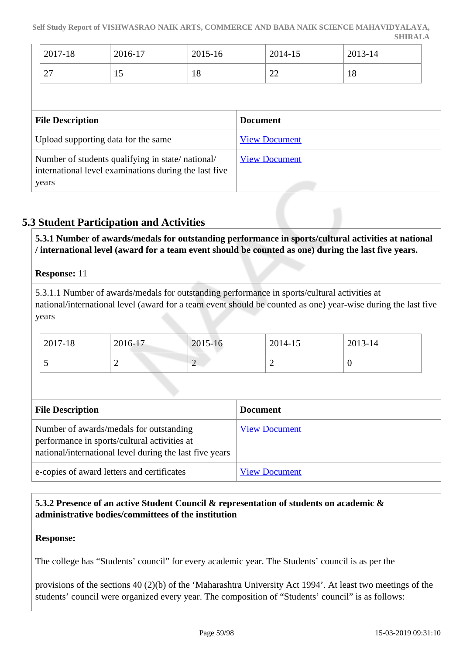| 2017-18                                   | 2016-17 | 2015-16 | 2014-15 | 2013-14 |
|-------------------------------------------|---------|---------|---------|---------|
| $\mathcal{L}$<br>$\overline{\phantom{0}}$ | . L . J | 18      | ി<br>∠∠ | 18      |

| <b>File Description</b>                                                                                            | <b>Document</b>      |
|--------------------------------------------------------------------------------------------------------------------|----------------------|
| Upload supporting data for the same                                                                                | <b>View Document</b> |
| Number of students qualifying in state/national/<br>international level examinations during the last five<br>years | <b>View Document</b> |

# **5.3 Student Participation and Activities**

 **5.3.1 Number of awards/medals for outstanding performance in sports/cultural activities at national / international level (award for a team event should be counted as one) during the last five years.**

#### **Response:** 11

5.3.1.1 Number of awards/medals for outstanding performance in sports/cultural activities at national/international level (award for a team event should be counted as one) year-wise during the last five years

| $2017 - 18$   | 2016-17 | 2015-16                            | 2014-15 | 2013-14 |
|---------------|---------|------------------------------------|---------|---------|
| $\sim$ $\sim$ | -       | $\sim$<br>$\overline{\phantom{0}}$ | -       |         |

| <b>File Description</b>                                                                                                                            | <b>Document</b>      |
|----------------------------------------------------------------------------------------------------------------------------------------------------|----------------------|
| Number of awards/medals for outstanding<br>performance in sports/cultural activities at<br>national/international level during the last five years | <b>View Document</b> |
| e-copies of award letters and certificates                                                                                                         | <b>View Document</b> |

# **5.3.2 Presence of an active Student Council & representation of students on academic & administrative bodies/committees of the institution**

#### **Response:**

The college has "Students' council" for every academic year. The Students' council is as per the

provisions of the sections 40 (2)(b) of the 'Maharashtra University Act 1994'. At least two meetings of the students' council were organized every year. The composition of "Students' council" is as follows: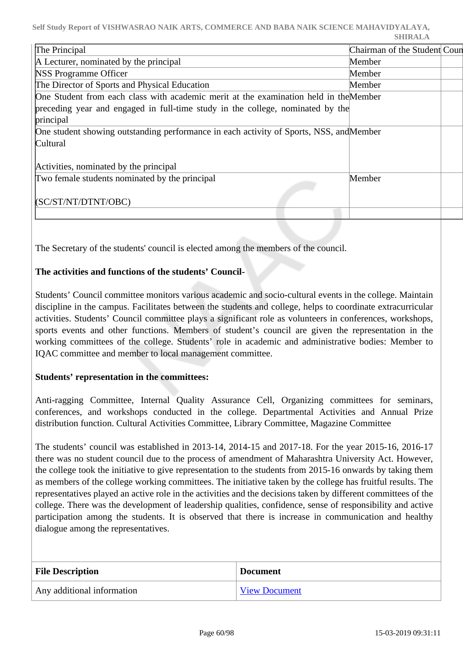| The Principal                                                                           | Chairman of the Student Coun |  |
|-----------------------------------------------------------------------------------------|------------------------------|--|
| A Lecturer, nominated by the principal                                                  | Member                       |  |
| <b>NSS Programme Officer</b>                                                            | Member                       |  |
| The Director of Sports and Physical Education                                           | Member                       |  |
| One Student from each class with academic merit at the examination held in the Member   |                              |  |
| preceding year and engaged in full-time study in the college, nominated by the          |                              |  |
| principal                                                                               |                              |  |
| One student showing outstanding performance in each activity of Sports, NSS, and Member |                              |  |
| Cultural                                                                                |                              |  |
|                                                                                         |                              |  |
| Activities, nominated by the principal                                                  |                              |  |
| Two female students nominated by the principal                                          | Member                       |  |
|                                                                                         |                              |  |
| (SC/ST/NT/DTNT/OBC)                                                                     |                              |  |
|                                                                                         |                              |  |

The Secretary of the students' council is elected among the members of the council.

# **The activities and functions of the students' Council-**

Students' Council committee monitors various academic and socio-cultural events in the college. Maintain discipline in the campus. Facilitates between the students and college, helps to coordinate extracurricular activities. Students' Council committee plays a significant role as volunteers in conferences, workshops, sports events and other functions. Members of student's council are given the representation in the working committees of the college. Students' role in academic and administrative bodies: Member to IQAC committee and member to local management committee.

#### **Students' representation in the committees:**

Anti-ragging Committee, Internal Quality Assurance Cell, Organizing committees for seminars, conferences, and workshops conducted in the college. Departmental Activities and Annual Prize distribution function. Cultural Activities Committee, Library Committee, Magazine Committee

The students' council was established in 2013-14, 2014-15 and 2017-18. For the year 2015-16, 2016-17 there was no student council due to the process of amendment of Maharashtra University Act. However, the college took the initiative to give representation to the students from 2015-16 onwards by taking them as members of the college working committees. The initiative taken by the college has fruitful results. The representatives played an active role in the activities and the decisions taken by different committees of the college. There was the development of leadership qualities, confidence, sense of responsibility and active participation among the students. It is observed that there is increase in communication and healthy dialogue among the representatives.

| <b>File Description</b>    | <b>Document</b>      |
|----------------------------|----------------------|
| Any additional information | <b>View Document</b> |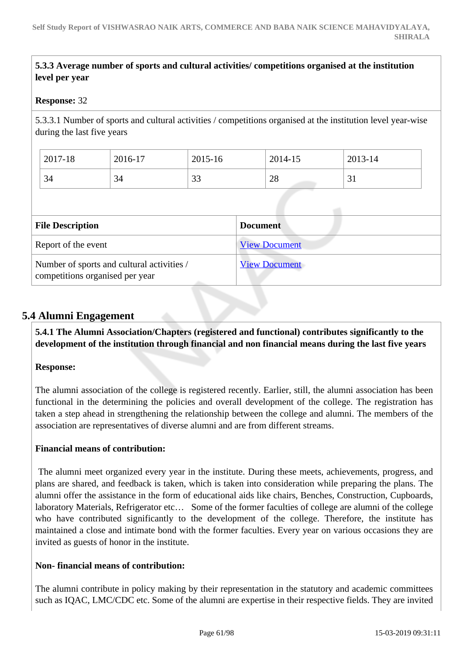# **5.3.3 Average number of sports and cultural activities/ competitions organised at the institution level per year**

#### **Response:** 32

5.3.3.1 Number of sports and cultural activities / competitions organised at the institution level year-wise during the last five years

| 2017-18 | 2016-17 | 2015-16       | 2014-15 | 2013-14 |
|---------|---------|---------------|---------|---------|
| 34      | 34      | $\cap$<br>ں ں | 28      | ◡▴      |

| <b>File Description</b>                                                       | <b>Document</b>      |
|-------------------------------------------------------------------------------|----------------------|
| Report of the event                                                           | <b>View Document</b> |
| Number of sports and cultural activities /<br>competitions organised per year | <b>View Document</b> |

# **5.4 Alumni Engagement**

 **5.4.1 The Alumni Association/Chapters (registered and functional) contributes significantly to the development of the institution through financial and non financial means during the last five years**

#### **Response:**

The alumni association of the college is registered recently. Earlier, still, the alumni association has been functional in the determining the policies and overall development of the college. The registration has taken a step ahead in strengthening the relationship between the college and alumni. The members of the association are representatives of diverse alumni and are from different streams.

#### **Financial means of contribution:**

 The alumni meet organized every year in the institute. During these meets, achievements, progress, and plans are shared, and feedback is taken, which is taken into consideration while preparing the plans. The alumni offer the assistance in the form of educational aids like chairs, Benches, Construction, Cupboards, laboratory Materials, Refrigerator etc… Some of the former faculties of college are alumni of the college who have contributed significantly to the development of the college. Therefore, the institute has maintained a close and intimate bond with the former faculties. Every year on various occasions they are invited as guests of honor in the institute.

#### **Non- financial means of contribution:**

The alumni contribute in policy making by their representation in the statutory and academic committees such as IQAC, LMC/CDC etc. Some of the alumni are expertise in their respective fields. They are invited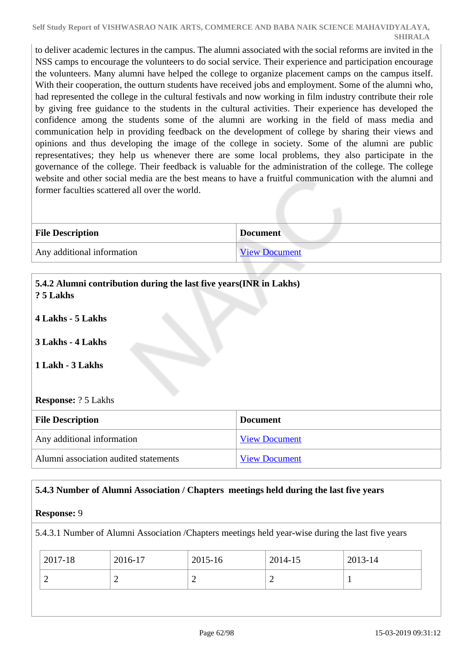to deliver academic lectures in the campus. The alumni associated with the social reforms are invited in the NSS camps to encourage the volunteers to do social service. Their experience and participation encourage the volunteers. Many alumni have helped the college to organize placement camps on the campus itself. With their cooperation, the outturn students have received jobs and employment. Some of the alumni who, had represented the college in the cultural festivals and now working in film industry contribute their role by giving free guidance to the students in the cultural activities. Their experience has developed the confidence among the students some of the alumni are working in the field of mass media and communication help in providing feedback on the development of college by sharing their views and opinions and thus developing the image of the college in society. Some of the alumni are public representatives; they help us whenever there are some local problems, they also participate in the governance of the college. Their feedback is valuable for the administration of the college. The college website and other social media are the best means to have a fruitful communication with the alumni and former faculties scattered all over the world.

| <b>File Description</b>    | <b>Document</b>      |
|----------------------------|----------------------|
| Any additional information | <b>View Document</b> |

| 5.4.2 Alumni contribution during the last five years (INR in Lakhs)<br>? 5 Lakhs<br>4 Lakhs - 5 Lakhs<br>3 Lakhs - 4 Lakhs<br>1 Lakh - 3 Lakhs |                      |  |
|------------------------------------------------------------------------------------------------------------------------------------------------|----------------------|--|
| <b>Response:</b> ? 5 Lakhs                                                                                                                     |                      |  |
| <b>File Description</b>                                                                                                                        | <b>Document</b>      |  |
| Any additional information                                                                                                                     | <b>View Document</b> |  |
| Alumni association audited statements                                                                                                          | <b>View Document</b> |  |

# **5.4.3 Number of Alumni Association / Chapters meetings held during the last five years**

#### **Response:** 9

5.4.3.1 Number of Alumni Association /Chapters meetings held year-wise during the last five years

| 2017-18 | 2016-17 | 2015-16 | 2014-15   | 2013-14 |
|---------|---------|---------|-----------|---------|
|         | ∽       | -       | <b>__</b> |         |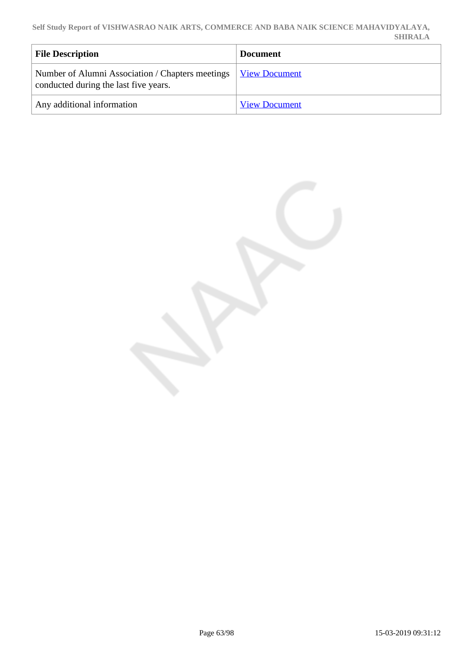**Self Study Report of VISHWASRAO NAIK ARTS, COMMERCE AND BABA NAIK SCIENCE MAHAVIDYALAYA, SHIRALA**

| <b>File Description</b>                                                                     | <b>Document</b>      |
|---------------------------------------------------------------------------------------------|----------------------|
| Number of Alumni Association / Chapters meetings  <br>conducted during the last five years. | <b>View Document</b> |
| Any additional information                                                                  | <b>View Document</b> |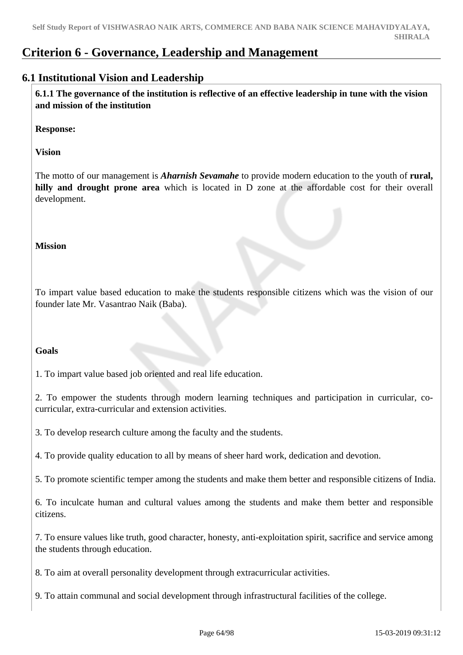# **Criterion 6 - Governance, Leadership and Management**

# **6.1 Institutional Vision and Leadership**

 **6.1.1 The governance of the institution is reflective of an effective leadership in tune with the vision and mission of the institution**

**Response:** 

**Vision**

The motto of our management is *Aharnish Sevamahe* to provide modern education to the youth of **rural, hilly and drought prone area** which is located in D zone at the affordable cost for their overall development.

#### **Mission**

To impart value based education to make the students responsible citizens which was the vision of our founder late Mr. Vasantrao Naik (Baba).

#### **Goals**

1. To impart value based job oriented and real life education.

2. To empower the students through modern learning techniques and participation in curricular, cocurricular, extra-curricular and extension activities.

3. To develop research culture among the faculty and the students.

4. To provide quality education to all by means of sheer hard work, dedication and devotion.

5. To promote scientific temper among the students and make them better and responsible citizens of India.

6. To inculcate human and cultural values among the students and make them better and responsible citizens.

7. To ensure values like truth, good character, honesty, anti-exploitation spirit, sacrifice and service among the students through education.

8. To aim at overall personality development through extracurricular activities.

9. To attain communal and social development through infrastructural facilities of the college.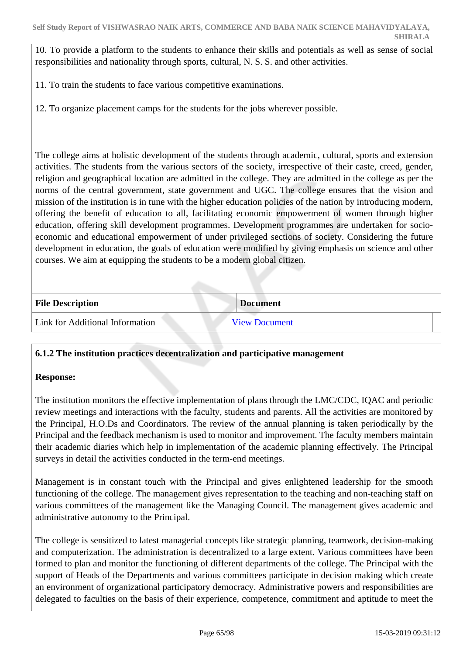10. To provide a platform to the students to enhance their skills and potentials as well as sense of social responsibilities and nationality through sports, cultural, N. S. S. and other activities.

11. To train the students to face various competitive examinations.

12. To organize placement camps for the students for the jobs wherever possible.

The college aims at holistic development of the students through academic, cultural, sports and extension activities. The students from the various sectors of the society, irrespective of their caste, creed, gender, religion and geographical location are admitted in the college. They are admitted in the college as per the norms of the central government, state government and UGC. The college ensures that the vision and mission of the institution is in tune with the higher education policies of the nation by introducing modern, offering the benefit of education to all, facilitating economic empowerment of women through higher education, offering skill development programmes. Development programmes are undertaken for socioeconomic and educational empowerment of under privileged sections of society. Considering the future development in education, the goals of education were modified by giving emphasis on science and other courses. We aim at equipping the students to be a modern global citizen.

| <b>File Description</b>         | <b>Document</b>      |
|---------------------------------|----------------------|
| Link for Additional Information | <b>View Document</b> |

# **6.1.2 The institution practices decentralization and participative management**

#### **Response:**

The institution monitors the effective implementation of plans through the LMC/CDC, IQAC and periodic review meetings and interactions with the faculty, students and parents. All the activities are monitored by the Principal, H.O.Ds and Coordinators. The review of the annual planning is taken periodically by the Principal and the feedback mechanism is used to monitor and improvement. The faculty members maintain their academic diaries which help in implementation of the academic planning effectively. The Principal surveys in detail the activities conducted in the term-end meetings.

Management is in constant touch with the Principal and gives enlightened leadership for the smooth functioning of the college. The management gives representation to the teaching and non-teaching staff on various committees of the management like the Managing Council. The management gives academic and administrative autonomy to the Principal.

The college is sensitized to latest managerial concepts like strategic planning, teamwork, decision-making and computerization. The administration is decentralized to a large extent. Various committees have been formed to plan and monitor the functioning of different departments of the college. The Principal with the support of Heads of the Departments and various committees participate in decision making which create an environment of organizational participatory democracy. Administrative powers and responsibilities are delegated to faculties on the basis of their experience, competence, commitment and aptitude to meet the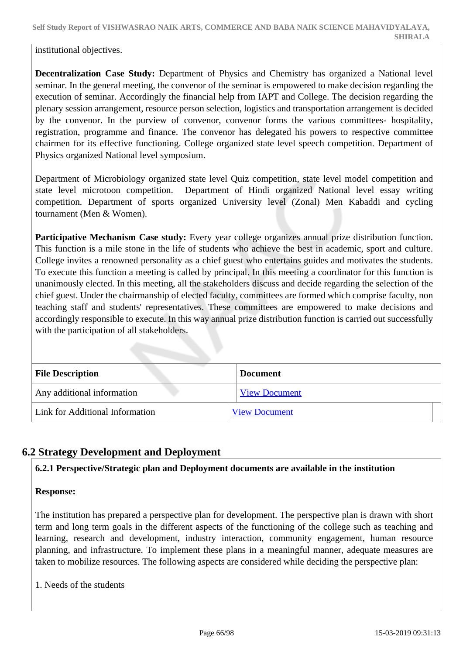institutional objectives.

**Decentralization Case Study:** Department of Physics and Chemistry has organized a National level seminar. In the general meeting, the convenor of the seminar is empowered to make decision regarding the execution of seminar. Accordingly the financial help from IAPT and College. The decision regarding the plenary session arrangement, resource person selection, logistics and transportation arrangement is decided by the convenor. In the purview of convenor, convenor forms the various committees- hospitality, registration, programme and finance. The convenor has delegated his powers to respective committee chairmen for its effective functioning. College organized state level speech competition. Department of Physics organized National level symposium.

Department of Microbiology organized state level Quiz competition, state level model competition and state level microtoon competition. Department of Hindi organized National level essay writing competition. Department of sports organized University level (Zonal) Men Kabaddi and cycling tournament (Men & Women).

**Participative Mechanism Case study:** Every year college organizes annual prize distribution function. This function is a mile stone in the life of students who achieve the best in academic, sport and culture. College invites a renowned personality as a chief guest who entertains guides and motivates the students. To execute this function a meeting is called by principal. In this meeting a coordinator for this function is unanimously elected. In this meeting, all the stakeholders discuss and decide regarding the selection of the chief guest. Under the chairmanship of elected faculty, committees are formed which comprise faculty, non teaching staff and students' representatives. These committees are empowered to make decisions and accordingly responsible to execute. In this way annual prize distribution function is carried out successfully with the participation of all stakeholders.

| <b>File Description</b>         | <b>Document</b>      |
|---------------------------------|----------------------|
| Any additional information      | <b>View Document</b> |
| Link for Additional Information | <b>View Document</b> |

# **6.2 Strategy Development and Deployment**

#### **6.2.1 Perspective/Strategic plan and Deployment documents are available in the institution**

#### **Response:**

The institution has prepared a perspective plan for development. The perspective plan is drawn with short term and long term goals in the different aspects of the functioning of the college such as teaching and learning, research and development, industry interaction, community engagement, human resource planning, and infrastructure. To implement these plans in a meaningful manner, adequate measures are taken to mobilize resources. The following aspects are considered while deciding the perspective plan:

1. Needs of the students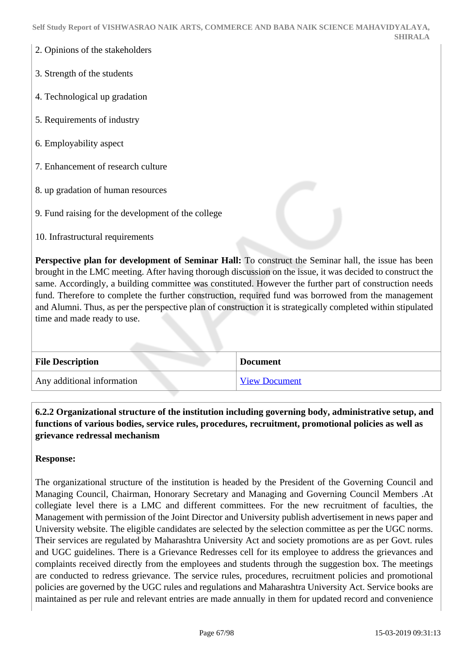- 2. Opinions of the stakeholders
- 3. Strength of the students
- 4. Technological up gradation
- 5. Requirements of industry
- 6. Employability aspect
- 7. Enhancement of research culture
- 8. up gradation of human resources
- 9. Fund raising for the development of the college
- 10. Infrastructural requirements

**Perspective plan for development of Seminar Hall:** To construct the Seminar hall, the issue has been brought in the LMC meeting. After having thorough discussion on the issue, it was decided to construct the same. Accordingly, a building committee was constituted. However the further part of construction needs fund. Therefore to complete the further construction, required fund was borrowed from the management and Alumni. Thus, as per the perspective plan of construction it is strategically completed within stipulated time and made ready to use.

| <b>File Description</b>    | <b>Document</b>      |
|----------------------------|----------------------|
| Any additional information | <b>View Document</b> |

 **6.2.2 Organizational structure of the institution including governing body, administrative setup, and functions of various bodies, service rules, procedures, recruitment, promotional policies as well as grievance redressal mechanism**

#### **Response:**

The organizational structure of the institution is headed by the President of the Governing Council and Managing Council, Chairman, Honorary Secretary and Managing and Governing Council Members .At collegiate level there is a LMC and different committees. For the new recruitment of faculties, the Management with permission of the Joint Director and University publish advertisement in news paper and University website. The eligible candidates are selected by the selection committee as per the UGC norms. Their services are regulated by Maharashtra University Act and society promotions are as per Govt. rules and UGC guidelines. There is a Grievance Redresses cell for its employee to address the grievances and complaints received directly from the employees and students through the suggestion box. The meetings are conducted to redress grievance. The service rules, procedures, recruitment policies and promotional policies are governed by the UGC rules and regulations and Maharashtra University Act. Service books are maintained as per rule and relevant entries are made annually in them for updated record and convenience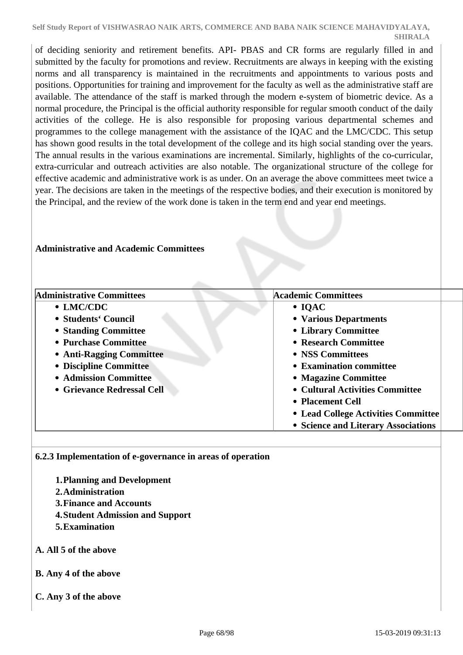of deciding seniority and retirement benefits. API- PBAS and CR forms are regularly filled in and submitted by the faculty for promotions and review. Recruitments are always in keeping with the existing norms and all transparency is maintained in the recruitments and appointments to various posts and positions. Opportunities for training and improvement for the faculty as well as the administrative staff are available. The attendance of the staff is marked through the modern e-system of biometric device. As a normal procedure, the Principal is the official authority responsible for regular smooth conduct of the daily activities of the college. He is also responsible for proposing various departmental schemes and programmes to the college management with the assistance of the IQAC and the LMC/CDC. This setup has shown good results in the total development of the college and its high social standing over the years. The annual results in the various examinations are incremental. Similarly, highlights of the co-curricular, extra-curricular and outreach activities are also notable. The organizational structure of the college for effective academic and administrative work is as under. On an average the above committees meet twice a year. The decisions are taken in the meetings of the respective bodies, and their execution is monitored by the Principal, and the review of the work done is taken in the term end and year end meetings.

#### **Administrative and Academic Committees**

| <b>Administrative Committees</b> | <b>Academic Committees</b>          |
|----------------------------------|-------------------------------------|
| • LMC/CDC                        | $\bullet$ IQAC                      |
| • Students' Council              | • Various Departments               |
| • Standing Committee             | • Library Committee                 |
| • Purchase Committee             | • Research Committee                |
| • Anti-Ragging Committee         | • NSS Committees                    |
| • Discipline Committee           | • Examination committee             |
| • Admission Committee            | • Magazine Committee                |
| • Grievance Redressal Cell       | • Cultural Activities Committee     |
|                                  | • Placement Cell                    |
|                                  | • Lead College Activities Committee |
|                                  | • Science and Literary Associations |

#### **6.2.3 Implementation of e-governance in areas of operation**

- **1.Planning and Development**
- **2.Administration**
- **3.Finance and Accounts**
- **4.Student Admission and Support**
- **5.Examination**
- **A. All 5 of the above**
- **B. Any 4 of the above**
- **C. Any 3 of the above**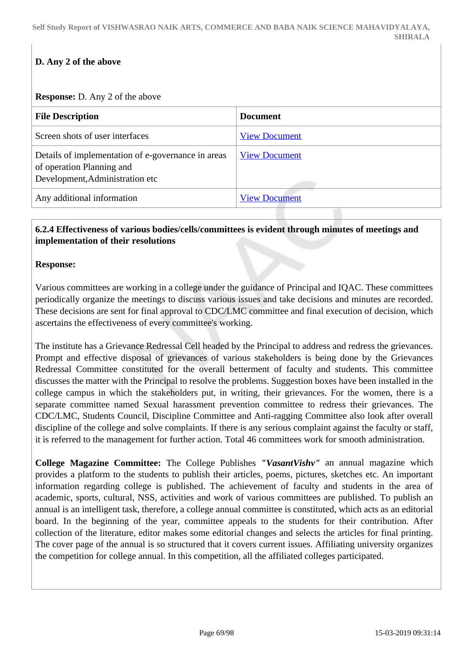# **D. Any 2 of the above**

#### **Response:** D. Any 2 of the above

| <b>File Description</b>                                                                                            | <b>Document</b>      |
|--------------------------------------------------------------------------------------------------------------------|----------------------|
| Screen shots of user interfaces                                                                                    | <b>View Document</b> |
| Details of implementation of e-governance in areas<br>of operation Planning and<br>Development, Administration etc | <b>View Document</b> |
| Any additional information                                                                                         | <b>View Document</b> |

# **6.2.4 Effectiveness of various bodies/cells/committees is evident through minutes of meetings and implementation of their resolutions**

#### **Response:**

Various committees are working in a college under the guidance of Principal and IQAC. These committees periodically organize the meetings to discuss various issues and take decisions and minutes are recorded. These decisions are sent for final approval to CDC/LMC committee and final execution of decision, which ascertains the effectiveness of every committee's working.

The institute has a Grievance Redressal Cell headed by the Principal to address and redress the grievances. Prompt and effective disposal of grievances of various stakeholders is being done by the Grievances Redressal Committee constituted for the overall betterment of faculty and students. This committee discusses the matter with the Principal to resolve the problems. Suggestion boxes have been installed in the college campus in which the stakeholders put, in writing, their grievances. For the women, there is a separate committee named Sexual harassment prevention committee to redress their grievances. The CDC/LMC, Students Council, Discipline Committee and Anti-ragging Committee also look after overall discipline of the college and solve complaints. If there is any serious complaint against the faculty or staff, it is referred to the management for further action. Total 46 committees work for smooth administration.

**College Magazine Committee:** The College Publishes *"VasantVishv"* an annual magazine which provides a platform to the students to publish their articles, poems, pictures, sketches etc. An important information regarding college is published. The achievement of faculty and students in the area of academic, sports, cultural, NSS, activities and work of various committees are published. To publish an annual is an intelligent task, therefore, a college annual committee is constituted, which acts as an editorial board. In the beginning of the year, committee appeals to the students for their contribution. After collection of the literature, editor makes some editorial changes and selects the articles for final printing. The cover page of the annual is so structured that it covers current issues. Affiliating university organizes the competition for college annual. In this competition, all the affiliated colleges participated.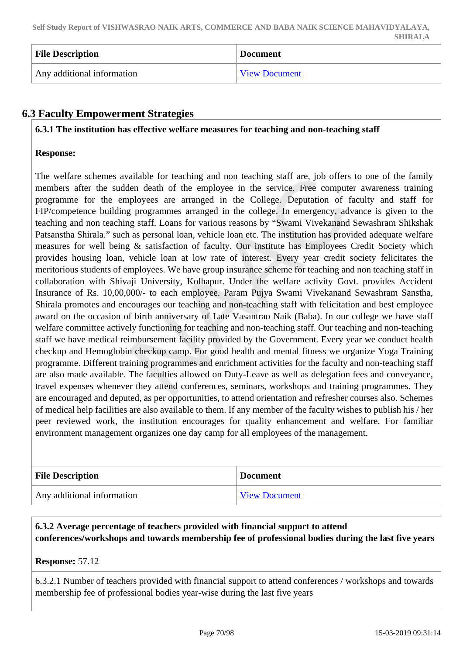| <b>File Description</b>    | <b>Document</b>      |
|----------------------------|----------------------|
| Any additional information | <b>View Document</b> |

# **6.3 Faculty Empowerment Strategies**

#### **6.3.1 The institution has effective welfare measures for teaching and non-teaching staff**

#### **Response:**

The welfare schemes available for teaching and non teaching staff are, job offers to one of the family members after the sudden death of the employee in the service. Free computer awareness training programme for the employees are arranged in the College. Deputation of faculty and staff for FIP/competence building programmes arranged in the college. In emergency, advance is given to the teaching and non teaching staff. Loans for various reasons by "Swami Vivekanand Sewashram Shikshak Patsanstha Shirala." such as personal loan, vehicle loan etc. The institution has provided adequate welfare measures for well being & satisfaction of faculty. Our institute has Employees Credit Society which provides housing loan, vehicle loan at low rate of interest. Every year credit society felicitates the meritorious students of employees. We have group insurance scheme for teaching and non teaching staff in collaboration with Shivaji University, Kolhapur. Under the welfare activity Govt. provides Accident Insurance of Rs. 10,00,000/- to each employee. Param Pujya Swami Vivekanand Sewashram Sanstha, Shirala promotes and encourages our teaching and non-teaching staff with felicitation and best employee award on the occasion of birth anniversary of Late Vasantrao Naik (Baba). In our college we have staff welfare committee actively functioning for teaching and non-teaching staff. Our teaching and non-teaching staff we have medical reimbursement facility provided by the Government. Every year we conduct health checkup and Hemoglobin checkup camp. For good health and mental fitness we organize Yoga Training programme. Different training programmes and enrichment activities for the faculty and non-teaching staff are also made available. The faculties allowed on Duty-Leave as well as delegation fees and conveyance, travel expenses whenever they attend conferences, seminars, workshops and training programmes. They are encouraged and deputed, as per opportunities, to attend orientation and refresher courses also. Schemes of medical help facilities are also available to them. If any member of the faculty wishes to publish his / her peer reviewed work, the institution encourages for quality enhancement and welfare. For familiar environment management organizes one day camp for all employees of the management.

| <b>File Description</b>    | Document             |
|----------------------------|----------------------|
| Any additional information | <b>View Document</b> |

# **6.3.2 Average percentage of teachers provided with financial support to attend conferences/workshops and towards membership fee of professional bodies during the last five years**

#### **Response:** 57.12

6.3.2.1 Number of teachers provided with financial support to attend conferences / workshops and towards membership fee of professional bodies year-wise during the last five years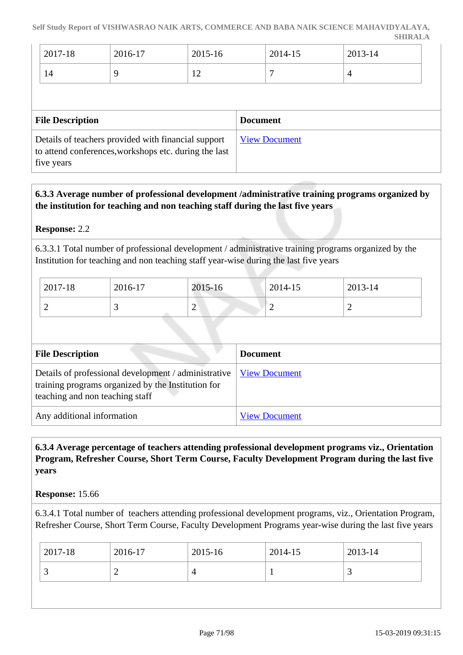| 2017-18 | 2016-17 | 2015-16                      | 2014-15 | 2013-14 |
|---------|---------|------------------------------|---------|---------|
| 14      |         | $\sqrt{2}$<br>$\overline{1}$ |         |         |

| <b>File Description</b>                                                                                                    | <b>Document</b>      |
|----------------------------------------------------------------------------------------------------------------------------|----------------------|
| Details of teachers provided with financial support<br>to attend conferences, workshops etc. during the last<br>five years | <b>View Document</b> |

# **6.3.3 Average number of professional development /administrative training programs organized by the institution for teaching and non teaching staff during the last five years**

# **Response:** 2.2

6.3.3.1 Total number of professional development / administrative training programs organized by the Institution for teaching and non teaching staff year-wise during the last five years

| 2017-18 | 2016-17 | 2015-16     | 2014-15 | 2013-14 |
|---------|---------|-------------|---------|---------|
| ∽       | ت       | $\sim$<br>∠ |         | ∽       |

| <b>File Description</b>                                                                                                                                              | <b>Document</b>      |
|----------------------------------------------------------------------------------------------------------------------------------------------------------------------|----------------------|
| Details of professional development / administrative   <u>View Document</u><br>training programs organized by the Institution for<br>teaching and non teaching staff |                      |
| Any additional information                                                                                                                                           | <b>View Document</b> |

# **6.3.4 Average percentage of teachers attending professional development programs viz., Orientation Program, Refresher Course, Short Term Course, Faculty Development Program during the last five years**

#### **Response:** 15.66

6.3.4.1 Total number of teachers attending professional development programs, viz., Orientation Program, Refresher Course, Short Term Course, Faculty Development Programs year-wise during the last five years

| 2017-18  | 2016-17 | $2015 - 16$ | 2014-15 | 2013-14 |
|----------|---------|-------------|---------|---------|
| <b>~</b> | ∸       |             |         | ້       |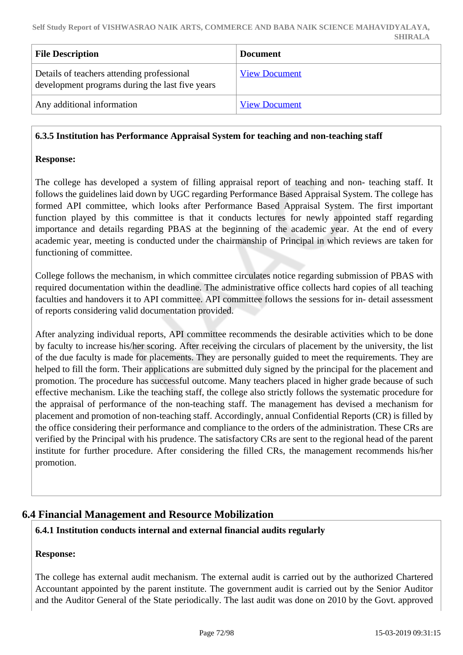| <b>File Description</b>                                                                       | <b>Document</b>      |
|-----------------------------------------------------------------------------------------------|----------------------|
| Details of teachers attending professional<br>development programs during the last five years | <b>View Document</b> |
| Any additional information                                                                    | <b>View Document</b> |

# **6.3.5 Institution has Performance Appraisal System for teaching and non-teaching staff**

#### **Response:**

The college has developed a system of filling appraisal report of teaching and non- teaching staff. It follows the guidelines laid down by UGC regarding Performance Based Appraisal System. The college has formed API committee, which looks after Performance Based Appraisal System. The first important function played by this committee is that it conducts lectures for newly appointed staff regarding importance and details regarding PBAS at the beginning of the academic year. At the end of every academic year, meeting is conducted under the chairmanship of Principal in which reviews are taken for functioning of committee.

College follows the mechanism, in which committee circulates notice regarding submission of PBAS with required documentation within the deadline. The administrative office collects hard copies of all teaching faculties and handovers it to API committee. API committee follows the sessions for in- detail assessment of reports considering valid documentation provided.

After analyzing individual reports, API committee recommends the desirable activities which to be done by faculty to increase his/her scoring. After receiving the circulars of placement by the university, the list of the due faculty is made for placements. They are personally guided to meet the requirements. They are helped to fill the form. Their applications are submitted duly signed by the principal for the placement and promotion. The procedure has successful outcome. Many teachers placed in higher grade because of such effective mechanism. Like the teaching staff, the college also strictly follows the systematic procedure for the appraisal of performance of the non-teaching staff. The management has devised a mechanism for placement and promotion of non-teaching staff. Accordingly, annual Confidential Reports (CR) is filled by the office considering their performance and compliance to the orders of the administration. These CRs are verified by the Principal with his prudence. The satisfactory CRs are sent to the regional head of the parent institute for further procedure. After considering the filled CRs, the management recommends his/her promotion.

# **6.4 Financial Management and Resource Mobilization**

#### **6.4.1 Institution conducts internal and external financial audits regularly**

#### **Response:**

The college has external audit mechanism. The external audit is carried out by the authorized Chartered Accountant appointed by the parent institute. The government audit is carried out by the Senior Auditor and the Auditor General of the State periodically. The last audit was done on 2010 by the Govt. approved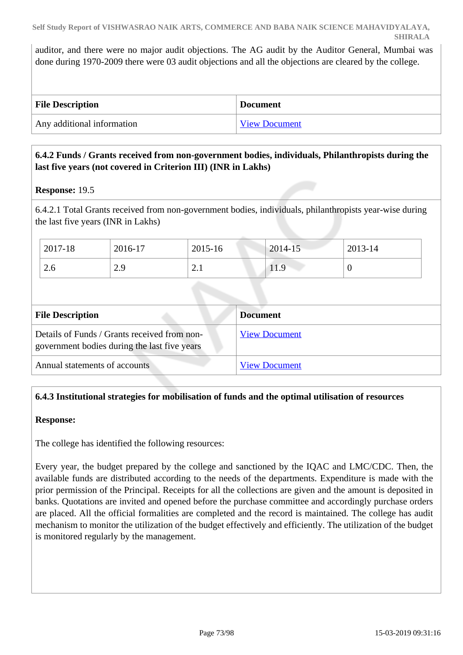auditor, and there were no major audit objections. The AG audit by the Auditor General, Mumbai was done during 1970-2009 there were 03 audit objections and all the objections are cleared by the college.

| <b>File Description</b>    | <b>Document</b>      |
|----------------------------|----------------------|
| Any additional information | <b>View Document</b> |

## **6.4.2 Funds / Grants received from non-government bodies, individuals, Philanthropists during the last five years (not covered in Criterion III) (INR in Lakhs)**

## **Response:** 19.5

6.4.2.1 Total Grants received from non-government bodies, individuals, philanthropists year-wise during the last five years (INR in Lakhs)

| 2017-18 | 2016-17 | 2015-16             | $2014 - 15$ | $2013 - 14$ |
|---------|---------|---------------------|-------------|-------------|
| 2.6     | 2.9     | ⌒<br>$\sim$ $\cdot$ | 11.9        | ν           |

| <b>File Description</b>                                                                      | <b>Document</b>      |
|----------------------------------------------------------------------------------------------|----------------------|
| Details of Funds / Grants received from non-<br>government bodies during the last five years | <b>View Document</b> |
| Annual statements of accounts                                                                | <b>View Document</b> |

## **6.4.3 Institutional strategies for mobilisation of funds and the optimal utilisation of resources**

## **Response:**

The college has identified the following resources:

Every year, the budget prepared by the college and sanctioned by the IQAC and LMC/CDC. Then, the available funds are distributed according to the needs of the departments. Expenditure is made with the prior permission of the Principal. Receipts for all the collections are given and the amount is deposited in banks. Quotations are invited and opened before the purchase committee and accordingly purchase orders are placed. All the official formalities are completed and the record is maintained. The college has audit mechanism to monitor the utilization of the budget effectively and efficiently. The utilization of the budget is monitored regularly by the management.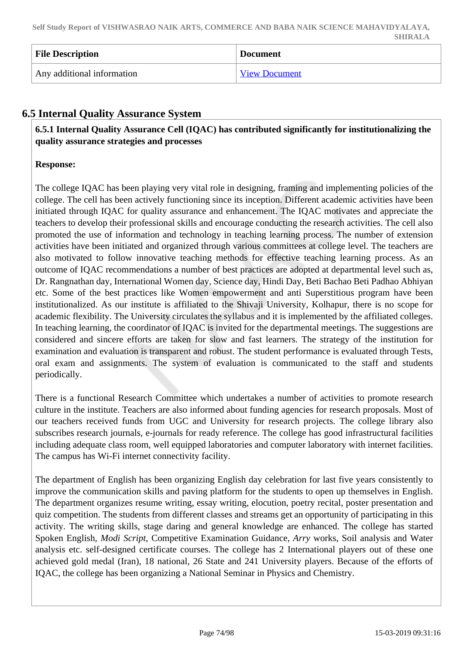| <b>File Description</b>    | <b>Document</b>      |
|----------------------------|----------------------|
| Any additional information | <b>View Document</b> |

# **6.5 Internal Quality Assurance System**

 **6.5.1 Internal Quality Assurance Cell (IQAC) has contributed significantly for institutionalizing the quality assurance strategies and processes**

## **Response:**

The college IQAC has been playing very vital role in designing, framing and implementing policies of the college. The cell has been actively functioning since its inception. Different academic activities have been initiated through IQAC for quality assurance and enhancement. The IQAC motivates and appreciate the teachers to develop their professional skills and encourage conducting the research activities. The cell also promoted the use of information and technology in teaching learning process. The number of extension activities have been initiated and organized through various committees at college level. The teachers are also motivated to follow innovative teaching methods for effective teaching learning process. As an outcome of IQAC recommendations a number of best practices are adopted at departmental level such as, Dr. Rangnathan day, International Women day, Science day, Hindi Day, Beti Bachao Beti Padhao Abhiyan etc. Some of the best practices like Women empowerment and anti Superstitious program have been institutionalized. As our institute is affiliated to the Shivaji University, Kolhapur, there is no scope for academic flexibility. The University circulates the syllabus and it is implemented by the affiliated colleges. In teaching learning, the coordinator of IQAC is invited for the departmental meetings. The suggestions are considered and sincere efforts are taken for slow and fast learners. The strategy of the institution for examination and evaluation is transparent and robust. The student performance is evaluated through Tests, oral exam and assignments. The system of evaluation is communicated to the staff and students periodically.

There is a functional Research Committee which undertakes a number of activities to promote research culture in the institute. Teachers are also informed about funding agencies for research proposals. Most of our teachers received funds from UGC and University for research projects. The college library also subscribes research journals, e-journals for ready reference. The college has good infrastructural facilities including adequate class room, well equipped laboratories and computer laboratory with internet facilities. The campus has Wi-Fi internet connectivity facility.

The department of English has been organizing English day celebration for last five years consistently to improve the communication skills and paving platform for the students to open up themselves in English. The department organizes resume writing, essay writing, elocution, poetry recital, poster presentation and quiz competition. The students from different classes and streams get an opportunity of participating in this activity. The writing skills, stage daring and general knowledge are enhanced. The college has started Spoken English, *Modi Script*, Competitive Examination Guidance, *Arry* works, Soil analysis and Water analysis etc. self-designed certificate courses. The college has 2 International players out of these one achieved gold medal (Iran), 18 national, 26 State and 241 University players. Because of the efforts of IQAC, the college has been organizing a National Seminar in Physics and Chemistry.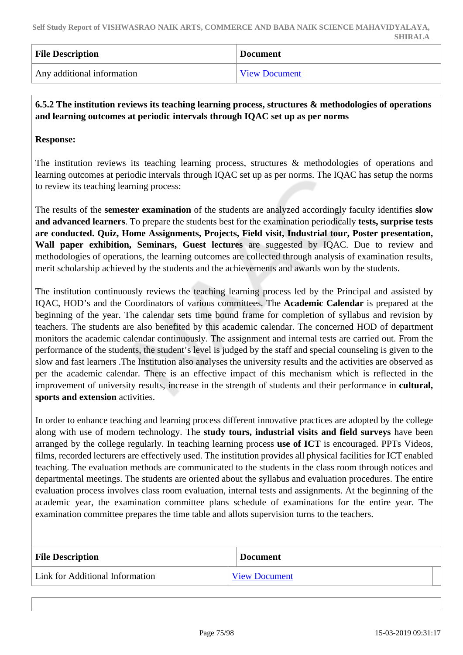| <b>File Description</b>    | <b>Document</b> |
|----------------------------|-----------------|
| Any additional information | View Document   |

## **6.5.2 The institution reviews its teaching learning process, structures & methodologies of operations and learning outcomes at periodic intervals through IQAC set up as per norms**

## **Response:**

The institution reviews its teaching learning process, structures & methodologies of operations and learning outcomes at periodic intervals through IQAC set up as per norms. The IQAC has setup the norms to review its teaching learning process:

The results of the **semester examination** of the students are analyzed accordingly faculty identifies **slow and advanced learners**. To prepare the students best for the examination periodically **tests, surprise tests are conducted. Quiz, Home Assignments, Projects, Field visit, Industrial tour, Poster presentation, Wall paper exhibition, Seminars, Guest lectures** are suggested by IQAC. Due to review and methodologies of operations, the learning outcomes are collected through analysis of examination results, merit scholarship achieved by the students and the achievements and awards won by the students.

The institution continuously reviews the teaching learning process led by the Principal and assisted by IQAC, HOD's and the Coordinators of various committees. The **Academic Calendar** is prepared at the beginning of the year. The calendar sets time bound frame for completion of syllabus and revision by teachers. The students are also benefited by this academic calendar. The concerned HOD of department monitors the academic calendar continuously. The assignment and internal tests are carried out. From the performance of the students, the student's level is judged by the staff and special counseling is given to the slow and fast learners .The Institution also analyses the university results and the activities are observed as per the academic calendar. There is an effective impact of this mechanism which is reflected in the improvement of university results, increase in the strength of students and their performance in **cultural, sports and extension** activities.

In order to enhance teaching and learning process different innovative practices are adopted by the college along with use of modern technology. The **study tours, industrial visits and field surveys** have been arranged by the college regularly. In teaching learning process **use of ICT** is encouraged. PPTs Videos, films, recorded lecturers are effectively used. The institution provides all physical facilities for ICT enabled teaching. The evaluation methods are communicated to the students in the class room through notices and departmental meetings. The students are oriented about the syllabus and evaluation procedures. The entire evaluation process involves class room evaluation, internal tests and assignments. At the beginning of the academic year, the examination committee plans schedule of examinations for the entire year. The examination committee prepares the time table and allots supervision turns to the teachers.

| <b>File Description</b>         | <b>Document</b>      |
|---------------------------------|----------------------|
| Link for Additional Information | <b>View Document</b> |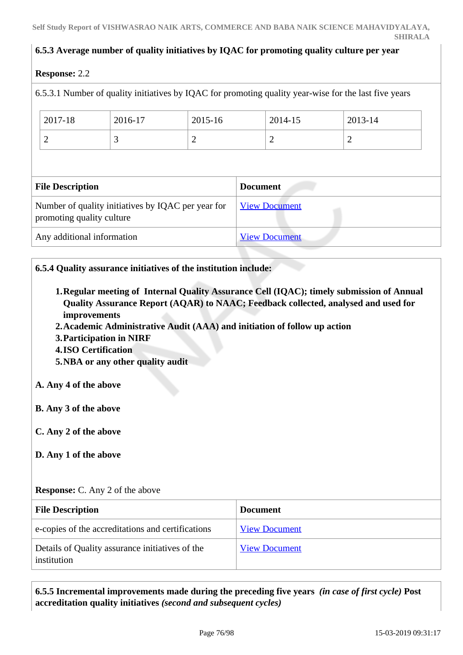## **6.5.3 Average number of quality initiatives by IQAC for promoting quality culture per year**

## **Response:** 2.2

| <b>Response:</b> 2.2       |                                                    |                |                 |                      |                                                                                                       |  |
|----------------------------|----------------------------------------------------|----------------|-----------------|----------------------|-------------------------------------------------------------------------------------------------------|--|
|                            |                                                    |                |                 |                      | 6.5.3.1 Number of quality initiatives by IQAC for promoting quality year-wise for the last five years |  |
| 2017-18                    | 2016-17                                            | 2015-16        |                 | 2014-15              | 2013-14                                                                                               |  |
| $\overline{2}$             | 3                                                  | $\overline{2}$ |                 | 2                    | $\overline{2}$                                                                                        |  |
|                            |                                                    |                |                 |                      |                                                                                                       |  |
| <b>File Description</b>    |                                                    |                | <b>Document</b> |                      |                                                                                                       |  |
| promoting quality culture  | Number of quality initiatives by IQAC per year for |                |                 | <b>View Document</b> |                                                                                                       |  |
| Any additional information |                                                    |                |                 | <b>View Document</b> |                                                                                                       |  |
|                            |                                                    |                |                 |                      |                                                                                                       |  |

## **6.5.4 Quality assurance initiatives of the institution include:**

- **1.Regular meeting of Internal Quality Assurance Cell (IQAC); timely submission of Annual Quality Assurance Report (AQAR) to NAAC; Feedback collected, analysed and used for improvements**
- **2.Academic Administrative Audit (AAA) and initiation of follow up action**
- **3.Participation in NIRF**
- **4.ISO Certification**
- **5.NBA or any other quality audit**

## **A. Any 4 of the above**

- **B. Any 3 of the above**
- **C. Any 2 of the above**
- **D. Any 1 of the above**

## **Response:** C. Any 2 of the above

| <b>File Description</b>                                        | <b>Document</b>      |
|----------------------------------------------------------------|----------------------|
| e-copies of the accreditations and certifications              | <b>View Document</b> |
| Details of Quality assurance initiatives of the<br>institution | <b>View Document</b> |

 **6.5.5 Incremental improvements made during the preceding five years** *(in case of first cycle)* **Post accreditation quality initiatives** *(second and subsequent cycles)*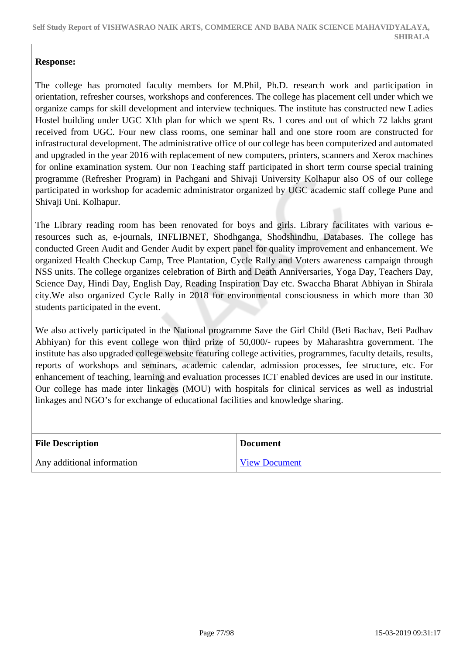## **Response:**

The college has promoted faculty members for M.Phil, Ph.D. research work and participation in orientation, refresher courses, workshops and conferences. The college has placement cell under which we organize camps for skill development and interview techniques. The institute has constructed new Ladies Hostel building under UGC XIth plan for which we spent Rs. 1 cores and out of which 72 lakhs grant received from UGC. Four new class rooms, one seminar hall and one store room are constructed for infrastructural development. The administrative office of our college has been computerized and automated and upgraded in the year 2016 with replacement of new computers, printers, scanners and Xerox machines for online examination system. Our non Teaching staff participated in short term course special training programme (Refresher Program) in Pachgani and Shivaji University Kolhapur also OS of our college participated in workshop for academic administrator organized by UGC academic staff college Pune and Shivaji Uni. Kolhapur.

The Library reading room has been renovated for boys and girls. Library facilitates with various eresources such as, e-journals, INFLIBNET, Shodhganga, Shodshindhu, Databases. The college has conducted Green Audit and Gender Audit by expert panel for quality improvement and enhancement. We organized Health Checkup Camp, Tree Plantation, Cycle Rally and Voters awareness campaign through NSS units. The college organizes celebration of Birth and Death Anniversaries, Yoga Day, Teachers Day, Science Day, Hindi Day, English Day, Reading Inspiration Day etc. Swaccha Bharat Abhiyan in Shirala city.We also organized Cycle Rally in 2018 for environmental consciousness in which more than 30 students participated in the event.

We also actively participated in the National programme Save the Girl Child (Beti Bachav, Beti Padhav Abhiyan) for this event college won third prize of 50,000/- rupees by Maharashtra government. The institute has also upgraded college website featuring college activities, programmes, faculty details, results, reports of workshops and seminars, academic calendar, admission processes, fee structure, etc. For enhancement of teaching, learning and evaluation processes ICT enabled devices are used in our institute. Our college has made inter linkages (MOU) with hospitals for clinical services as well as industrial linkages and NGO's for exchange of educational facilities and knowledge sharing.

| <b>File Description</b>    | <b>Document</b>      |
|----------------------------|----------------------|
| Any additional information | <b>View Document</b> |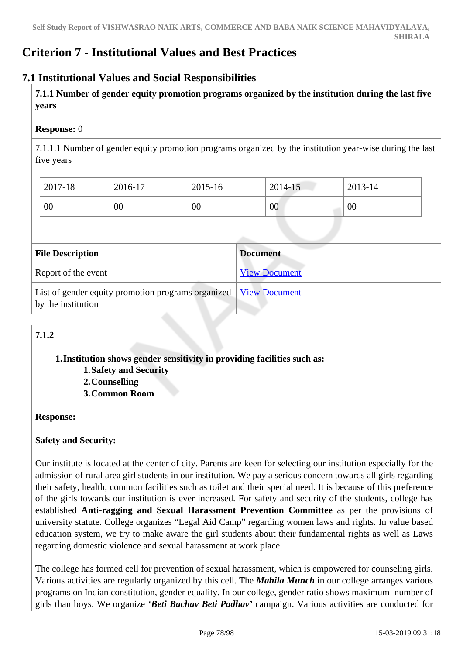# **Criterion 7 - Institutional Values and Best Practices**

## **7.1 Institutional Values and Social Responsibilities**

 **7.1.1 Number of gender equity promotion programs organized by the institution during the last five years** 

## **Response:** 0

7.1.1.1 Number of gender equity promotion programs organized by the institution year-wise during the last five years

| 2017-18 | 2016-17 | 2015-16 | 2014-15 | 2013-14 |
|---------|---------|---------|---------|---------|
| 00      | 00      | 00      | 00      | 00      |

| <b>File Description</b>                                                                  | <b>Document</b>      |
|------------------------------------------------------------------------------------------|----------------------|
| Report of the event                                                                      | <b>View Document</b> |
| List of gender equity promotion programs organized   View Document<br>by the institution |                      |

# **7.1.2**

**1.Institution shows gender sensitivity in providing facilities such as: 1.Safety and Security**

**2.Counselling 3.Common Room**

## **Response:**

## **Safety and Security:**

Our institute is located at the center of city. Parents are keen for selecting our institution especially for the admission of rural area girl students in our institution. We pay a serious concern towards all girls regarding their safety, health, common facilities such as toilet and their special need. It is because of this preference of the girls towards our institution is ever increased. For safety and security of the students, college has established **Anti-ragging and Sexual Harassment Prevention Committee** as per the provisions of university statute. College organizes "Legal Aid Camp" regarding women laws and rights. In value based education system, we try to make aware the girl students about their fundamental rights as well as Laws regarding domestic violence and sexual harassment at work place.

The college has formed cell for prevention of sexual harassment, which is empowered for counseling girls. Various activities are regularly organized by this cell. The *Mahila Munch* in our college arranges various programs on Indian constitution, gender equality. In our college, gender ratio shows maximum number of girls than boys. We organize *'Beti Bachav Beti Padhav'* campaign. Various activities are conducted for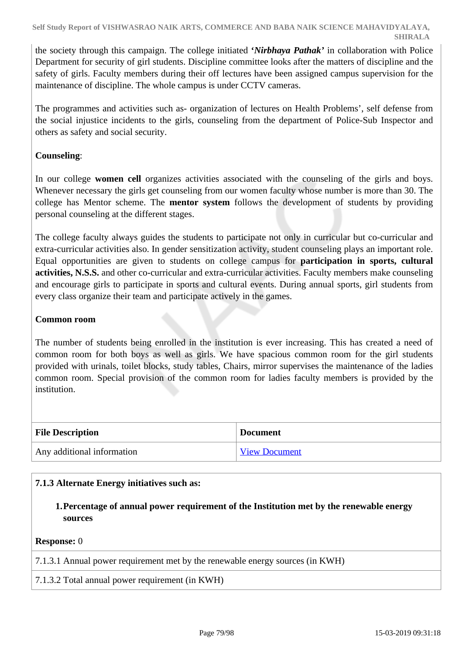the society through this campaign. The college initiated **'***Nirbhaya Pathak'* in collaboration with Police Department for security of girl students. Discipline committee looks after the matters of discipline and the safety of girls. Faculty members during their off lectures have been assigned campus supervision for the maintenance of discipline. The whole campus is under CCTV cameras.

The programmes and activities such as- organization of lectures on Health Problems', self defense from the social injustice incidents to the girls, counseling from the department of Police-Sub Inspector and others as safety and social security.

## **Counseling**:

In our college **women cell** organizes activities associated with the counseling of the girls and boys. Whenever necessary the girls get counseling from our women faculty whose number is more than 30. The college has Mentor scheme. The **mentor system** follows the development of students by providing personal counseling at the different stages.

The college faculty always guides the students to participate not only in curricular but co-curricular and extra-curricular activities also. In gender sensitization activity, student counseling plays an important role. Equal opportunities are given to students on college campus for **participation in sports, cultural activities, N.S.S.** and other co-curricular and extra-curricular activities. Faculty members make counseling and encourage girls to participate in sports and cultural events. During annual sports, girl students from every class organize their team and participate actively in the games.

## **Common room**

The number of students being enrolled in the institution is ever increasing. This has created a need of common room for both boys as well as girls. We have spacious common room for the girl students provided with urinals, toilet blocks, study tables, Chairs, mirror supervises the maintenance of the ladies common room. Special provision of the common room for ladies faculty members is provided by the institution.

| <b>File Description</b>    | <b>Document</b>      |
|----------------------------|----------------------|
| Any additional information | <b>View Document</b> |

## **7.1.3 Alternate Energy initiatives such as:**

**1.Percentage of annual power requirement of the Institution met by the renewable energy sources**

#### **Response:** 0

7.1.3.1 Annual power requirement met by the renewable energy sources (in KWH)

#### 7.1.3.2 Total annual power requirement (in KWH)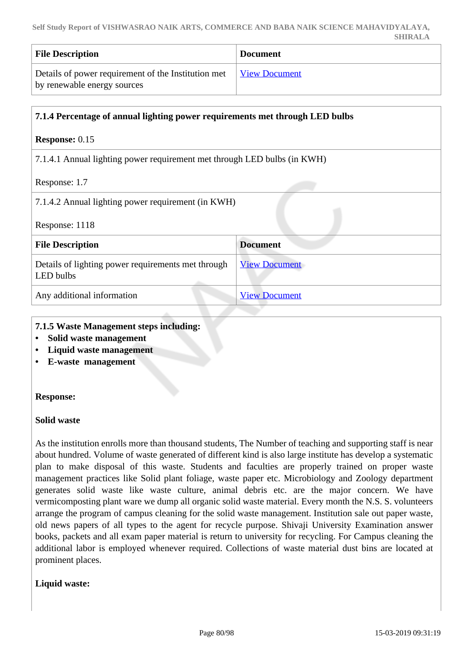| <b>File Description</b>                                                                            | <b>Document</b> |
|----------------------------------------------------------------------------------------------------|-----------------|
| Details of power requirement of the Institution met   View Document<br>by renewable energy sources |                 |

| 7.1.4 Percentage of annual lighting power requirements met through LED bulbs |                      |  |
|------------------------------------------------------------------------------|----------------------|--|
| <b>Response: 0.15</b>                                                        |                      |  |
| 7.1.4.1 Annual lighting power requirement met through LED bulbs (in KWH)     |                      |  |
| Response: 1.7                                                                |                      |  |
| 7.1.4.2 Annual lighting power requirement (in KWH)                           |                      |  |
| Response: 1118                                                               |                      |  |
| <b>File Description</b>                                                      | <b>Document</b>      |  |
| Details of lighting power requirements met through<br>LED bulbs              | <b>View Document</b> |  |
| Any additional information<br><b>View Document</b>                           |                      |  |

- **7.1.5 Waste Management steps including:**
- **Solid waste management**
- **Liquid waste management**
- **E-waste management**

## **Response:**

#### **Solid waste**

As the institution enrolls more than thousand students, The Number of teaching and supporting staff is near about hundred. Volume of waste generated of different kind is also large institute has develop a systematic plan to make disposal of this waste. Students and faculties are properly trained on proper waste management practices like Solid plant foliage, waste paper etc. Microbiology and Zoology department generates solid waste like waste culture, animal debris etc. are the major concern. We have vermicomposting plant ware we dump all organic solid waste material. Every month the N.S. S. volunteers arrange the program of campus cleaning for the solid waste management. Institution sale out paper waste, old news papers of all types to the agent for recycle purpose. Shivaji University Examination answer books, packets and all exam paper material is return to university for recycling. For Campus cleaning the additional labor is employed whenever required. Collections of waste material dust bins are located at prominent places.

## **Liquid waste:**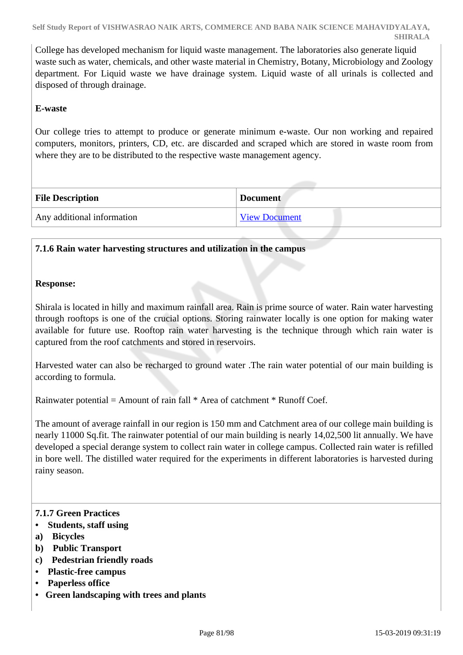College has developed mechanism for liquid waste management. The laboratories also generate liquid waste such as water, chemicals, and other waste material in Chemistry, Botany, Microbiology and Zoology department. For Liquid waste we have drainage system. Liquid waste of all urinals is collected and disposed of through drainage.

## **E-waste**

Our college tries to attempt to produce or generate minimum e-waste. Our non working and repaired computers, monitors, printers, CD, etc. are discarded and scraped which are stored in waste room from where they are to be distributed to the respective waste management agency.

| <b>File Description</b>    | <b>Document</b>      |
|----------------------------|----------------------|
| Any additional information | <b>View Document</b> |

## **7.1.6 Rain water harvesting structures and utilization in the campus**

## **Response:**

Shirala is located in hilly and maximum rainfall area. Rain is prime source of water. Rain water harvesting through rooftops is one of the crucial options. Storing rainwater locally is one option for making water available for future use. Rooftop rain water harvesting is the technique through which rain water is captured from the roof catchments and stored in reservoirs.

Harvested water can also be recharged to ground water .The rain water potential of our main building is according to formula.

Rainwater potential = Amount of rain fall  $*$  Area of catchment  $*$  Runoff Coef.

The amount of average rainfall in our region is 150 mm and Catchment area of our college main building is nearly 11000 Sq.fit. The rainwater potential of our main building is nearly 14,02,500 lit annually. We have developed a special derange system to collect rain water in college campus. Collected rain water is refilled in bore well. The distilled water required for the experiments in different laboratories is harvested during rainy season.

## **7.1.7 Green Practices**

- **Students, staff using**
- **a) Bicycles**
- **b) Public Transport**
- **c) Pedestrian friendly roads**
- **Plastic-free campus**
- **Paperless office**
- **Green landscaping with trees and plants**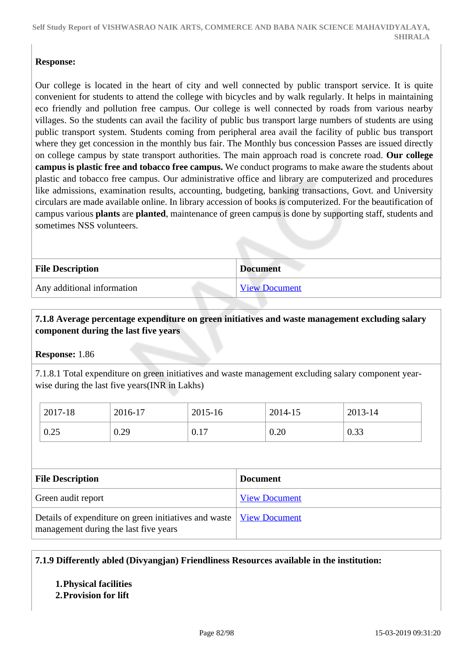## **Response:**

Our college is located in the heart of city and well connected by public transport service. It is quite convenient for students to attend the college with bicycles and by walk regularly. It helps in maintaining eco friendly and pollution free campus. Our college is well connected by roads from various nearby villages. So the students can avail the facility of public bus transport large numbers of students are using public transport system. Students coming from peripheral area avail the facility of public bus transport where they get concession in the monthly bus fair. The Monthly bus concession Passes are issued directly on college campus by state transport authorities. The main approach road is concrete road. **Our college campus is plastic free and tobacco free campus.** We conduct programs to make aware the students about plastic and tobacco free campus. Our administrative office and library are computerized and procedures like admissions, examination results, accounting, budgeting, banking transactions, Govt. and University circulars are made available online. In library accession of books is computerized. For the beautification of campus various **plants** are **planted**, maintenance of green campus is done by supporting staff, students and sometimes NSS volunteers.

| <b>File Description</b>    | <b>Document</b> |
|----------------------------|-----------------|
| Any additional information | View Document   |

## **7.1.8 Average percentage expenditure on green initiatives and waste management excluding salary component during the last five years**

## **Response:** 1.86

7.1.8.1 Total expenditure on green initiatives and waste management excluding salary component yearwise during the last five years(INR in Lakhs)

| 2017-18 | 2016-17 | 2015-16 | 2014-15 | 2013-14 |
|---------|---------|---------|---------|---------|
| 0.25    | 0.29    | 0.17    | 0.20    | 0.33    |

| <b>File Description</b>                                                                                               | <b>Document</b>      |
|-----------------------------------------------------------------------------------------------------------------------|----------------------|
| Green audit report                                                                                                    | <b>View Document</b> |
| Details of expenditure on green initiatives and waste   <u>View Document</u><br>management during the last five years |                      |

## **7.1.9 Differently abled (Divyangjan) Friendliness Resources available in the institution:**

## **1.Physical facilities**

## **2.Provision for lift**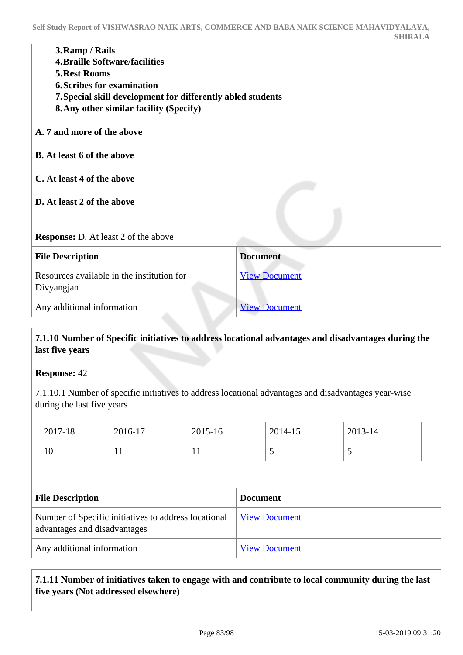| 3. Ramp / Rails |  |
|-----------------|--|
|-----------------|--|

- **4.Braille Software/facilities**
- **5.Rest Rooms**
- **6.Scribes for examination**
- **7.Special skill development for differently abled students**
- **8.Any other similar facility (Specify)**
- **A. 7 and more of the above**
- **B. At least 6 of the above**
- **C. At least 4 of the above**
- **D. At least 2 of the above**

#### **Response:** D. At least 2 of the above

| <b>File Description</b>                                  | <b>Document</b>      |
|----------------------------------------------------------|----------------------|
| Resources available in the institution for<br>Divyangjan | <b>View Document</b> |
| Any additional information                               | <b>View Document</b> |

## **7.1.10 Number of Specific initiatives to address locational advantages and disadvantages during the last five years**

**Response:** 42

7.1.10.1 Number of specific initiatives to address locational advantages and disadvantages year-wise during the last five years

|                         | 2017-18<br>10                                                                        | 2016-17<br>11 | 2015-16<br>11   |                      | 2014-15 | 2013-14 |  |
|-------------------------|--------------------------------------------------------------------------------------|---------------|-----------------|----------------------|---------|---------|--|
|                         |                                                                                      |               |                 |                      |         |         |  |
| <b>File Description</b> |                                                                                      |               | <b>Document</b> |                      |         |         |  |
|                         | Number of Specific initiatives to address locational<br>advantages and disadvantages |               |                 | <b>View Document</b> |         |         |  |

Any additional information <br>
<u>[View Document](https://assessmentonline.naac.gov.in/storage/app/hei/SSR/102349/7.1.10_1548238019_2485.pdf)</u>

 **7.1.11 Number of initiatives taken to engage with and contribute to local community during the last five years (Not addressed elsewhere)**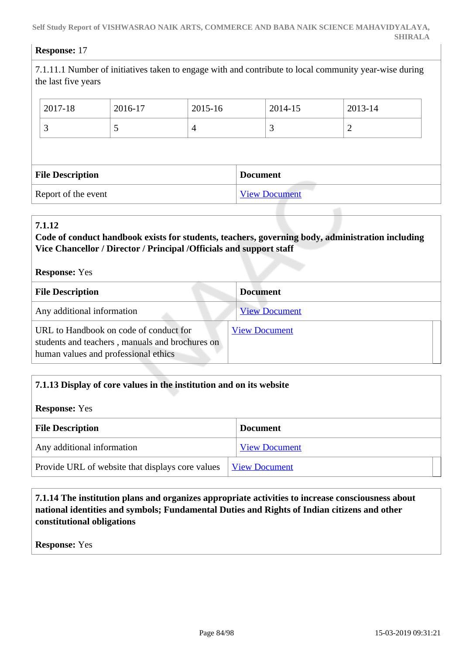#### **Response:** 17

7.1.11.1 Number of initiatives taken to engage with and contribute to local community year-wise during the last five years

|                         | 2017-18 | 2016-17 | 2015-16              |  | 2014-15 | 2013-14 |  |
|-------------------------|---------|---------|----------------------|--|---------|---------|--|
|                         | 3       |         | 4                    |  | 3       |         |  |
|                         |         |         |                      |  |         |         |  |
| <b>File Description</b> |         |         | <b>Document</b>      |  |         |         |  |
| Report of the event     |         |         | <b>View Document</b> |  |         |         |  |

#### **7.1.12**

## **Code of conduct handbook exists for students, teachers, governing body, administration including Vice Chancellor / Director / Principal /Officials and support staff**

| <b>Response:</b> Yes                                                                                                              |                      |
|-----------------------------------------------------------------------------------------------------------------------------------|----------------------|
| <b>File Description</b>                                                                                                           | <b>Document</b>      |
| Any additional information                                                                                                        | <b>View Document</b> |
| URL to Handbook on code of conduct for<br>students and teachers, manuals and brochures on<br>human values and professional ethics | <b>View Document</b> |

## **7.1.13 Display of core values in the institution and on its website**

#### **Response:** Yes

| <b>File Description</b>                          | <b>Document</b>      |
|--------------------------------------------------|----------------------|
| Any additional information                       | <b>View Document</b> |
| Provide URL of website that displays core values | <b>View Document</b> |

 **7.1.14 The institution plans and organizes appropriate activities to increase consciousness about national identities and symbols; Fundamental Duties and Rights of Indian citizens and other constitutional obligations**

**Response:** Yes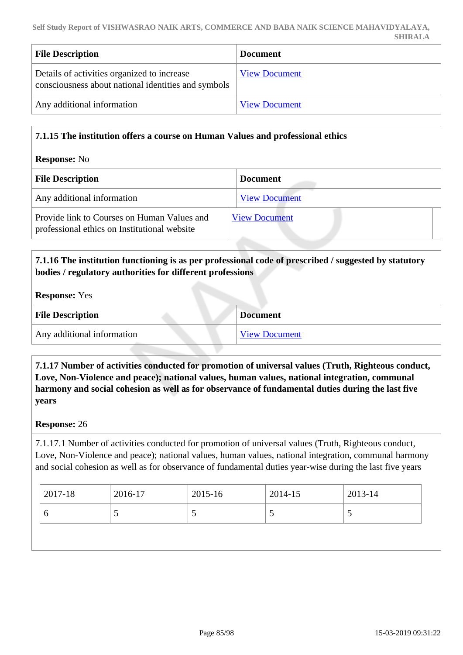| <b>File Description</b>                                                                            | <b>Document</b>      |
|----------------------------------------------------------------------------------------------------|----------------------|
| Details of activities organized to increase<br>consciousness about national identities and symbols | <b>View Document</b> |
| Any additional information                                                                         | <b>View Document</b> |

## **7.1.15 The institution offers a course on Human Values and professional ethics**

#### **Response:** No

| <b>File Description</b>                                                                     | <b>Document</b>      |
|---------------------------------------------------------------------------------------------|----------------------|
| Any additional information                                                                  | <b>View Document</b> |
| Provide link to Courses on Human Values and<br>professional ethics on Institutional website | <b>View Document</b> |

## **7.1.16 The institution functioning is as per professional code of prescribed / suggested by statutory bodies / regulatory authorities for different professions**

**Response:** Yes

| <b>File Description</b>    | <b>Document</b>      |
|----------------------------|----------------------|
| Any additional information | <b>View Document</b> |

 **7.1.17 Number of activities conducted for promotion of universal values (Truth, Righteous conduct, Love, Non-Violence and peace); national values, human values, national integration, communal harmony and social cohesion as well as for observance of fundamental duties during the last five years**

#### **Response:** 26

7.1.17.1 Number of activities conducted for promotion of universal values (Truth, Righteous conduct, Love, Non-Violence and peace); national values, human values, national integration, communal harmony and social cohesion as well as for observance of fundamental duties year-wise during the last five years

| 2017-18 | 2016-17 | 2015-16 | $2014 - 15$ | $2013 - 14$ |
|---------|---------|---------|-------------|-------------|
| v       |         |         |             |             |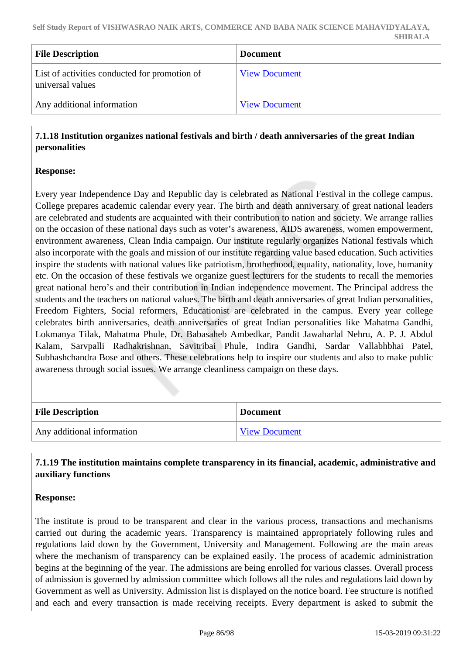| <b>File Description</b>                                           | <b>Document</b>      |
|-------------------------------------------------------------------|----------------------|
| List of activities conducted for promotion of<br>universal values | <b>View Document</b> |
| Any additional information                                        | <b>View Document</b> |

## **7.1.18 Institution organizes national festivals and birth / death anniversaries of the great Indian personalities**

## **Response:**

Every year Independence Day and Republic day is celebrated as National Festival in the college campus. College prepares academic calendar every year. The birth and death anniversary of great national leaders are celebrated and students are acquainted with their contribution to nation and society. We arrange rallies on the occasion of these national days such as voter's awareness, AIDS awareness, women empowerment, environment awareness, Clean India campaign. Our institute regularly organizes National festivals which also incorporate with the goals and mission of our institute regarding value based education. Such activities inspire the students with national values like patriotism, brotherhood, equality, nationality, love, humanity etc. On the occasion of these festivals we organize guest lecturers for the students to recall the memories great national hero's and their contribution in Indian independence movement. The Principal address the students and the teachers on national values. The birth and death anniversaries of great Indian personalities, Freedom Fighters, Social reformers, Educationist are celebrated in the campus. Every year college celebrates birth anniversaries, death anniversaries of great Indian personalities like Mahatma Gandhi, Lokmanya Tilak, Mahatma Phule, Dr. Babasaheb Ambedkar, Pandit Jawaharlal Nehru, A. P. J. Abdul Kalam, Sarvpalli Radhakrishnan, Savitribai Phule, Indira Gandhi, Sardar Vallabhbhai Patel, Subhashchandra Bose and others. These celebrations help to inspire our students and also to make public awareness through social issues. We arrange cleanliness campaign on these days.

| <b>File Description</b>    | <b>Document</b>      |
|----------------------------|----------------------|
| Any additional information | <b>View Document</b> |

## **7.1.19 The institution maintains complete transparency in its financial, academic, administrative and auxiliary functions**

## **Response:**

The institute is proud to be transparent and clear in the various process, transactions and mechanisms carried out during the academic years. Transparency is maintained appropriately following rules and regulations laid down by the Government, University and Management. Following are the main areas where the mechanism of transparency can be explained easily. The process of academic administration begins at the beginning of the year. The admissions are being enrolled for various classes. Overall process of admission is governed by admission committee which follows all the rules and regulations laid down by Government as well as University. Admission list is displayed on the notice board. Fee structure is notified and each and every transaction is made receiving receipts. Every department is asked to submit the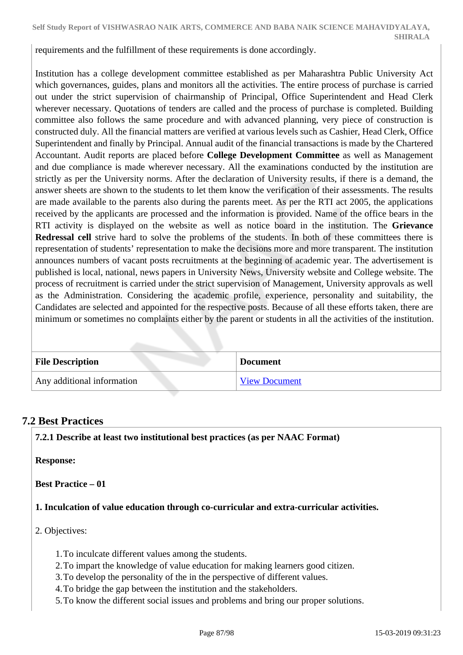requirements and the fulfillment of these requirements is done accordingly.

Institution has a college development committee established as per Maharashtra Public University Act which governances, guides, plans and monitors all the activities. The entire process of purchase is carried out under the strict supervision of chairmanship of Principal, Office Superintendent and Head Clerk wherever necessary. Quotations of tenders are called and the process of purchase is completed. Building committee also follows the same procedure and with advanced planning, very piece of construction is constructed duly. All the financial matters are verified at various levels such as Cashier, Head Clerk, Office Superintendent and finally by Principal. Annual audit of the financial transactions is made by the Chartered Accountant. Audit reports are placed before **College Development Committee** as well as Management and due compliance is made wherever necessary. All the examinations conducted by the institution are strictly as per the University norms. After the declaration of University results, if there is a demand, the answer sheets are shown to the students to let them know the verification of their assessments. The results are made available to the parents also during the parents meet. As per the RTI act 2005, the applications received by the applicants are processed and the information is provided. Name of the office bears in the RTI activity is displayed on the website as well as notice board in the institution. The **Grievance Redressal cell** strive hard to solve the problems of the students. In both of these committees there is representation of students' representation to make the decisions more and more transparent. The institution announces numbers of vacant posts recruitments at the beginning of academic year. The advertisement is published is local, national, news papers in University News, University website and College website. The process of recruitment is carried under the strict supervision of Management, University approvals as well as the Administration. Considering the academic profile, experience, personality and suitability, the Candidates are selected and appointed for the respective posts. Because of all these efforts taken, there are minimum or sometimes no complaints either by the parent or students in all the activities of the institution.

| <b>File Description</b>    | <b>Document</b>      |
|----------------------------|----------------------|
| Any additional information | <b>View Document</b> |

# **7.2 Best Practices**

**7.2.1 Describe at least two institutional best practices (as per NAAC Format)**

**Response:** 

**Best Practice – 01** 

**1. Inculcation of value education through co-curricular and extra-curricular activities.** 

- 2. Objectives:
	- 1.To inculcate different values among the students.
	- 2.To impart the knowledge of value education for making learners good citizen.
	- 3.To develop the personality of the in the perspective of different values.
	- 4.To bridge the gap between the institution and the stakeholders.
	- 5.To know the different social issues and problems and bring our proper solutions.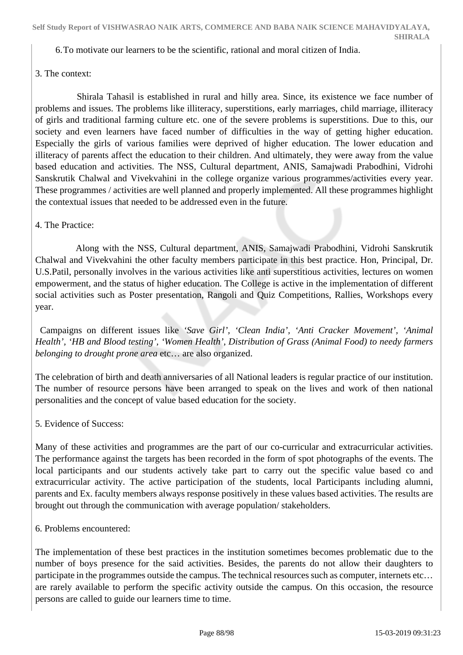**SHIRALA**

6.To motivate our learners to be the scientific, rational and moral citizen of India.

## 3. The context:

 Shirala Tahasil is established in rural and hilly area. Since, its existence we face number of problems and issues. The problems like illiteracy, superstitions, early marriages, child marriage, illiteracy of girls and traditional farming culture etc. one of the severe problems is superstitions. Due to this, our society and even learners have faced number of difficulties in the way of getting higher education. Especially the girls of various families were deprived of higher education. The lower education and illiteracy of parents affect the education to their children. And ultimately, they were away from the value based education and activities. The NSS, Cultural department, ANIS, Samajwadi Prabodhini, Vidrohi Sanskrutik Chalwal and Vivekvahini in the college organize various programmes/activities every year. These programmes / activities are well planned and properly implemented. All these programmes highlight the contextual issues that needed to be addressed even in the future.

## 4. The Practice:

 Along with the NSS, Cultural department, ANIS, Samajwadi Prabodhini, Vidrohi Sanskrutik Chalwal and Vivekvahini the other faculty members participate in this best practice. Hon, Principal, Dr. U.S.Patil, personally involves in the various activities like anti superstitious activities, lectures on women empowerment, and the status of higher education. The College is active in the implementation of different social activities such as Poster presentation, Rangoli and Quiz Competitions, Rallies, Workshops every year.

 Campaigns on different issues like *'Save Girl', 'Clean India', 'Anti Cracker Movement', 'Animal Health', 'HB and Blood testing', 'Women Health', Distribution of Grass (Animal Food) to needy farmers belonging to drought prone area* etc… are also organized.

The celebration of birth and death anniversaries of all National leaders is regular practice of our institution. The number of resource persons have been arranged to speak on the lives and work of then national personalities and the concept of value based education for the society.

## 5. Evidence of Success:

Many of these activities and programmes are the part of our co-curricular and extracurricular activities. The performance against the targets has been recorded in the form of spot photographs of the events. The local participants and our students actively take part to carry out the specific value based co and extracurricular activity. The active participation of the students, local Participants including alumni, parents and Ex. faculty members always response positively in these values based activities. The results are brought out through the communication with average population/ stakeholders.

6. Problems encountered:

The implementation of these best practices in the institution sometimes becomes problematic due to the number of boys presence for the said activities. Besides, the parents do not allow their daughters to participate in the programmes outside the campus. The technical resources such as computer, internets etc… are rarely available to perform the specific activity outside the campus. On this occasion, the resource persons are called to guide our learners time to time.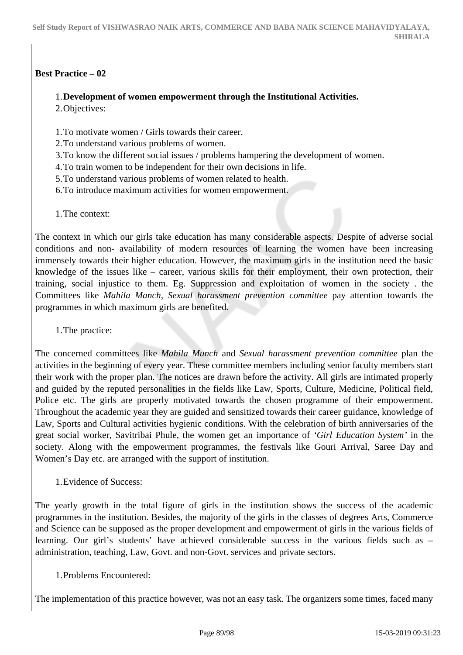## **Best Practice – 02**

### 1.**Development of women empowerment through the Institutional Activities.**

2.Objectives:

- 1.To motivate women / Girls towards their career.
- 2.To understand various problems of women.
- 3.To know the different social issues / problems hampering the development of women.
- 4.To train women to be independent for their own decisions in life.
- 5.To understand various problems of women related to health.
- 6.To introduce maximum activities for women empowerment.
- 1.The context:

The context in which our girls take education has many considerable aspects. Despite of adverse social conditions and non- availability of modern resources of learning the women have been increasing immensely towards their higher education. However, the maximum girls in the institution need the basic knowledge of the issues like – career, various skills for their employment, their own protection, their training, social injustice to them. Eg. Suppression and exploitation of women in the society . the Committees like *Mahila Manch, Sexual harassment prevention committee* pay attention towards the programmes in which maximum girls are benefited.

1.The practice:

The concerned committees like *Mahila Munch* and *Sexual harassment prevention committee* plan the activities in the beginning of every year. These committee members including senior faculty members start their work with the proper plan. The notices are drawn before the activity. All girls are intimated properly and guided by the reputed personalities in the fields like Law, Sports, Culture, Medicine, Political field, Police etc. The girls are properly motivated towards the chosen programme of their empowerment. Throughout the academic year they are guided and sensitized towards their career guidance, knowledge of Law, Sports and Cultural activities hygienic conditions. With the celebration of birth anniversaries of the great social worker, Savitribai Phule, the women get an importance of *'Girl Education System'* in the society. Along with the empowerment programmes, the festivals like Gouri Arrival, Saree Day and Women's Day etc. are arranged with the support of institution.

1.Evidence of Success:

The yearly growth in the total figure of girls in the institution shows the success of the academic programmes in the institution. Besides, the majority of the girls in the classes of degrees Arts, Commerce and Science can be supposed as the proper development and empowerment of girls in the various fields of learning. Our girl's students' have achieved considerable success in the various fields such as – administration, teaching, Law, Govt. and non-Govt. services and private sectors.

1.Problems Encountered:

The implementation of this practice however, was not an easy task. The organizers some times, faced many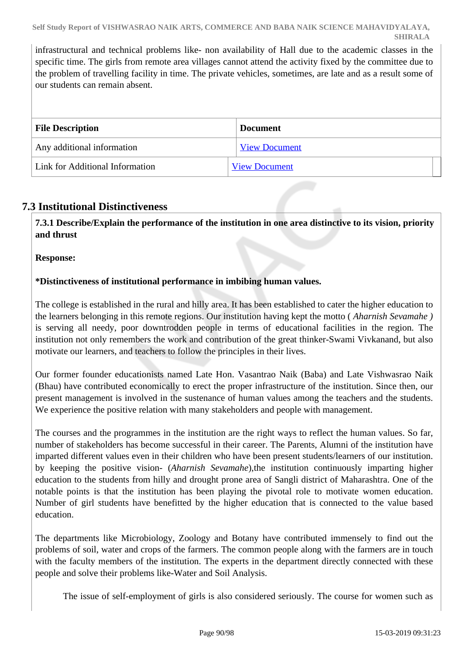infrastructural and technical problems like- non availability of Hall due to the academic classes in the specific time. The girls from remote area villages cannot attend the activity fixed by the committee due to the problem of travelling facility in time. The private vehicles, sometimes, are late and as a result some of our students can remain absent.

| <b>File Description</b>         | <b>Document</b>      |  |  |
|---------------------------------|----------------------|--|--|
| Any additional information      | <b>View Document</b> |  |  |
| Link for Additional Information | <b>View Document</b> |  |  |

# **7.3 Institutional Distinctiveness**

 **7.3.1 Describe/Explain the performance of the institution in one area distinctive to its vision, priority and thrust**

**Response:** 

## **\*Distinctiveness of institutional performance in imbibing human values.**

The college is established in the rural and hilly area. It has been established to cater the higher education to the learners belonging in this remote regions. Our institution having kept the motto ( *Aharnish Sevamahe )* is serving all needy, poor downtrodden people in terms of educational facilities in the region. The institution not only remembers the work and contribution of the great thinker-Swami Vivkanand, but also motivate our learners, and teachers to follow the principles in their lives.

Our former founder educationists named Late Hon. Vasantrao Naik (Baba) and Late Vishwasrao Naik (Bhau) have contributed economically to erect the proper infrastructure of the institution. Since then, our present management is involved in the sustenance of human values among the teachers and the students. We experience the positive relation with many stakeholders and people with management.

The courses and the programmes in the institution are the right ways to reflect the human values. So far, number of stakeholders has become successful in their career. The Parents, Alumni of the institution have imparted different values even in their children who have been present students/learners of our institution. by keeping the positive vision- (*Aharnish Sevamahe*),the institution continuously imparting higher education to the students from hilly and drought prone area of Sangli district of Maharashtra. One of the notable points is that the institution has been playing the pivotal role to motivate women education. Number of girl students have benefitted by the higher education that is connected to the value based education.

The departments like Microbiology, Zoology and Botany have contributed immensely to find out the problems of soil, water and crops of the farmers. The common people along with the farmers are in touch with the faculty members of the institution. The experts in the department directly connected with these people and solve their problems like-Water and Soil Analysis.

The issue of self-employment of girls is also considered seriously. The course for women such as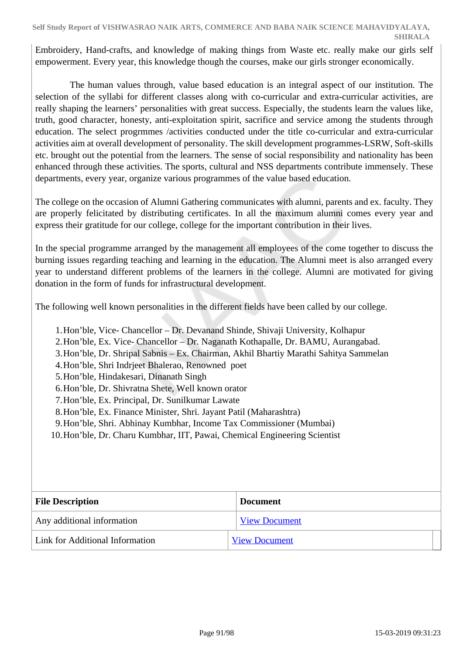Embroidery, Hand-crafts, and knowledge of making things from Waste etc. really make our girls self empowerment. Every year, this knowledge though the courses, make our girls stronger economically.

 The human values through, value based education is an integral aspect of our institution. The selection of the syllabi for different classes along with co-curricular and extra-curricular activities, are really shaping the learners' personalities with great success. Especially, the students learn the values like, truth, good character, honesty, anti-exploitation spirit, sacrifice and service among the students through education. The select progrmmes /activities conducted under the title co-curricular and extra-curricular activities aim at overall development of personality. The skill development programmes-LSRW, Soft-skills etc. brought out the potential from the learners. The sense of social responsibility and nationality has been enhanced through these activities. The sports, cultural and NSS departments contribute immensely. These departments, every year, organize various programmes of the value based education.

The college on the occasion of Alumni Gathering communicates with alumni, parents and ex. faculty. They are properly felicitated by distributing certificates. In all the maximum alumni comes every year and express their gratitude for our college, college for the important contribution in their lives.

In the special programme arranged by the management all employees of the come together to discuss the burning issues regarding teaching and learning in the education. The Alumni meet is also arranged every year to understand different problems of the learners in the college. Alumni are motivated for giving donation in the form of funds for infrastructural development.

The following well known personalities in the different fields have been called by our college.

- 1.Hon'ble, Vice- Chancellor Dr. Devanand Shinde, Shivaji University, Kolhapur
- 2.Hon'ble, Ex. Vice- Chancellor Dr. Naganath Kothapalle, Dr. BAMU, Aurangabad.
- 3.Hon'ble, Dr. Shripal Sabnis Ex. Chairman, Akhil Bhartiy Marathi Sahitya Sammelan
- 4.Hon'ble, Shri Indrjeet Bhalerao, Renowned poet
- 5.Hon'ble, Hindakesari, Dinanath Singh
- 6.Hon'ble, Dr. Shivratna Shete, Well known orator
- 7.Hon'ble, Ex. Principal, Dr. Sunilkumar Lawate
- 8.Hon'ble, Ex. Finance Minister, Shri. Jayant Patil (Maharashtra)
- 9.Hon'ble, Shri. Abhinay Kumbhar, Income Tax Commissioner (Mumbai)
- 10.Hon'ble, Dr. Charu Kumbhar, IIT, Pawai, Chemical Engineering Scientist

| <b>File Description</b>         | <b>Document</b>      |  |  |
|---------------------------------|----------------------|--|--|
| Any additional information      | <b>View Document</b> |  |  |
| Link for Additional Information | <b>View Document</b> |  |  |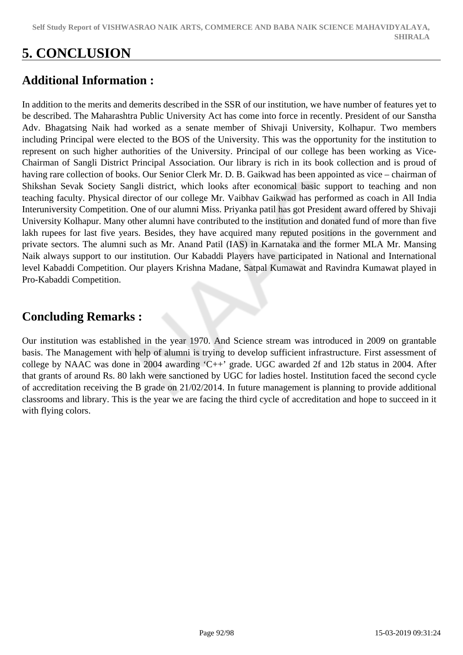# **5. CONCLUSION**

# **Additional Information :**

In addition to the merits and demerits described in the SSR of our institution, we have number of features yet to be described. The Maharashtra Public University Act has come into force in recently. President of our Sanstha Adv. Bhagatsing Naik had worked as a senate member of Shivaji University, Kolhapur. Two members including Principal were elected to the BOS of the University. This was the opportunity for the institution to represent on such higher authorities of the University. Principal of our college has been working as Vice-Chairman of Sangli District Principal Association. Our library is rich in its book collection and is proud of having rare collection of books. Our Senior Clerk Mr. D. B. Gaikwad has been appointed as vice – chairman of Shikshan Sevak Society Sangli district, which looks after economical basic support to teaching and non teaching faculty. Physical director of our college Mr. Vaibhav Gaikwad has performed as coach in All India Interuniversity Competition. One of our alumni Miss. Priyanka patil has got President award offered by Shivaji University Kolhapur. Many other alumni have contributed to the institution and donated fund of more than five lakh rupees for last five years. Besides, they have acquired many reputed positions in the government and private sectors. The alumni such as Mr. Anand Patil (IAS) in Karnataka and the former MLA Mr. Mansing Naik always support to our institution. Our Kabaddi Players have participated in National and International level Kabaddi Competition. Our players Krishna Madane, Satpal Kumawat and Ravindra Kumawat played in Pro-Kabaddi Competition.

# **Concluding Remarks :**

Our institution was established in the year 1970. And Science stream was introduced in 2009 on grantable basis. The Management with help of alumni is trying to develop sufficient infrastructure. First assessment of college by NAAC was done in 2004 awarding 'C++' grade. UGC awarded 2f and 12b status in 2004. After that grants of around Rs. 80 lakh were sanctioned by UGC for ladies hostel. Institution faced the second cycle of accreditation receiving the B grade on 21/02/2014. In future management is planning to provide additional classrooms and library. This is the year we are facing the third cycle of accreditation and hope to succeed in it with flying colors.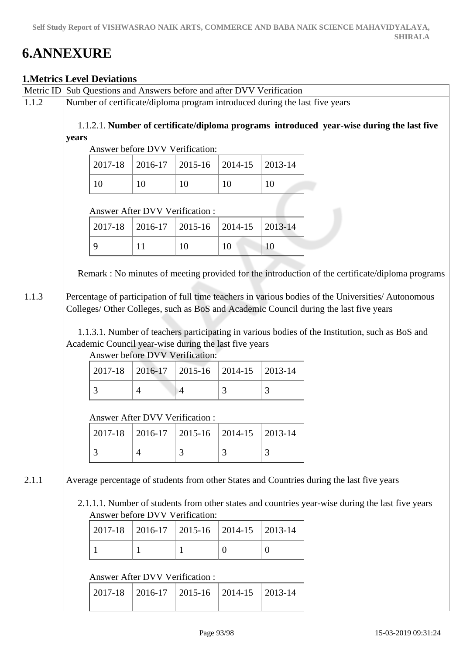# **6.ANNEXURE**

## **1.Metrics Level Deviations**

| <b>IMORT RESERVED DE VIATIONE</b> |                                                                                                                                       |                                                                                          |                |                |                |                |                                                                                                     |  |  |
|-----------------------------------|---------------------------------------------------------------------------------------------------------------------------------------|------------------------------------------------------------------------------------------|----------------|----------------|----------------|----------------|-----------------------------------------------------------------------------------------------------|--|--|
|                                   | Metric ID Sub Questions and Answers before and after DVV Verification                                                                 |                                                                                          |                |                |                |                |                                                                                                     |  |  |
| 1.1.2                             | Number of certificate/diploma program introduced during the last five years                                                           |                                                                                          |                |                |                |                |                                                                                                     |  |  |
|                                   | 1.1.2.1. Number of certificate/diploma programs introduced year-wise during the last five<br>years<br>Answer before DVV Verification: |                                                                                          |                |                |                |                |                                                                                                     |  |  |
|                                   |                                                                                                                                       |                                                                                          |                |                |                |                |                                                                                                     |  |  |
|                                   |                                                                                                                                       | 2017-18                                                                                  | 2016-17        | 2015-16        | 2014-15        | 2013-14        |                                                                                                     |  |  |
|                                   |                                                                                                                                       | 10                                                                                       | 10             | 10             | 10             | 10             |                                                                                                     |  |  |
|                                   | Answer After DVV Verification :                                                                                                       |                                                                                          |                |                |                |                |                                                                                                     |  |  |
|                                   |                                                                                                                                       | 2017-18                                                                                  | 2016-17        | 2015-16        | 2014-15        | 2013-14        |                                                                                                     |  |  |
|                                   |                                                                                                                                       | 9                                                                                        | 11             | 10             | 10             | 10             |                                                                                                     |  |  |
|                                   |                                                                                                                                       |                                                                                          |                |                |                |                | Remark : No minutes of meeting provided for the introduction of the certificate/diploma programs    |  |  |
| 1.1.3                             |                                                                                                                                       |                                                                                          |                |                |                |                | Percentage of participation of full time teachers in various bodies of the Universities/ Autonomous |  |  |
|                                   |                                                                                                                                       |                                                                                          |                |                |                |                | Colleges/ Other Colleges, such as BoS and Academic Council during the last five years               |  |  |
|                                   |                                                                                                                                       | Academic Council year-wise during the last five years<br>Answer before DVV Verification: |                |                |                |                | 1.1.3.1. Number of teachers participating in various bodies of the Institution, such as BoS and     |  |  |
|                                   |                                                                                                                                       |                                                                                          |                |                |                |                |                                                                                                     |  |  |
|                                   |                                                                                                                                       | 2017-18                                                                                  | 2016-17        | $2015 - 16$    | 2014-15        | 2013-14        |                                                                                                     |  |  |
|                                   |                                                                                                                                       | 3                                                                                        | $\overline{4}$ | $\overline{4}$ | 3              | 3              |                                                                                                     |  |  |
|                                   |                                                                                                                                       | Answer After DVV Verification :                                                          |                |                |                |                |                                                                                                     |  |  |
|                                   |                                                                                                                                       | 2017-18                                                                                  | 2016-17        | 2015-16        | 2014-15        | 2013-14        |                                                                                                     |  |  |
|                                   |                                                                                                                                       | 3                                                                                        | $\overline{4}$ | 3              | 3              | 3              |                                                                                                     |  |  |
| 2.1.1                             |                                                                                                                                       |                                                                                          |                |                |                |                | Average percentage of students from other States and Countries during the last five years           |  |  |
|                                   |                                                                                                                                       |                                                                                          |                |                |                |                |                                                                                                     |  |  |
|                                   |                                                                                                                                       | Answer before DVV Verification:                                                          |                |                |                |                | 2.1.1.1. Number of students from other states and countries year-wise during the last five years    |  |  |
|                                   |                                                                                                                                       | 2017-18                                                                                  | 2016-17        | 2015-16        | 2014-15        | 2013-14        |                                                                                                     |  |  |
|                                   |                                                                                                                                       | 1                                                                                        | 1              | $\mathbf{1}$   | $\overline{0}$ | $\overline{0}$ |                                                                                                     |  |  |
|                                   |                                                                                                                                       |                                                                                          |                |                |                |                |                                                                                                     |  |  |
|                                   |                                                                                                                                       | <b>Answer After DVV Verification:</b>                                                    |                |                |                |                |                                                                                                     |  |  |
|                                   |                                                                                                                                       | 2017-18                                                                                  | 2016-17        | 2015-16        | 2014-15        | 2013-14        |                                                                                                     |  |  |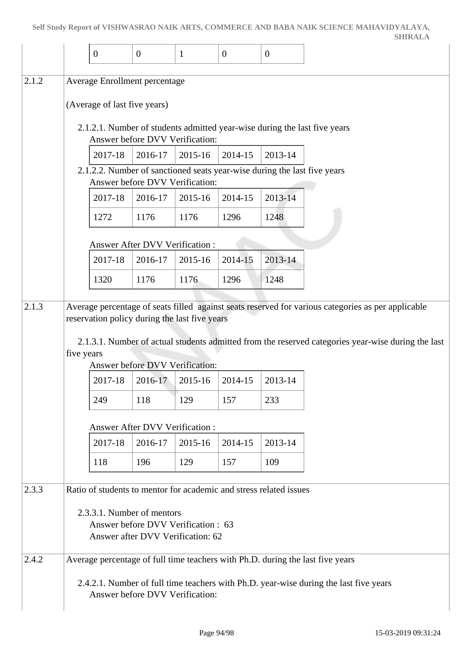|       |                              |         |                                                                                                       |                     |                |                                                                    | <b>SHIRALA</b>                                                                                     |
|-------|------------------------------|---------|-------------------------------------------------------------------------------------------------------|---------------------|----------------|--------------------------------------------------------------------|----------------------------------------------------------------------------------------------------|
|       | $\overline{0}$               |         | $\mathbf{0}$                                                                                          | $\mathbf{1}$        | $\overline{0}$ | $\boldsymbol{0}$                                                   |                                                                                                    |
|       |                              |         |                                                                                                       |                     |                |                                                                    |                                                                                                    |
| 2.1.2 |                              |         | Average Enrollment percentage                                                                         |                     |                |                                                                    |                                                                                                    |
|       | (Average of last five years) |         |                                                                                                       |                     |                |                                                                    |                                                                                                    |
|       |                              |         | Answer before DVV Verification:                                                                       |                     |                |                                                                    | 2.1.2.1. Number of students admitted year-wise during the last five years                          |
|       |                              | 2017-18 | 2016-17                                                                                               | 2015-16             | 2014-15        | 2013-14                                                            |                                                                                                    |
|       |                              |         | Answer before DVV Verification:                                                                       |                     |                |                                                                    | 2.1.2.2. Number of sanctioned seats year-wise during the last five years                           |
|       |                              | 2017-18 | 2016-17                                                                                               | 2015-16             | 2014-15        | 2013-14                                                            |                                                                                                    |
|       | 1272                         |         | 1176                                                                                                  | 1176                | 1296           | 1248                                                               |                                                                                                    |
|       |                              |         | Answer After DVV Verification:                                                                        |                     |                |                                                                    |                                                                                                    |
|       |                              | 2017-18 | 2016-17                                                                                               | 2015-16             | 2014-15        | 2013-14                                                            |                                                                                                    |
|       | 1320                         |         | 1176                                                                                                  | 1176                | 1296           | 1248                                                               |                                                                                                    |
| 2.1.3 |                              |         |                                                                                                       |                     |                |                                                                    | Average percentage of seats filled against seats reserved for various categories as per applicable |
|       | five years                   |         | reservation policy during the last five years<br>Answer before DVV Verification:                      |                     |                |                                                                    | 2.1.3.1. Number of actual students admitted from the reserved categories year-wise during the last |
|       |                              | 2017-18 |                                                                                                       | $2016-17$   2015-16 | 2014-15        | 2013-14                                                            |                                                                                                    |
|       | 249                          |         | 118                                                                                                   | 129                 | 157            | 233                                                                |                                                                                                    |
|       |                              |         |                                                                                                       |                     |                |                                                                    |                                                                                                    |
|       |                              |         | <b>Answer After DVV Verification:</b>                                                                 |                     |                |                                                                    |                                                                                                    |
|       |                              | 2017-18 | 2016-17                                                                                               | 2015-16             | 2014-15        | 2013-14                                                            |                                                                                                    |
|       | 118                          |         | 196                                                                                                   | 129                 | 157            | 109                                                                |                                                                                                    |
| 2.3.3 |                              |         |                                                                                                       |                     |                | Ratio of students to mentor for academic and stress related issues |                                                                                                    |
|       |                              |         | 2.3.3.1. Number of mentors<br>Answer before DVV Verification: 63<br>Answer after DVV Verification: 62 |                     |                |                                                                    |                                                                                                    |
| 2.4.2 |                              |         |                                                                                                       |                     |                |                                                                    | Average percentage of full time teachers with Ph.D. during the last five years                     |
|       |                              |         |                                                                                                       |                     |                |                                                                    | 2.4.2.1. Number of full time teachers with Ph.D. year-wise during the last five years              |

Answer before DVV Verification: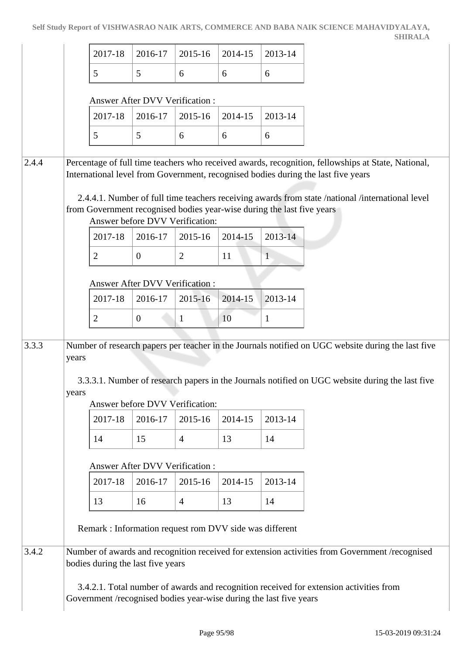|       |                |                                                                                                         |                                            |                |         |              | SHIKALA                                                                                                                                                                                                                                                                                     |
|-------|----------------|---------------------------------------------------------------------------------------------------------|--------------------------------------------|----------------|---------|--------------|---------------------------------------------------------------------------------------------------------------------------------------------------------------------------------------------------------------------------------------------------------------------------------------------|
|       |                | 2017-18                                                                                                 | 2016-17                                    | 2015-16        | 2014-15 | 2013-14      |                                                                                                                                                                                                                                                                                             |
|       |                | 5                                                                                                       | 5                                          | 6              | 6       | 6            |                                                                                                                                                                                                                                                                                             |
|       |                |                                                                                                         | <b>Answer After DVV Verification:</b>      |                |         |              |                                                                                                                                                                                                                                                                                             |
|       |                | 2017-18                                                                                                 | 2016-17                                    | 2015-16        | 2014-15 | 2013-14      |                                                                                                                                                                                                                                                                                             |
|       |                | 5                                                                                                       | 5                                          | 6              | 6       | 6            |                                                                                                                                                                                                                                                                                             |
| 2.4.4 |                | from Government recognised bodies year-wise during the last five years                                  |                                            |                |         |              | Percentage of full time teachers who received awards, recognition, fellowships at State, National,<br>International level from Government, recognised bodies during the last five years<br>2.4.4.1. Number of full time teachers receiving awards from state /national /international level |
|       |                | 2017-18                                                                                                 | Answer before DVV Verification:<br>2016-17 | 2015-16        | 2014-15 | 2013-14      |                                                                                                                                                                                                                                                                                             |
|       |                | $\overline{2}$                                                                                          | $\overline{0}$                             | $\overline{2}$ | 11      | $\mathbf{1}$ |                                                                                                                                                                                                                                                                                             |
|       |                |                                                                                                         | Answer After DVV Verification:             |                |         |              |                                                                                                                                                                                                                                                                                             |
|       |                | 2017-18                                                                                                 | 2016-17                                    | 2015-16        | 2014-15 | 2013-14      |                                                                                                                                                                                                                                                                                             |
|       |                | $\overline{2}$                                                                                          | $\overline{0}$                             | $\mathbf{1}$   | 10      | 1            |                                                                                                                                                                                                                                                                                             |
| 3.3.3 | years<br>years |                                                                                                         | Answer before DVV Verification:            |                |         |              | Number of research papers per teacher in the Journals notified on UGC website during the last five<br>3.3.3.1. Number of research papers in the Journals notified on UGC website during the last five                                                                                       |
|       |                | 2017-18                                                                                                 | 2016-17                                    | 2015-16        | 2014-15 | 2013-14      |                                                                                                                                                                                                                                                                                             |
|       |                | 14                                                                                                      | 15                                         | $\overline{4}$ | 13      | 14           |                                                                                                                                                                                                                                                                                             |
|       |                |                                                                                                         | <b>Answer After DVV Verification:</b>      |                |         |              |                                                                                                                                                                                                                                                                                             |
|       |                | 2017-18                                                                                                 | 2016-17                                    | 2015-16        | 2014-15 | 2013-14      |                                                                                                                                                                                                                                                                                             |
|       |                | 13                                                                                                      | 16                                         | $\overline{4}$ | 13      | 14           |                                                                                                                                                                                                                                                                                             |
|       |                | Remark : Information request rom DVV side was different                                                 |                                            |                |         |              |                                                                                                                                                                                                                                                                                             |
| 3.4.2 |                | bodies during the last five years<br>Government /recognised bodies year-wise during the last five years |                                            |                |         |              | Number of awards and recognition received for extension activities from Government /recognised<br>3.4.2.1. Total number of awards and recognition received for extension activities from                                                                                                    |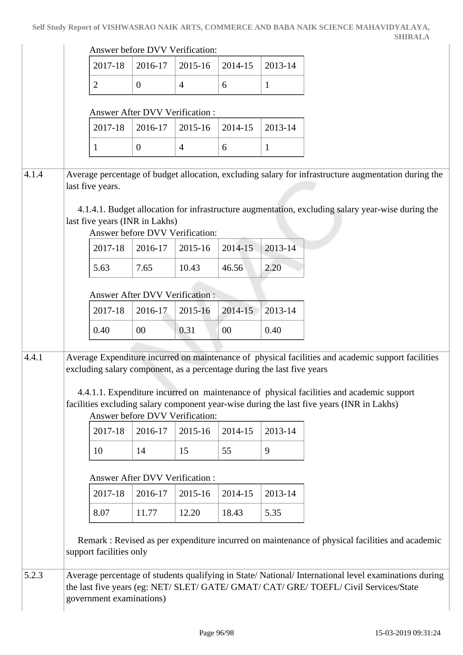|       |                                                                                                                                                                                                                                                                                                                                                                                                          |                                | Answer before DVV Verification:            |                |         |              |                                                                                                                                                                                              |  |
|-------|----------------------------------------------------------------------------------------------------------------------------------------------------------------------------------------------------------------------------------------------------------------------------------------------------------------------------------------------------------------------------------------------------------|--------------------------------|--------------------------------------------|----------------|---------|--------------|----------------------------------------------------------------------------------------------------------------------------------------------------------------------------------------------|--|
|       |                                                                                                                                                                                                                                                                                                                                                                                                          | 2017-18                        | 2016-17                                    | 2015-16        | 2014-15 | 2013-14      |                                                                                                                                                                                              |  |
|       |                                                                                                                                                                                                                                                                                                                                                                                                          | $\overline{2}$                 | $\overline{0}$                             | $\overline{4}$ | 6       | $\mathbf{1}$ |                                                                                                                                                                                              |  |
|       |                                                                                                                                                                                                                                                                                                                                                                                                          |                                |                                            |                |         |              |                                                                                                                                                                                              |  |
|       |                                                                                                                                                                                                                                                                                                                                                                                                          | 2017-18                        | Answer After DVV Verification :<br>2016-17 | 2015-16        | 2014-15 | 2013-14      |                                                                                                                                                                                              |  |
|       |                                                                                                                                                                                                                                                                                                                                                                                                          |                                |                                            |                |         |              |                                                                                                                                                                                              |  |
|       |                                                                                                                                                                                                                                                                                                                                                                                                          | 1                              | $\overline{0}$                             | $\overline{4}$ | 6       | 1            |                                                                                                                                                                                              |  |
| 4.1.4 |                                                                                                                                                                                                                                                                                                                                                                                                          | last five years.               |                                            |                |         |              | Average percentage of budget allocation, excluding salary for infrastructure augmentation during the                                                                                         |  |
|       |                                                                                                                                                                                                                                                                                                                                                                                                          | last five years (INR in Lakhs) | Answer before DVV Verification:            |                |         |              | 4.1.4.1. Budget allocation for infrastructure augmentation, excluding salary year-wise during the                                                                                            |  |
|       |                                                                                                                                                                                                                                                                                                                                                                                                          | 2017-18                        | 2016-17                                    | 2015-16        | 2014-15 | 2013-14      |                                                                                                                                                                                              |  |
|       |                                                                                                                                                                                                                                                                                                                                                                                                          | 5.63                           | 7.65                                       | 10.43          | 46.56   | 2.20         |                                                                                                                                                                                              |  |
|       |                                                                                                                                                                                                                                                                                                                                                                                                          |                                |                                            |                |         |              |                                                                                                                                                                                              |  |
|       |                                                                                                                                                                                                                                                                                                                                                                                                          |                                | Answer After DVV Verification:             |                |         |              |                                                                                                                                                                                              |  |
|       |                                                                                                                                                                                                                                                                                                                                                                                                          | 2017-18                        | 2016-17                                    | 2015-16        | 2014-15 | 2013-14      |                                                                                                                                                                                              |  |
|       |                                                                                                                                                                                                                                                                                                                                                                                                          | 0.40                           | $00\,$                                     | 0.31           | 00      | 0.40         |                                                                                                                                                                                              |  |
| 4.4.1 | Average Expenditure incurred on maintenance of physical facilities and academic support facilities<br>excluding salary component, as a percentage during the last five years<br>4.4.1.1. Expenditure incurred on maintenance of physical facilities and academic support<br>facilities excluding salary component year-wise during the last five years (INR in Lakhs)<br>Answer before DVV Verification: |                                |                                            |                |         |              |                                                                                                                                                                                              |  |
|       |                                                                                                                                                                                                                                                                                                                                                                                                          | 2017-18                        | 2016-17                                    | 2015-16        | 2014-15 | 2013-14      |                                                                                                                                                                                              |  |
|       |                                                                                                                                                                                                                                                                                                                                                                                                          | 10                             | 14                                         | 15             | 55      | 9            |                                                                                                                                                                                              |  |
|       |                                                                                                                                                                                                                                                                                                                                                                                                          |                                |                                            |                |         |              |                                                                                                                                                                                              |  |
|       |                                                                                                                                                                                                                                                                                                                                                                                                          |                                | Answer After DVV Verification :            |                |         |              |                                                                                                                                                                                              |  |
|       |                                                                                                                                                                                                                                                                                                                                                                                                          | 2017-18                        | 2016-17                                    | 2015-16        | 2014-15 | 2013-14      |                                                                                                                                                                                              |  |
|       |                                                                                                                                                                                                                                                                                                                                                                                                          | 8.07                           | 11.77                                      | 12.20          | 18.43   | 5.35         |                                                                                                                                                                                              |  |
|       |                                                                                                                                                                                                                                                                                                                                                                                                          | support facilities only        |                                            |                |         |              | Remark : Revised as per expenditure incurred on maintenance of physical facilities and academic                                                                                              |  |
| 5.2.3 |                                                                                                                                                                                                                                                                                                                                                                                                          | government examinations)       |                                            |                |         |              | Average percentage of students qualifying in State/National/International level examinations during<br>the last five years (eg: NET/ SLET/ GATE/ GMAT/ CAT/ GRE/ TOEFL/ Civil Services/State |  |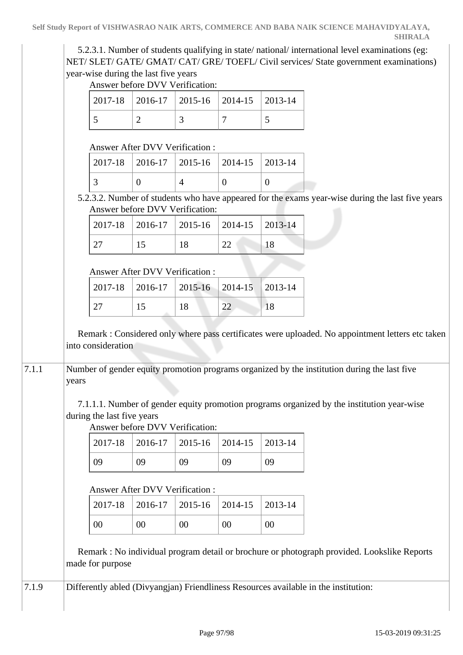**SHIRALA**

 5.2.3.1. Number of students qualifying in state/ national/ international level examinations (eg: NET/ SLET/ GATE/ GMAT/ CAT/ GRE/ TOEFL/ Civil services/ State government examinations) year-wise during the last five years Answer before DVV Verification:

|  | $2017-18$   2016-17   2015-16   2014-15   2013-14 |  |
|--|---------------------------------------------------|--|
|  |                                                   |  |

Answer After DVV Verification :

|  |  | $2017-18$ 2016-17 2015-16 2014-15 2013-14 |  |
|--|--|-------------------------------------------|--|
|  |  |                                           |  |

 5.2.3.2. Number of students who have appeared for the exams year-wise during the last five years Answer before DVV Verification:

| $2017-18$   2016-17   2015-16   2014-15   2013-14 |  |  |  |
|---------------------------------------------------|--|--|--|
|                                                   |  |  |  |

## Answer After DVV Verification :

|  | $\mid$ 2017-18 $\mid$ 2016-17 $\mid$ 2015-16 $\mid$ 2014-15 $\mid$ 2013-14 |    |  |
|--|----------------------------------------------------------------------------|----|--|
|  |                                                                            | 18 |  |

 Remark : Considered only where pass certificates were uploaded. No appointment letters etc taken into consideration

7.1.1 Number of gender equity promotion programs organized by the institution during the last five years

> 7.1.1.1. Number of gender equity promotion programs organized by the institution year-wise during the last five years

Answer before DVV Verification:

|    |    | $2017-18$ 2016-17 2015-16 2014-15 2013-14 |    |    |
|----|----|-------------------------------------------|----|----|
| 09 | 09 | 09                                        | 09 | 09 |

## Answer After DVV Verification :

|    |    | $2017-18$   2016-17   2015-16   2014-15   2013-14 |    |    |
|----|----|---------------------------------------------------|----|----|
| 00 | 00 | 00                                                | 00 | 00 |

 Remark : No individual program detail or brochure or photograph provided. Lookslike Reports made for purpose

7.1.9 Differently abled (Divyangjan) Friendliness Resources available in the institution: